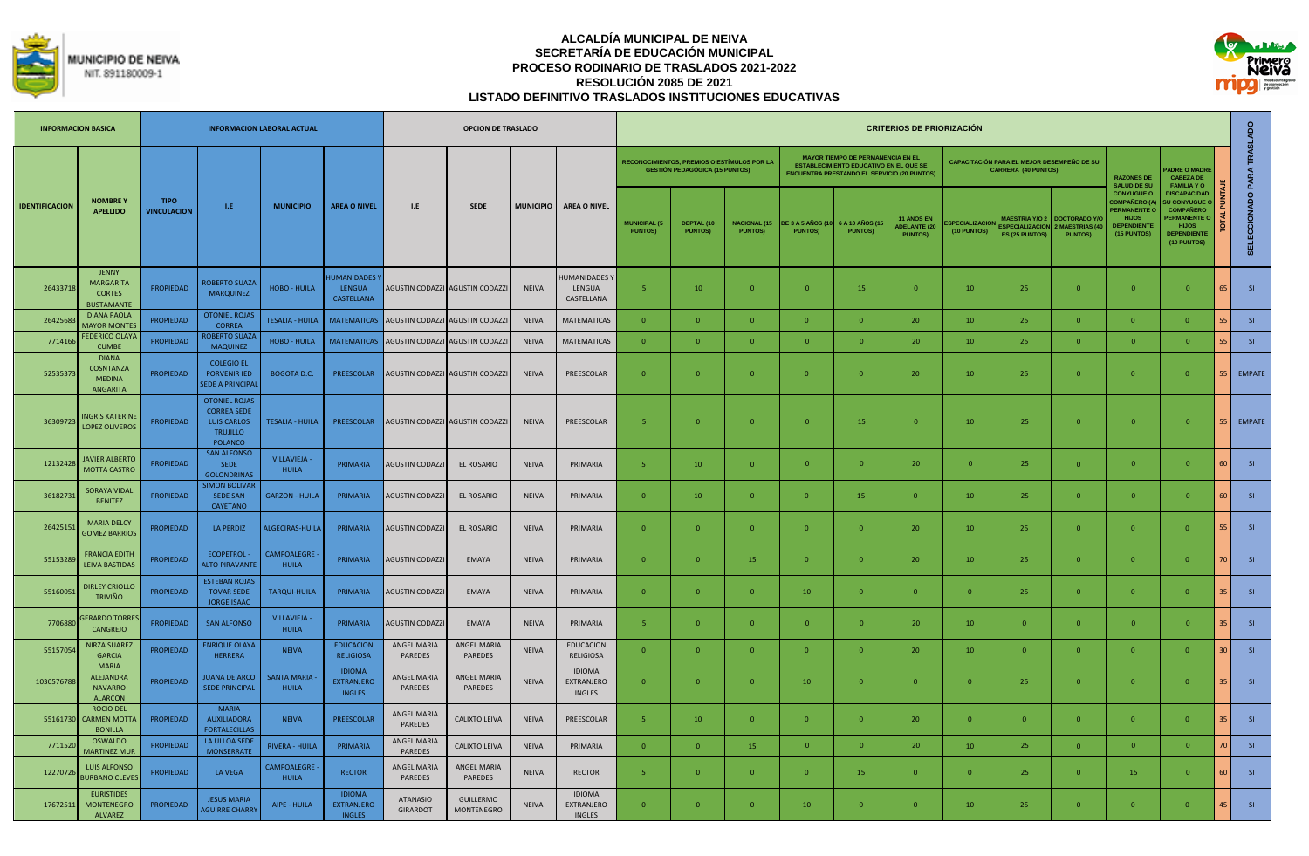



|                       | <b>INFORMACION BASICA</b>                                              |                                   |                                                                                                       | <b>INFORMACION LABORAL ACTUAL</b>  |                                                     |                                             | <b>OPCION DE TRASLADO</b>             |                  |                                              |                                       |                                                                                             |                                        |                                    |                                                                                                                                                 | <b>CRITERIOS DE PRIORIZACIÓN</b>                    |                                     |                                                                          |                                                       |                                                                                                                      |                                                                                                                                          |                |                            |
|-----------------------|------------------------------------------------------------------------|-----------------------------------|-------------------------------------------------------------------------------------------------------|------------------------------------|-----------------------------------------------------|---------------------------------------------|---------------------------------------|------------------|----------------------------------------------|---------------------------------------|---------------------------------------------------------------------------------------------|----------------------------------------|------------------------------------|-------------------------------------------------------------------------------------------------------------------------------------------------|-----------------------------------------------------|-------------------------------------|--------------------------------------------------------------------------|-------------------------------------------------------|----------------------------------------------------------------------------------------------------------------------|------------------------------------------------------------------------------------------------------------------------------------------|----------------|----------------------------|
|                       |                                                                        |                                   |                                                                                                       |                                    |                                                     |                                             |                                       |                  |                                              |                                       | <b>RECONOCIMIENTOS, PREMIOS O ESTÍMULOS POR LA</b><br><b>GESTIÓN PEDAGÓGICA (15 PUNTOS)</b> |                                        |                                    | <b>MAYOR TIEMPO DE PERMANENCIA EN EL</b><br><b>ESTABLECIMIENTO EDUCATIVO EN EL QUE SE</b><br><b>ENCUENTRA PRESTANDO EL SERVICIO (20 PUNTOS)</b> |                                                     |                                     | CAPACITACIÓN PARA EL MEJOR DESEMPEÑO DE SU<br><b>CARRERA (40 PUNTOS)</b> |                                                       | <b>RAZONES DE</b><br><b>SALUD DE SU</b>                                                                              | <b>ADRE O MADRE</b><br><b>CABEZA DE</b><br><b>FAMILIA YO</b>                                                                             |                |                            |
| <b>IDENTIFICACION</b> | <b>NOMBREY</b><br><b>APELLIDO</b>                                      | <b>TIPO</b><br><b>VINCULACION</b> | LE.                                                                                                   | <b>MUNICIPIO</b>                   | <b>AREA O NIVEL</b>                                 | L.E                                         | <b>SEDE</b>                           | <b>MUNICIPIO</b> | <b>AREA O NIVEL</b>                          | <b>MUNICIPAL (5</b><br><b>PUNTOS)</b> | DEPTAL (10<br><b>PUNTOS)</b>                                                                | <b>NACIONAL (15)</b><br><b>PUNTOS)</b> | DE 3 A 5 AÑOS (1<br><b>PUNTOS)</b> | 6 A 10 AÑOS (1<br><b>PUNTOS)</b>                                                                                                                | 11 AÑOS EN<br><b>ADELANTE (20</b><br><b>PUNTOS)</b> | <b>SPECIALIZACIO</b><br>(10 PUNTOS) | <b>MAESTRIA Y/O 2</b><br><b>SPECIALIZACION</b><br><b>ES (25 PUNTOS</b>   | <b>DOCTORADO Y/</b><br>MAESTRIAS (4<br><b>PUNTOS)</b> | <b>CONYUGUE O</b><br><b>COMPAÑERO (A</b><br><b>PERMANENTE O</b><br><b>HIJOS</b><br><b>DEPENDIENTI</b><br>(15 PUNTOS) | <b>DISCAPACIDAD</b><br><b>U CONYUGUE</b><br><b>COMPAÑERO</b><br><b>PERMANENTE O</b><br><b>HIJOS</b><br><b>DEPENDIENTE</b><br>(10 PUNTOS) |                | SELECCIONADO PARA TRASLADO |
| 26433718              | <b>JENNY</b><br><b>MARGARITA</b><br><b>CORTES</b><br><b>BUSTAMANTE</b> | <b>PROPIEDAD</b>                  | <b>ROBERTO SUAZA</b><br><b>MARQUINEZ</b>                                                              | <b>HOBO - HUILA</b>                | <b>HUMANIDADES</b><br><b>LENGUA</b><br>CASTELLANA   |                                             | AGUSTIN CODAZZI AGUSTIN CODAZZI       | <b>NEIVA</b>     | <b>IUMANIDADES</b><br>LENGUA<br>CASTELLANA   | 5 <sub>1</sub>                        | 10                                                                                          | $\Omega$                               | $\overline{0}$                     | 15                                                                                                                                              | $\overline{0}$                                      | 10                                  | 25                                                                       | $\Omega$                                              | $\Omega$                                                                                                             | $\overline{0}$                                                                                                                           | 65             | SI                         |
| 2642568               | <b>DIANA PAOLA</b><br><b>MAYOR MONTE:</b>                              | <b>PROPIEDAD</b>                  | OTONIEL ROJA:<br><b>CORREA</b>                                                                        | <b>TESALIA - HUILA</b>             | <b>MATEMATICAS</b>                                  |                                             | AGUSTIN CODAZZI AGUSTIN CODAZZI       | <b>NEIVA</b>     | <b>MATEMATICAS</b>                           | $\mathbf{0}$                          | $\overline{0}$                                                                              |                                        | $\mathbf{0}$                       | $\mathbf{0}$                                                                                                                                    | 20                                                  | 10                                  | 25                                                                       | $\mathbf{0}$                                          | $\overline{0}$                                                                                                       | $\overline{0}$                                                                                                                           |                | SI                         |
| 771416                | <b>FEDERICO OLAY</b><br><b>CUMBE</b>                                   | <b>PROPIEDAD</b>                  | <b>OBERTO SUAZ</b><br><b>MAQUINEZ</b>                                                                 | <b>HOBO - HUILA</b>                |                                                     | MATEMATICAS AGUSTIN CODAZZI AGUSTIN CODAZZI |                                       | <b>NEIVA</b>     | <b>MATEMATICAS</b>                           | $\Omega$                              | $\Omega$                                                                                    |                                        | $\Omega$                           | $\Omega$                                                                                                                                        | 20                                                  | 10                                  | 25                                                                       | $\Omega$                                              | $\mathbf{0}$                                                                                                         | $\Omega$                                                                                                                                 |                | SI                         |
| 5253537               | <b>DIANA</b><br><b>COSNTANZA</b><br><b>MEDINA</b><br><b>ANGARITA</b>   | PROPIEDAD                         | <b>COLEGIO EL</b><br><b>PORVENIR IED</b><br><b>SEDE A PRINCIPAL</b>                                   | <b>BOGOTA D.C.</b>                 | PREESCOLAR                                          |                                             | AGUSTIN CODAZZI AGUSTIN CODAZZI       | <b>NEIVA</b>     | PREESCOLAR                                   | $\overline{0}$                        | $\Omega$                                                                                    | $\Omega$                               | $\mathbf{0}$                       | $\Omega$                                                                                                                                        | 20                                                  | 10                                  | 25                                                                       | $\overline{0}$                                        | $\overline{0}$                                                                                                       | $\Omega$                                                                                                                                 | 55             | <b>EMPATE</b>              |
| 3630972               | <b>NGRIS KATERIN</b><br><b>LOPEZ OLIVEROS</b>                          | <b>PROPIEDAD</b>                  | <b>OTONIEL ROJAS</b><br><b>CORREA SEDE</b><br><b>LUIS CARLOS</b><br><b>TRUJILLO</b><br><b>POLANCO</b> | <b>TESALIA - HUILA</b>             | PREESCOLAR                                          |                                             | AGUSTIN CODAZZI AGUSTIN CODAZZI       | <b>NEIVA</b>     | PREESCOLAR                                   | 5                                     | $\overline{0}$                                                                              |                                        | $\mathbf{0}$                       | 15                                                                                                                                              | $\overline{0}$                                      | 10                                  | 25                                                                       | $\mathbf{0}$                                          | $\mathbf{0}$                                                                                                         | $\overline{0}$                                                                                                                           | 55             | <b>EMPATE</b>              |
| 12132428              | <b>IAVIER ALBERTO</b><br><b>MOTTA CASTRO</b>                           | <b>PROPIEDAD</b>                  | <b>SAN ALFONSO</b><br><b>SEDE</b><br><b>GOLONDRINAS</b>                                               | VILLAVIEJA -<br><b>HUILA</b>       | PRIMARIA                                            | <b>AGUSTIN CODAZZI</b>                      | EL ROSARIO                            | <b>NEIVA</b>     | PRIMARIA                                     | -5                                    | 10                                                                                          |                                        | $\mathbf{0}$                       | $\overline{0}$                                                                                                                                  | 20                                                  | $\overline{0}$                      | 25                                                                       | $\mathbf{0}$                                          | $\mathbf{0}$                                                                                                         | $\overline{0}$                                                                                                                           | 60             | SI                         |
| 3618273               | <b>SORAYA VIDAL</b><br><b>BENITEZ</b>                                  | <b>PROPIEDAD</b>                  | <b>IMON BOLIVA</b><br><b>SEDE SAN</b><br>CAYETANO                                                     | <b>GARZON - HUILA</b>              | PRIMARIA                                            | <b>AGUSTIN CODAZZI</b>                      | EL ROSARIO                            | <b>NEIVA</b>     | PRIMARIA                                     | $\mathbf{0}$                          | 10                                                                                          | $\Omega$                               | $\overline{0}$                     | 15                                                                                                                                              | $\overline{0}$                                      | 10                                  | 25                                                                       | $\Omega$                                              | $\overline{0}$                                                                                                       | $\Omega$                                                                                                                                 | 60             | SI                         |
| 2642515               | <b>MARIA DELCY</b><br><b>GOMEZ BARRIOS</b>                             | <b>PROPIEDAD</b>                  | LA PERDIZ                                                                                             | ALGECIRAS-HUILA                    | PRIMARIA                                            | <b>AGUSTIN CODAZZI</b>                      | EL ROSARIO                            | NEIVA            | PRIMARIA                                     | $\mathbf{0}$                          | $\overline{0}$                                                                              |                                        | $\mathbf{0}$                       | $\overline{0}$                                                                                                                                  | 20                                                  | 10                                  | 25                                                                       | $\mathbf{0}$                                          | $\overline{0}$                                                                                                       | $\overline{0}$                                                                                                                           |                | SI                         |
| 5515328               | <b>FRANCIA EDITH</b><br><b>LEIVA BASTIDAS</b>                          | PROPIEDAD                         | <b>ECOPETROL-</b><br><b>ILTO PIRAVANTE</b>                                                            | <b>CAMPOALEGRE</b><br><b>HUILA</b> | PRIMARIA                                            | <b>AGUSTIN CODAZZ</b>                       | EMAYA                                 | <b>NEIVA</b>     | PRIMARIA                                     | $\Omega$                              | $\Omega$                                                                                    | 15                                     | $\mathbf{0}$                       | $\Omega$                                                                                                                                        | 20                                                  | 10                                  | 25                                                                       | $\mathbf{0}$                                          | $\overline{0}$                                                                                                       | $\Omega$                                                                                                                                 | $\overline{1}$ | SI                         |
| 5516005               | <b>DIRLEY CRIOLLO</b><br><b>TRIVIÑO</b>                                | <b>PROPIEDAD</b>                  | <b>ESTEBAN ROJAS</b><br><b>TOVAR SEDE</b><br><b>JORGE ISAAC</b>                                       | <b>TARQUI-HUILA</b>                | PRIMARIA                                            | <b>AGUSTIN CODAZZI</b>                      | EMAYA                                 | NEIVA            | PRIMARIA                                     | $\overline{0}$                        | $\Omega$                                                                                    | $\Omega$                               | 10                                 | $\overline{0}$                                                                                                                                  | $\overline{0}$                                      | $\Omega$                            | 25                                                                       | $\Omega$                                              | $\overline{0}$                                                                                                       | $\Omega$                                                                                                                                 | 35             | SI                         |
| 7706880               | <b>GERARDO TORRE</b><br>CANGREJO                                       | <b>PROPIEDAD</b>                  | <b>SAN ALFONSO</b>                                                                                    | VILLAVIEJA -<br><b>HUILA</b>       | PRIMARIA                                            | <b>AGUSTIN CODAZZI</b>                      | EMAYA                                 | <b>NEIVA</b>     | PRIMARIA                                     | $\overline{5}$                        | $\overline{0}$                                                                              | $\overline{0}$                         | $\Omega$                           | $\overline{0}$                                                                                                                                  | 20                                                  | 10                                  | $\mathbf{0}$                                                             | $\mathbf{0}$                                          | $\overline{0}$                                                                                                       | $\Omega$                                                                                                                                 | ą٢             | SI <sub>s</sub>            |
| 55157054              | <b>NIRZA SUAREZ</b><br><b>GARCIA</b>                                   | <b>PROPIEDAD</b>                  | NRIQUE OLAYA<br><b>HERRERA</b>                                                                        | <b>NEIVA</b>                       | <b>EDUCACION</b><br><b>RELIGIOSA</b>                | <b>ANGEL MARIA</b><br>PAREDES               | <b>ANGEL MARIA</b><br>PAREDES         | <b>NEIVA</b>     | <b>EDUCACION</b><br><b>RELIGIOSA</b>         | $\mathbf{0}$                          | $\Omega$                                                                                    |                                        | $\mathbf{0}$                       | $\Omega$                                                                                                                                        | 20                                                  | 10                                  | $\Omega$                                                                 | $\Omega$                                              | $\Omega$                                                                                                             | $\Omega$                                                                                                                                 | ЗC             | SI                         |
| 1030576788            | <b>MARIA</b><br><b>ALEIANDRA</b><br><b>NAVARRO</b><br><b>ALARCON</b>   | <b>PROPIEDAD</b>                  | <b>JUANA DE ARCO</b><br><b>SEDE PRINCIPAL</b>                                                         | <b>SANTA MARIA</b><br><b>HUILA</b> | <b>IDIOMA</b><br><b>EXTRANJERO</b><br><b>INGLES</b> | <b>ANGEL MARIA</b><br>PAREDES               | <b>ANGEL MARIA</b><br>PAREDES         | <b>NEIVA</b>     | <b>IDIOMA</b><br>EXTRANJERO<br><b>INGLES</b> | $\mathbf{0}$                          | $\overline{0}$                                                                              | $\sqrt{ }$                             | 10                                 | $\overline{0}$                                                                                                                                  | $\mathbf{0}$                                        | $\mathbf{0}$                        | 25                                                                       | $\mathbf{0}$                                          | $\overline{0}$                                                                                                       | $\overline{0}$                                                                                                                           | 35             | SI                         |
| 55161730              | <b>ROCIO DEL</b><br>CARMEN MOTT.<br><b>BONILLA</b>                     | <b>PROPIEDAD</b>                  | <b>MARIA</b><br><b>AUXILIADORA</b><br><b>FORTALECILLAS</b>                                            | <b>NEIVA</b>                       | PREESCOLAR                                          | <b>ANGEL MARIA</b><br>PAREDES               | <b>CALIXTO LEIVA</b>                  | <b>NEIVA</b>     | PREESCOLAR                                   | -5                                    | 10                                                                                          | $\Omega$                               | $\Omega$                           | $\Omega$                                                                                                                                        | 20                                                  | $\Omega$                            | $\Omega$                                                                 | $\Omega$                                              | $\overline{0}$                                                                                                       | $\Omega$                                                                                                                                 | 35             | SI                         |
| 771152                | OSWALDO<br><b>MARTINEZ MUF</b>                                         | <b>PROPIEDAD</b>                  | LA ULLOA SED<br><b>MONSERRATE</b>                                                                     | <b>RIVERA - HUILA</b>              | PRIMARIA                                            | ANGEL MARIA<br>PAREDES                      | CALIXTO LEIVA                         | <b>NEIVA</b>     | PRIMARIA                                     | $\mathbf{0}$                          | $\Omega$                                                                                    | 15                                     | $\Omega$                           | $\Omega$                                                                                                                                        | 20                                                  | 10                                  | 25                                                                       | $\mathbf{0}$                                          | $\mathbf{0}$                                                                                                         | $\Omega$                                                                                                                                 |                | SI                         |
| 1227072               | <b>LUIS ALFONSO</b><br><b>URBANO CLEVE</b>                             | <b>PROPIEDAD</b>                  | <b>LA VEGA</b>                                                                                        | CAMPOALEGRE<br><b>HUILA</b>        | <b>RECTOR</b>                                       | <b>ANGEL MARIA</b><br>PAREDES               | ANGEL MARIA<br>PAREDES                | <b>NEIVA</b>     | <b>RECTOR</b>                                | -5.                                   | $\Omega$                                                                                    | $\Omega$                               | $\overline{0}$                     | 15                                                                                                                                              | $\Omega$                                            | $\Omega$                            | 25                                                                       | $\Omega$                                              | 15                                                                                                                   | $\overline{0}$                                                                                                                           |                | SI                         |
| 17672511              | <b>EURISTIDES</b><br><b>MONTENEGRO</b><br><b>ALVAREZ</b>               | PROPIEDAD                         | <b>JESUS MARIA</b><br><b><i>AGUIRRE CHARRY</i></b>                                                    | AIPE - HUILA                       | <b>IDIOMA</b><br><b>EXTRANJERO</b><br><b>INGLES</b> | <b>ATANASIO</b><br><b>GIRARDOT</b>          | <b>GUILLERMO</b><br><b>MONTENEGRO</b> | <b>NEIVA</b>     | <b>IDIOMA</b><br>EXTRANJERO<br><b>INGLES</b> | $\overline{0}$                        | $\Omega$                                                                                    |                                        | 10                                 | $\Omega$                                                                                                                                        | $\overline{0}$                                      | 10                                  | 25                                                                       | $\mathbf{0}$                                          | $\Omega$                                                                                                             | $\overline{0}$                                                                                                                           | 45             | S1                         |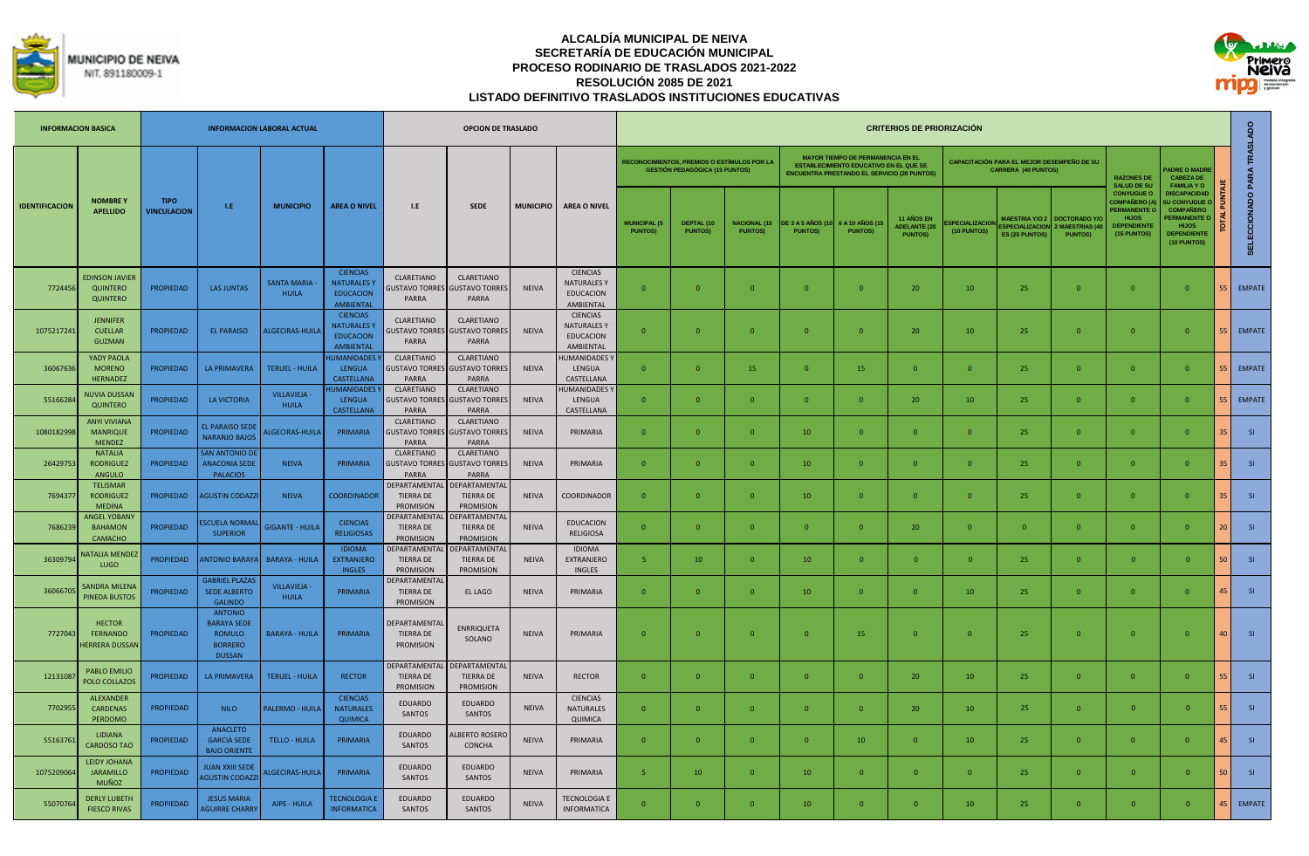



| <b>INFORMACION BASICA</b> |                                                         |                                   |                                                                                          | <b>INFORMACION LABORAL ACTUAL</b>  |                                                                               |                                                      | <b>OPCION DE TRASLADO</b>                                   |                  |                                                                 |                                       |                                                                                      |                                       |                                           |                                                                                                                                                 | <b>CRITERIOS DE PRIORIZACIÓN</b>                           |                               |                                                                          |                                                              |                                                                                                              |                                                                                                                                        |                 |                      |
|---------------------------|---------------------------------------------------------|-----------------------------------|------------------------------------------------------------------------------------------|------------------------------------|-------------------------------------------------------------------------------|------------------------------------------------------|-------------------------------------------------------------|------------------|-----------------------------------------------------------------|---------------------------------------|--------------------------------------------------------------------------------------|---------------------------------------|-------------------------------------------|-------------------------------------------------------------------------------------------------------------------------------------------------|------------------------------------------------------------|-------------------------------|--------------------------------------------------------------------------|--------------------------------------------------------------|--------------------------------------------------------------------------------------------------------------|----------------------------------------------------------------------------------------------------------------------------------------|-----------------|----------------------|
|                           |                                                         |                                   |                                                                                          |                                    |                                                                               |                                                      |                                                             |                  |                                                                 |                                       | RECONOCIMIENTOS. PREMIOS O ESTÍMULOS POR LA<br><b>GESTIÓN PEDAGÓGICA (15 PUNTOS)</b> |                                       |                                           | <b>MAYOR TIEMPO DE PERMANENCIA EN EL</b><br><b>ESTABLECIMIENTO EDUCATIVO EN EL QUE SE</b><br><b>ENCUENTRA PRESTANDO EL SERVICIO (20 PUNTOS)</b> |                                                            |                               | CAPACITACIÓN PARA EL MEJOR DESEMPEÑO DE SU<br><b>CARRERA (40 PUNTOS)</b> |                                                              | <b>RAZONES DE</b><br><b>SALUD DE SU</b>                                                                      | <b>ADRE O MADRE</b><br><b>CABEZA DE</b><br><b>FAMILIA YO</b>                                                                           |                 | <b>PARA TRASLADO</b> |
| <b>IDENTIFICACION</b>     | <b>NOMBRE Y</b><br><b>APELLIDO</b>                      | <b>TIPO</b><br><b>VINCULACION</b> | LE:                                                                                      | <b>MUNICIPIO</b>                   | <b>AREA O NIVEL</b>                                                           | 1.E                                                  | <b>SEDE</b>                                                 | <b>MUNICIPIO</b> | <b>AREA O NIVEL</b>                                             | <b>MUNICIPAL (5</b><br><b>PUNTOS)</b> | DEPTAL (10<br><b>PUNTOSI</b>                                                         | <b>NACIONAL (15</b><br><b>PUNTOS)</b> | <b>DE 3 A 5 AÑOS (10</b><br><b>PUNTOS</b> | <b>6 A 10 AÑOS (1</b><br><b>PUNTOS)</b>                                                                                                         | <b>11 AÑOS EN</b><br><b>ADELANTE (20</b><br><b>PUNTOS)</b> | SPECIALIZACIOI<br>(10 PUNTOS) | <b>MAESTRIA Y/O 2</b><br><b>SPECIALIZACION</b><br><b>ES (25 PUNTOS)</b>  | <b>DOCTORADO Y/</b><br><b>MAESTRIAS (4</b><br><b>PUNTOS)</b> | <b>CONYUGUE O</b><br><b>OMPAÑERO (A)</b><br><b>ERMANENTE O</b><br><b>HIJOS</b><br>DEPENDIENTE<br>(15 PUNTOS) | <b>DISCAPACIDAD</b><br><b>SU CONYUGUE</b><br><b>COMPAÑERO</b><br><b>ERMANENTE</b><br><b>HIJOS</b><br><b>DEPENDIENTE</b><br>(10 PUNTOS) |                 | <b>SELECCIONADO</b>  |
| 7724456                   | <b>EDINSON JAVIER</b><br>QUINTERO<br><b>QUINTERO</b>    | PROPIEDAD                         | <b>LAS JUNTAS</b>                                                                        | <b>SANTA MARIA</b><br><b>HUILA</b> | <b>CIENCIAS</b><br><b>NATURALES Y</b><br><b>EDUCACION</b><br><b>AMBIENTAL</b> | CLARETIANO<br><b>SUSTAVO TORRES</b><br>PARRA         | <b>CLARETIANO</b><br><b>GUSTAVO TORRES</b><br>PARRA         | <b>NEIVA</b>     | <b>CIENCIAS</b><br>NATURALES Y<br><b>EDUCACION</b><br>AMBIENTAL | $\mathbf{0}$                          | $\Omega$                                                                             | $\Omega$                              | $\overline{0}$                            | $\Omega$                                                                                                                                        | 20                                                         | 10                            | 25                                                                       | $\overline{0}$                                               | $\bf{0}$                                                                                                     | $\Omega$                                                                                                                               |                 | <b>EMPATE</b>        |
| 1075217241                | <b>JENNIFER</b><br><b>CUELLAR</b><br><b>GUZMAN</b>      | <b>PROPIEDAD</b>                  | <b>EL PARAISO</b>                                                                        | ALGECIRAS-HUILA                    | <b>CIENCIAS</b><br><b>NATURALES Y</b><br><b>EDUCACION</b><br><b>AMBIENTAL</b> | CLARETIANO<br>PARRA                                  | CLARETIANO<br><b>GUSTAVO TORRES GUSTAVO TORRES</b><br>PARRA | <b>NEIVA</b>     | <b>CIENCIAS</b><br>NATURALES Y<br><b>EDUCACION</b><br>AMBIENTAL | $\mathbf{0}$                          | $\Omega$                                                                             | $\Omega$                              | $\overline{0}$                            | $\Omega$                                                                                                                                        | 20                                                         | 10                            | 25                                                                       | $\mathbf{0}$                                                 | $\bf{0}$                                                                                                     | $\Omega$                                                                                                                               |                 | <b>EMPATE</b>        |
| 36067636                  | YADY PAOLA<br><b>MORENO</b><br><b>HERNADEZ</b>          | <b>PROPIEDAD</b>                  | <b>LA PRIMAVERA</b>                                                                      | <b>TERUEL - HUILA</b>              | <b>IUMANIDADES</b><br><b>LENGUA</b><br><b>CASTELLANA</b>                      | CLARETIANO<br><b>SUSTAVO TORRES</b><br>PARRA         | CLARETIANO<br><b>GUSTAVO TORRES</b><br>PARRA                | <b>NEIVA</b>     | <b>IUMANIDADES</b><br>LENGUA<br>CASTELLANA                      | $\mathbf{0}$                          | $\overline{0}$                                                                       | 15                                    | $\overline{0}$                            | 15                                                                                                                                              | $\overline{0}$                                             | $\overline{0}$                | 25                                                                       | $\mathbf{0}$                                                 | $\mathbf{0}$                                                                                                 | $\overline{0}$                                                                                                                         |                 | <b>EMPATE</b>        |
| 55166284                  | <b>NUVIA DUSSAN</b><br><b>QUINTERO</b>                  | <b>PROPIEDAD</b>                  | <b>LA VICTORIA</b>                                                                       | <b>VILLAVIEJA</b><br><b>HUILA</b>  | UMANIDADES <sup>®</sup><br><b>LENGUA</b><br>CASTELLANA                        | <b>CLARETIANO</b><br>PARRA                           | CLARETIANO<br><b>GUSTAVO TORRES GUSTAVO TORRES</b><br>PARRA | <b>NEIVA</b>     | <b>IUMANIDADES</b><br>LENGUA<br>CASTELLANA                      | $\Omega$                              | $\Omega$                                                                             | $\Omega$                              | $\overline{0}$                            | $\Omega$                                                                                                                                        | 20                                                         | 10                            | 25                                                                       | $\mathbf{0}$                                                 | $\mathbf{0}$                                                                                                 | $\Omega$                                                                                                                               |                 | <b>EMPATE</b>        |
| 1080182998                | <b>ANYI VIVIANA</b><br><b>MANRIQUE</b><br><b>MENDEZ</b> | PROPIEDAD                         | <b>EL PARAISO SEDI</b><br><b>NARANJO BAJOS</b>                                           | LGECIRAS-HUILA                     | PRIMARIA                                                                      | <b>CLARETIANO</b><br><b>GUSTAVO TORRES</b><br>PARRA  | CLARETIANO<br><b>GUSTAVO TORRES</b><br>PARRA                | <b>NEIVA</b>     | PRIMARIA                                                        | $\Omega$                              | $\Omega$                                                                             | $\Omega$                              | 10                                        | $\Omega$                                                                                                                                        | $\overline{0}$                                             | $\Omega$                      | 25                                                                       | $\mathbf{0}$                                                 | $\bf{0}$                                                                                                     | $\Omega$                                                                                                                               |                 | SI                   |
| 26429753                  | <b>NATALIA</b><br><b>RODRIGUEZ</b><br>ANGULO            | <b>PROPIEDAD</b>                  | <b>SAN ANTONIO DI</b><br><b>ANACONIA SEDE</b><br><b>PALACIOS</b>                         | <b>NEIVA</b>                       | PRIMARIA                                                                      | <b>CLARETIANO</b><br><b>GUSTAVO TORRES</b><br>PARRA  | <b>CLARETIANO</b><br><b>GUSTAVO TORRES</b><br>PARRA         | <b>NEIVA</b>     | PRIMARIA                                                        | $\Omega$                              | $\Omega$                                                                             | $\Omega$                              | 10                                        | $\Omega$                                                                                                                                        | $\Omega$                                                   | $\Omega$                      | 25                                                                       | $\Omega$                                                     | $\Omega$                                                                                                     | $\Omega$                                                                                                                               |                 | SI                   |
| 769437                    | <b>TELISMAR</b><br><b>RODRIGUEZ</b><br><b>MEDINA</b>    | <b>PROPIEDAD</b>                  | <b>GUSTIN CODAZZ</b>                                                                     | <b>NEIVA</b>                       | <b>COORDINADOR</b>                                                            | DEPARTAMENTA<br><b>TIERRA DE</b><br><b>PROMISION</b> | DEPARTAMENTA<br><b>TIERRA DE</b><br><b>PROMISION</b>        | <b>NEIVA</b>     | COORDINADOR                                                     | $\mathbf{0}$                          | $\mathbf{0}$                                                                         | $\overline{0}$                        | 10                                        | $\overline{0}$                                                                                                                                  | $\overline{0}$                                             | $\mathbf{0}$                  | 25                                                                       | $\mathbf{0}$                                                 | $\mathbf{0}$                                                                                                 | $\overline{0}$                                                                                                                         |                 | SI                   |
| 7686239                   | <b>ANGEL YOBANY</b><br><b>BAHAMON</b><br><b>CAMACHO</b> | PROPIEDAD                         | <b>SCUELA NORMAL</b><br><b>SUPERIOR</b>                                                  | <b>SIGANTE - HUILA</b>             | <b>CIENCIAS</b><br><b>RELIGIOSAS</b>                                          | DEPARTAMENTA<br><b>TIFRRA DE</b><br>PROMISION        | DEPARTAMENTA<br><b>TIERRA DE</b><br><b>PROMISION</b>        | <b>NEIVA</b>     | <b>EDUCACION</b><br><b>RELIGIOSA</b>                            | $\Omega$                              | $\Omega$                                                                             | $\Omega$                              | $\Omega$                                  | $\Omega$                                                                                                                                        | 20                                                         | $\Omega$                      | $\mathbf{0}$                                                             | $\overline{0}$                                               | $\mathbf{0}$                                                                                                 | $\Omega$                                                                                                                               | 20 <sup>°</sup> | S1                   |
| 3630979                   | <b>JATALIA MENDE</b><br>LUGO                            | PROPIEDAD                         | <b>ANTONIO BARAYA</b>                                                                    | <b>BARAYA - HUILA</b>              | <b>IDIOMA</b><br><b>EXTRANJERO</b><br><b>INGLES</b>                           | DEPARTAMENTA<br><b>TIERRA DE</b><br><b>PROMISION</b> | DEPARTAMENTA<br><b>TIERRA DE</b><br><b>PROMISION</b>        | <b>NEIVA</b>     | <b>IDIOMA</b><br><b>EXTRANJERO</b><br><b>INGLES</b>             | -5                                    | 10                                                                                   | $\Omega$                              | 10                                        | $\overline{0}$                                                                                                                                  | $\Omega$                                                   | $\Omega$                      | 25                                                                       | $\Omega$                                                     | $\mathbf{0}$                                                                                                 | $\Omega$                                                                                                                               | 50              | SI                   |
| 3606670                   | SANDRA MILENA<br>PINEDA BUSTOS                          | <b>PROPIEDAD</b>                  | <b>GABRIEL PLAZAS</b><br><b>SEDE ALBERTO</b><br><b>GALINDO</b>                           | <b>VILLAVIEJA</b><br><b>HUILA</b>  | PRIMARIA                                                                      | <b>DEPARTAMENTA</b><br><b>TIERRA DE</b><br>PROMISION | EL LAGO                                                     | <b>NEIVA</b>     | PRIMARIA                                                        | $\Omega$                              | $\Omega$                                                                             | $\Omega$                              | 10                                        | $\Omega$                                                                                                                                        | $\Omega$                                                   | 10 <sup>1</sup>               | 25                                                                       | $\Omega$                                                     | $\mathbf{0}$                                                                                                 | $\Omega$                                                                                                                               | 45 <sub>1</sub> | S1                   |
| 7727043                   | <b>HECTOR</b><br>FERNANDO<br><b>HERRERA DUSSAN</b>      | <b>PROPIEDAD</b>                  | <b>ANTONIO</b><br><b>BARAYA SEDE</b><br><b>ROMULO</b><br><b>BORRERO</b><br><b>DUSSAN</b> | <b>BARAYA - HUILA</b>              | PRIMARIA                                                                      | DEPARTAMENTA<br><b>TIERRA DE</b><br>PROMISION        | <b>ENRRIQUETA</b><br>SOLANO                                 | <b>NEIVA</b>     | PRIMARIA                                                        | $\mathbf{0}$                          | $\Omega$                                                                             | $\Omega$                              | $\Omega$                                  | 15                                                                                                                                              | $\overline{0}$                                             | $\Omega$                      | 25                                                                       | $\overline{0}$                                               | $\mathbf{0}$                                                                                                 | $\Omega$                                                                                                                               |                 | S1                   |
| 12131087                  | PABLO EMILIO<br>POLO COLLAZOS                           | <b>PROPIEDAD</b>                  | LA PRIMAVERA                                                                             | <b>TERUEL - HUILA</b>              | <b>RECTOR</b>                                                                 | DEPARTAMENTAI<br><b>TIERRA DE</b><br>PROMISION       | DEPARTAMENTA<br><b>TIERRA DE</b><br>PROMISION               | <b>NEIVA</b>     | <b>RECTOR</b>                                                   | $\mathbf{0}$                          | $\overline{0}$                                                                       | $\mathbf{0}$                          | $\overline{0}$                            | $\overline{0}$                                                                                                                                  | 20                                                         | 10                            | 25                                                                       | $\overline{0}$                                               | $\mathbf 0$                                                                                                  | $\Omega$                                                                                                                               | 55.             | S1                   |
| 7702955                   | <b>ALEXANDER</b><br>CARDENAS<br>PERDOMO                 | PROPIEDAD                         | <b>NILO</b>                                                                              | PALERMO - HUILA                    | <b>CIENCIAS</b><br><b>NATURALES</b><br>QUIMICA                                | EDUARDO<br>SANTOS                                    | EDUARDO<br>SANTOS                                           | <b>NEIVA</b>     | <b>CIENCIAS</b><br>NATURALES<br>QUIMICA                         | $\Omega$                              | $\Omega$                                                                             | $\Omega$                              | $\Omega$                                  | $\Omega$                                                                                                                                        | 20                                                         | 10                            | 25                                                                       | $\Omega$                                                     | $\mathbf{0}$                                                                                                 | $\Omega$                                                                                                                               |                 | SI                   |
| 55163761                  | LIDIANA<br><b>CARDOSO TAO</b>                           | <b>PROPIEDAD</b>                  | <b>ANACLETO</b><br><b>GARCIA SEDE</b><br><b>BAJO ORIENTE</b>                             | <b>TELLO - HUILA</b>               | PRIMARIA                                                                      | <b>EDUARDO</b><br>SANTOS                             | <b>LBERTO ROSERC</b><br>CONCHA                              | <b>NEIVA</b>     | PRIMARIA                                                        | $\Omega$                              | $\Omega$                                                                             | $\Omega$                              | $\Omega$                                  | 10                                                                                                                                              | $\Omega$                                                   | 10                            | 25                                                                       | $\Omega$                                                     | $\mathbf{0}$                                                                                                 | $\Omega$                                                                                                                               |                 | S1                   |
| 1075209064                | LEIDY JOHANA<br><b>JARAMILLO</b><br><b>MUÑOZ</b>        | <b>PROPIEDAD</b>                  | <b>JUAN XXIII SEDE</b><br><b>GUSTIN CODAZZ</b>                                           | <b>ILGECIRAS-HUILA</b>             | PRIMARIA                                                                      | <b>EDUARDO</b><br>SANTOS                             | EDUARDO<br>SANTOS                                           | <b>NEIVA</b>     | PRIMARIA                                                        | 5.                                    | 10                                                                                   | $\Omega$                              | 10                                        | $\overline{0}$                                                                                                                                  | $\Omega$                                                   | $\overline{0}$                | 25                                                                       | $\overline{0}$                                               | $\mathbf{0}$                                                                                                 | $\Omega$                                                                                                                               | 50              | S1                   |
| 55070764                  | <b>DERLY LUBETH</b><br><b>FIESCO RIVAS</b>              | <b>PROPIEDAD</b>                  | <b>JESUS MARIA</b><br><b>AGUIRRE CHARRY</b>                                              | AIPE - HUILA                       | <b>TECNOLOGIA E</b><br><b>INFORMATICA</b>                                     | <b>EDUARDO</b><br>SANTOS                             | <b>EDUARDO</b><br>SANTOS                                    | <b>NFIVA</b>     | <b><i>TECNOLOGIA E</i></b><br><b>INFORMATICA</b>                | $\Omega$                              | $\Omega$                                                                             | $\Omega$                              | 10                                        | $\Omega$                                                                                                                                        | $\Omega$                                                   | 10                            | 25 <sub>1</sub>                                                          | $\Omega$                                                     | $\Omega$                                                                                                     | $\Omega$                                                                                                                               |                 | <b>EMPATE</b>        |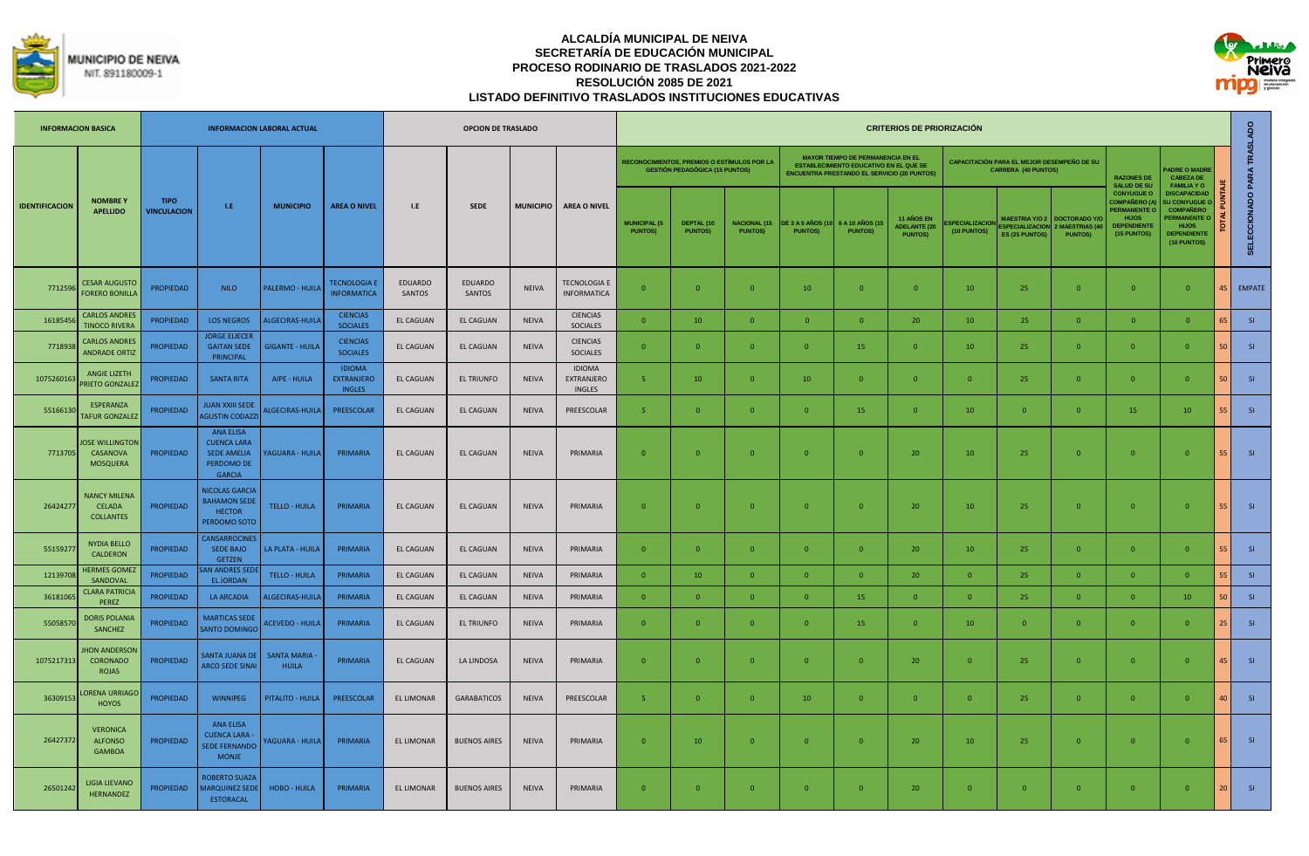



|                       | <b>INFORMACION BASICA</b>                                |                                   |                                                                                             | <b>INFORMACION LABORAL ACTUAL</b>  |                                                     |                          | <b>OPCION DE TRASLADO</b> |              |                                              |                                       |                                                                                      |                                        |                                             |                                                                                                                                                 | <b>CRITERIOS DE PRIORIZACIÓN</b>                    |                                      |                                                                          |                                                                   |                                                                                                               |                                                                                                                                          |                 |                            |
|-----------------------|----------------------------------------------------------|-----------------------------------|---------------------------------------------------------------------------------------------|------------------------------------|-----------------------------------------------------|--------------------------|---------------------------|--------------|----------------------------------------------|---------------------------------------|--------------------------------------------------------------------------------------|----------------------------------------|---------------------------------------------|-------------------------------------------------------------------------------------------------------------------------------------------------|-----------------------------------------------------|--------------------------------------|--------------------------------------------------------------------------|-------------------------------------------------------------------|---------------------------------------------------------------------------------------------------------------|------------------------------------------------------------------------------------------------------------------------------------------|-----------------|----------------------------|
|                       |                                                          |                                   |                                                                                             |                                    |                                                     |                          |                           |              |                                              |                                       | RECONOCIMIENTOS, PREMIOS O ESTÍMULOS POR LA<br><b>GESTIÓN PEDAGÓGICA (15 PUNTOS)</b> |                                        |                                             | <b>MAYOR TIEMPO DE PERMANENCIA EN EL</b><br><b>ESTABLECIMIENTO EDUCATIVO EN EL QUE SE</b><br><b>ENCUENTRA PRESTANDO EL SERVICIO (20 PUNTOS)</b> |                                                     |                                      | CAPACITACIÓN PARA EL MEJOR DESEMPEÑO DE SU<br><b>CARRERA (40 PUNTOS)</b> |                                                                   | <b>RAZONES DE</b><br><b>SALUD DE SU</b>                                                                       | <b>ADRE O MADRE</b><br><b>CABEZA DE</b><br><b>FAMILIA YO</b>                                                                             |                 |                            |
| <b>IDENTIFICACION</b> | <b>NOMBREY</b><br><b>APELLIDO</b>                        | <b>TIPO</b><br><b>VINCULACION</b> | $\mathbf{LE}$ .                                                                             | <b>MUNICIPIO</b>                   | <b>AREA O NIVEL</b>                                 | L.E                      | SEDE                      |              | MUNICIPIO AREA O NIVEL                       | <b>MUNICIPAL (5</b><br><b>PUNTOS)</b> | DEPTAL (10<br><b>PUNTOS)</b>                                                         | <b>NACIONAL (15)</b><br><b>PUNTOS)</b> | <b>DE 3 A 5 AÑOS (10)</b><br><b>PUNTOS)</b> | 6 A 10 AÑOS (15<br><b>PUNTOS)</b>                                                                                                               | 11 AÑOS EN<br><b>ADELANTE (20</b><br><b>PUNTOS)</b> | <b>SPECIALIZACION</b><br>(10 PUNTOS) | <b>SPECIALIZACION</b><br>ES (25 PUNTOS)                                  | MAESTRIA Y/O 2 DOCTORADO Y/C<br>2 MAESTRIAS (40<br><b>PUNTOS)</b> | <b>CONYUGUE O</b><br>COMPAÑERO (A<br><b>PERMANENTE O</b><br><b>HIJOS</b><br><b>DEPENDIENTE</b><br>(15 PUNTOS) | <b>DISCAPACIDAD</b><br><b>U CONYUGUE</b><br><b>COMPAÑERO</b><br><b>PERMANENTE C</b><br><b>HIJOS</b><br><b>DEPENDIENTE</b><br>(10 PUNTOS) |                 | SELECCIONADO PARA TRASLADO |
| 771259                | <b>CESAR AUGUSTO</b><br><b>FORERO BONILLA</b>            | <b>PROPIEDAD</b>                  | <b>NILO</b>                                                                                 | PALERMO - HUILA                    | <b>TECNOLOGIA E</b><br><b>INFORMATICA</b>           | <b>EDUARDO</b><br>SANTOS | <b>EDUARDO</b><br>SANTOS  | <b>NEIVA</b> | TECNOLOGIA E<br><b>INFORMATICA</b>           | $\mathbf{0}$                          | $\overline{0}$                                                                       | $\mathbf{0}$                           | 10                                          | $\overline{0}$                                                                                                                                  | $\overline{0}$                                      | 10                                   | 25                                                                       | $\overline{0}$                                                    | $\overline{0}$                                                                                                | $\mathbf{0}$                                                                                                                             | 45              | EMPATE                     |
| 1618545               | <b>CARLOS ANDRES</b><br><b>TINOCO RIVERA</b>             | <b>PROPIEDAD</b>                  | <b>LOS NEGROS</b>                                                                           | ALGECIRAS-HUILA                    | <b>CIENCIAS</b><br><b>SOCIALES</b>                  | EL CAGUAN                | EL CAGUAN                 | <b>NEIVA</b> | <b>CIENCIAS</b><br><b>SOCIALES</b>           | $\mathbf{0}$                          | 10                                                                                   | $\mathbf{0}$                           | $\mathbf{0}$                                | $\overline{0}$                                                                                                                                  | 20                                                  | 10                                   | 25                                                                       | $\overline{0}$                                                    | $\overline{0}$                                                                                                | $\Omega$                                                                                                                                 | 65              | S1                         |
| 771893                | <b>CARLOS ANDRES</b><br><b>ANDRADE ORTIZ</b>             | <b>PROPIEDAD</b>                  | <b>ORGE ELIECER</b><br><b>GAITAN SEDE</b><br>PRINCIPAL                                      | <b>GIGANTE - HUILA</b>             | <b>CIENCIAS</b><br><b>SOCIALES</b>                  | EL CAGUAN                | EL CAGUAN                 | <b>NEIVA</b> | <b>CIENCIAS</b><br>SOCIALES                  | $\overline{0}$                        | $\overline{0}$                                                                       | $\mathbf{0}$                           | $\overline{0}$                              | 15                                                                                                                                              | $\overline{0}$                                      | 10                                   | 25                                                                       | $\overline{0}$                                                    | $\overline{0}$                                                                                                | $\overline{0}$                                                                                                                           | 50 <sub>1</sub> | $-SI$                      |
| 1075260163            | ANGIE LIZETH<br><b>RIETO GONZALE</b>                     | <b>PROPIEDAD</b>                  | <b>SANTA RITA</b>                                                                           | AIPE - HUILA                       | <b>IDIOMA</b><br><b>EXTRANJERO</b><br><b>INGLES</b> | EL CAGUAN                | <b>EL TRIUNFO</b>         | <b>NEIVA</b> | <b>IDIOMA</b><br>EXTRANJERO<br><b>INGLES</b> | -5                                    | 10                                                                                   | $\mathbf{0}$                           | 10                                          | $\overline{0}$                                                                                                                                  | $\overline{0}$                                      | $\overline{0}$                       | 25                                                                       | $\overline{0}$                                                    | $\overline{0}$                                                                                                | $\overline{0}$                                                                                                                           | 50 <sup>1</sup> | S1                         |
| 55166130              | ESPERANZA<br>AFUR GONZALE                                | PROPIEDAD                         | <b>JUAN XXIII SEDE</b><br><b>AGUSTIN CODAZZ</b>                                             | ALGECIRAS-HUILA                    | PREESCOLAR                                          | EL CAGUAN                | EL CAGUAN                 | <b>NEIVA</b> | PREESCOLAR                                   | -5                                    | $\overline{0}$                                                                       | $\mathbf{0}$                           | $\overline{0}$                              | 15                                                                                                                                              | $\overline{0}$                                      | 10                                   | $\overline{0}$                                                           | $\overline{0}$                                                    | 15                                                                                                            | 10                                                                                                                                       | 55              | S1                         |
| 7713705               | <b>OSE WILLINGTON</b><br>CASANOVA<br>MOSQUERA            | <b>PROPIEDAD</b>                  | <b>ANA ELISA</b><br><b>CUENCA LARA</b><br><b>SEDE AMELIA</b><br>PERDOMO DE<br><b>GARCIA</b> | YAGUARA - HUILA                    | PRIMARIA                                            | <b>EL CAGUAN</b>         | EL CAGUAN                 | <b>NEIVA</b> | PRIMARIA                                     | $\mathbf{0}$                          | $\mathbf{0}$                                                                         | $\mathbf{0}$                           | $\mathbf{0}$                                | $\overline{0}$                                                                                                                                  | 20                                                  | 10 <sup>°</sup>                      | 25                                                                       | $\mathbf{0}$                                                      | $\overline{0}$                                                                                                | $\overline{0}$                                                                                                                           | 55.             | S1                         |
| 26424277              | <b>NANCY MILENA</b><br><b>CELADA</b><br><b>COLLANTES</b> | <b>PROPIEDAD</b>                  | <b>NICOLAS GARCIA</b><br><b>BAHAMON SEDE</b><br><b>HECTOR</b><br>PERDOMO SOTO               | <b>TELLO - HUILA</b>               | PRIMARIA                                            | EL CAGUAN                | EL CAGUAN                 | <b>NEIVA</b> | PRIMARIA                                     | $\mathbf{0}$                          | $\mathbf{0}$                                                                         | $\mathbf{0}$                           | $\overline{0}$                              | $\overline{0}$                                                                                                                                  | 20                                                  | 10                                   | 25                                                                       | $\overline{0}$                                                    | $\mathbf{0}$                                                                                                  | $\mathbf{0}$                                                                                                                             | 55              | S1                         |
| 5515927               | <b>NYDIA BELLO</b><br><b>CALDERON</b>                    | <b>PROPIEDAD</b>                  | <b>CANSARROCINE</b><br>SEDE BAJO<br><b>GETZEN</b>                                           | LA PLATA - HUILA                   | PRIMARIA                                            | EL CAGUAN                | EL CAGUAN                 | <b>NEIVA</b> | PRIMARIA                                     | $\mathbf{0}$                          | $\mathbf{0}$                                                                         | $\mathbf{0}$                           | $\mathbf{0}$                                | $\overline{0}$                                                                                                                                  | 20                                                  | 10                                   | 25                                                                       | $\overline{0}$                                                    | $\overline{0}$                                                                                                | $\overline{0}$                                                                                                                           | 55.             | S1                         |
| 1213970               | <b>HERMES GOMEZ</b><br>SANDOVAL                          | <b>PROPIEDAD</b>                  | <b>N ANDRES SED</b><br><b>EL JORDAN</b>                                                     | <b>TELLO - HUILA</b>               | PRIMARIA                                            | EL CAGUAN                | EL CAGUAN                 | <b>NEIVA</b> | PRIMARIA                                     | $\mathbf{0}$                          | 10                                                                                   | $\Omega$                               | $\Omega$                                    | $\overline{0}$                                                                                                                                  | 20                                                  | $\Omega$                             | 25                                                                       | $\Omega$                                                          | $\overline{0}$                                                                                                | $\Omega$                                                                                                                                 |                 | S1                         |
| 36181065              | <b>CLARA PATRICI</b><br>PEREZ                            | PROPIEDAD                         | <b>LA ARCADIA</b>                                                                           | ALGECIRAS-HUILA                    | PRIMARIA                                            | EL CAGUAN                | EL CAGUAN                 | <b>NEIVA</b> | PRIMARIA                                     | $\overline{0}$                        | $\overline{0}$                                                                       | $\mathbf{0}$                           | $\mathbf{0}$                                | 15                                                                                                                                              | $\overline{0}$                                      | $\Omega$                             | 25                                                                       | $\overline{0}$                                                    | $\overline{0}$                                                                                                | 10                                                                                                                                       | 50              | S1                         |
| 5505857               | <b>DORIS POLANIA</b><br>SANCHEZ                          | <b>PROPIEDAD</b>                  | <b>MARTICAS SEDE</b><br><b>SANTO DOMINGC</b>                                                | <b>ACEVEDO - HUILA</b>             | PRIMARIA                                            | EL CAGUAN                | EL TRIUNFO                | <b>NEIVA</b> | PRIMARIA                                     | $\mathbf{0}$                          | $\overline{0}$                                                                       | $\Omega$                               | $\mathbf{0}$                                | 15                                                                                                                                              | $\overline{0}$                                      | 10                                   | $\overline{0}$                                                           | $\overline{0}$                                                    | $\overline{0}$                                                                                                | $\overline{0}$                                                                                                                           | 25 <sub>1</sub> | S1                         |
| 1075217313            | <b>HON ANDERSON</b><br><b>CORONADO</b><br>ROJAS          | PROPIEDAD                         | SANTA JUANA DE<br><b>ARCO SEDE SINA</b>                                                     | <b>SANTA MARIA</b><br><b>HUILA</b> | PRIMARIA                                            | EL CAGUAN                | LA LINDOSA                | <b>NEIVA</b> | PRIMARIA                                     | $\overline{0}$                        | $\overline{0}$                                                                       | $\mathbf{0}$                           | $\overline{0}$                              | $\overline{0}$                                                                                                                                  | 20                                                  | $\Omega$                             | 25                                                                       | $\overline{0}$                                                    | $\overline{0}$                                                                                                | $\overline{0}$                                                                                                                           | 45              | S1                         |
| 36309153              | ORENA URRIAGO<br><b>HOYOS</b>                            | <b>PROPIEDAD</b>                  | <b>WINNIPEG</b>                                                                             | PITALITO - HUILA                   | PREESCOLAR                                          | <b>EL LIMONAR</b>        | <b>GARABATICOS</b>        | <b>NEIVA</b> | PREESCOLAR                                   | -5                                    | $\mathbf{0}$                                                                         | $\mathbf{0}$                           | 10                                          | $\overline{0}$                                                                                                                                  | $\overline{0}$                                      | $\Omega$                             | 25                                                                       | $\overline{0}$                                                    | $\overline{0}$                                                                                                | $\overline{0}$                                                                                                                           | 40              | S1                         |
| 26427372              | <b>VERONICA</b><br><b>ALFONSO</b><br><b>GAMBOA</b>       | PROPIEDAD                         | <b>ANA ELISA</b><br><b>CUENCA LARA</b><br><b>SEDE FERNANDO</b><br><b>MONJE</b>              | YAGUARA - HUILA                    | PRIMARIA                                            | <b>EL LIMONAR</b>        | <b>BUENOS AIRES</b>       | <b>NEIVA</b> | PRIMARIA                                     | $\mathbf{0}$                          | 10                                                                                   | $\mathbf{0}$                           | $\overline{0}$                              | $\Omega$                                                                                                                                        | 20                                                  | 10                                   | 25                                                                       | $\Omega$                                                          | $\overline{0}$                                                                                                | $\overline{0}$                                                                                                                           | 65              | S1                         |
| 26501242              | <b>LIGIA LIEVANO</b><br>HERNANDEZ                        | <b>PROPIEDAD</b>                  | ROBERTO SUAZA<br><b>AARQUINEZ SED</b><br><b>ESTORACAL</b>                                   | <b>HOBO - HUILA</b>                | PRIMARIA                                            | EL LIMONAR               | <b>BUENOS AIRES</b>       | <b>NEIVA</b> | PRIMARIA                                     | $\mathbf{0}$                          | $\mathbf{0}$                                                                         | $\mathbf{0}$                           | $\overline{0}$                              | $\overline{0}$                                                                                                                                  | 20                                                  | $\mathbf{0}$                         | $\overline{0}$                                                           | $\mathbf{0}$                                                      | $\overline{0}$                                                                                                | $\overline{0}$                                                                                                                           | 20              | S1                         |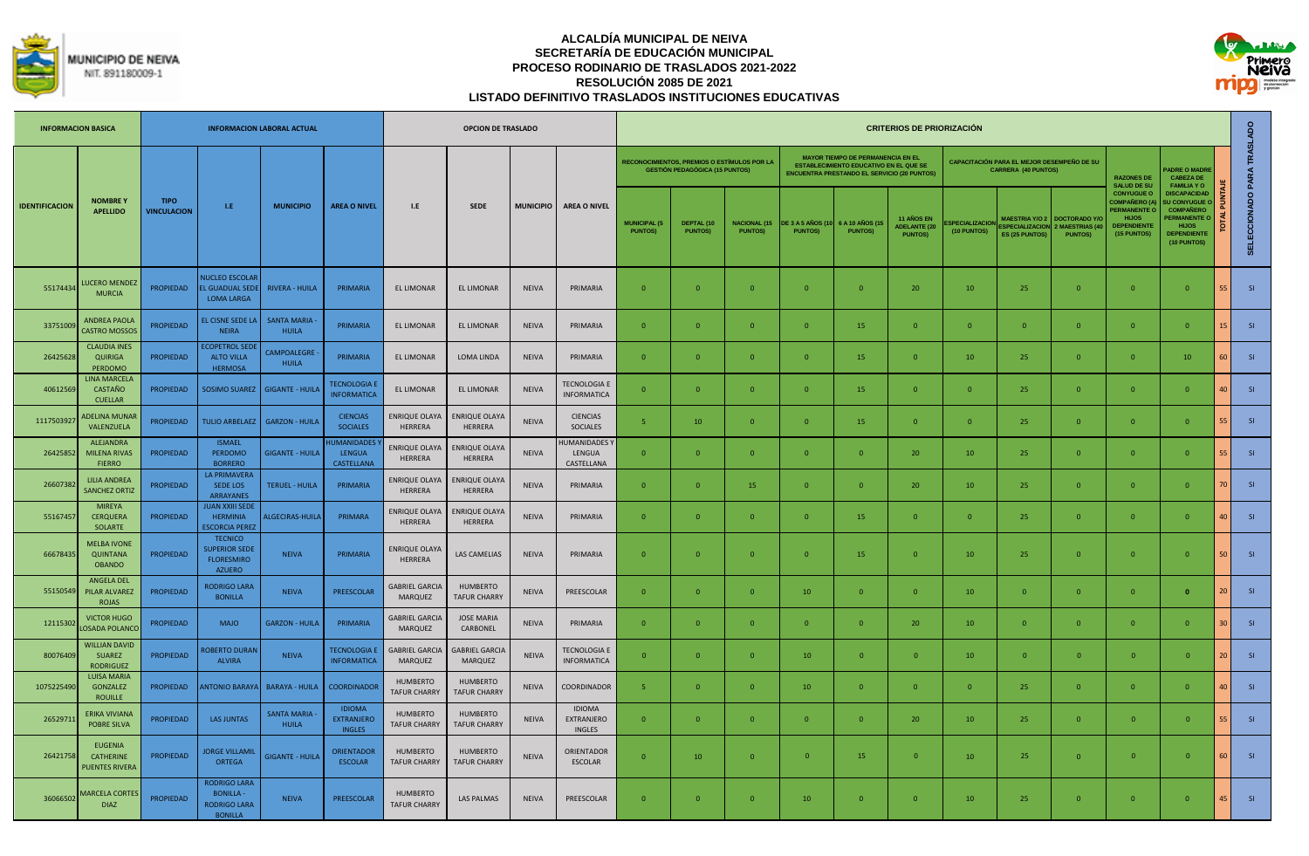



|                       | <b>INFORMACION BASICA</b>                                   |                                   |                                                                                 | <b>INFORMACION LABORAL ACTUAL</b>  |                                                     |                                        | <b>OPCION DE TRASLADO</b>               |                  |                                            |                                       |                                                                                             |                                        |                                            |                                                                                                                                                 | <b>CRITERIOS DE PRIORIZACIÓN</b>                           |                                      |                                                                                 |                                                       |                                                                                                                      |                                                                                                                                       |                 |                            |
|-----------------------|-------------------------------------------------------------|-----------------------------------|---------------------------------------------------------------------------------|------------------------------------|-----------------------------------------------------|----------------------------------------|-----------------------------------------|------------------|--------------------------------------------|---------------------------------------|---------------------------------------------------------------------------------------------|----------------------------------------|--------------------------------------------|-------------------------------------------------------------------------------------------------------------------------------------------------|------------------------------------------------------------|--------------------------------------|---------------------------------------------------------------------------------|-------------------------------------------------------|----------------------------------------------------------------------------------------------------------------------|---------------------------------------------------------------------------------------------------------------------------------------|-----------------|----------------------------|
|                       |                                                             |                                   |                                                                                 |                                    |                                                     |                                        |                                         |                  |                                            |                                       | <b>RECONOCIMIENTOS, PREMIOS O ESTÍMULOS POR LA</b><br><b>GESTIÓN PEDAGÓGICA (15 PUNTOS)</b> |                                        |                                            | <b>MAYOR TIEMPO DE PERMANENCIA EN EL</b><br><b>ESTABLECIMIENTO EDUCATIVO EN EL QUE SE</b><br><b>ENCUENTRA PRESTANDO EL SERVICIO (20 PUNTOS)</b> |                                                            |                                      | <b>CAPACITACIÓN PARA EL MEJOR DESEMPEÑO DE SU</b><br><b>CARRERA (40 PUNTOS)</b> |                                                       | <b>RAZONES DE</b><br><b>SALUD DE SU</b>                                                                              | <b>ADRE O MADRE</b><br><b>CABEZA DE</b><br><b>FAMILIA YO</b>                                                                          |                 |                            |
| <b>IDENTIFICACION</b> | <b>NOMBREY</b><br><b>APELLIDO</b>                           | <b>TIPO</b><br><b>VINCULACION</b> | L.E                                                                             | <b>MUNICIPIO</b>                   | <b>AREA O NIVEL</b>                                 | 1.E                                    | <b>SEDE</b>                             | <b>MUNICIPIO</b> | <b>AREA O NIVEL</b>                        | <b>MUNICIPAL (5</b><br><b>PUNTOS)</b> | DEPTAL (10<br><b>PUNTOS)</b>                                                                | <b>NACIONAL (15)</b><br><b>PUNTOS)</b> | <b>DE 3 A 5 AÑOS (10</b><br><b>PUNTOS)</b> | 6 A 10 AÑOS (1<br><b>PUNTOS)</b>                                                                                                                | <b>11 AÑOS EN</b><br><b>ADELANTE (20</b><br><b>PUNTOS)</b> | <b>SPECIALIZACION</b><br>(10 PUNTOS) | <b>MAESTRIA Y/O 2</b><br><b>SPECIALIZACION</b><br><b>ES (25 PUNTOS)</b>         | DOCTORADO Y/<br><b>MAESTRIAS (4</b><br><b>PUNTOS)</b> | <b>CONYUGUE O</b><br><b>COMPAÑERO (A)</b><br><b>ERMANENTE O</b><br><b>HIJOS</b><br><b>DEPENDIENTE</b><br>(15 PUNTOS) | <b>DISCAPACIDAD</b><br><b>U CONYUGUE</b><br><b>COMPAÑERO</b><br><b>ERMANENTE</b><br><b>HIJOS</b><br><b>DEPENDIENTE</b><br>(10 PUNTOS) |                 | SELECCIONADO PARA TRASLADO |
| 55174434              | <b>UCERO MENDEZ</b><br><b>MURCIA</b>                        | <b>PROPIEDAD</b>                  | <b>NUCLEO ESCOLAR</b><br><b>L GUADUAL SEDI</b><br><b>LOMA LARGA</b>             | <b>RIVERA - HUILA</b>              | PRIMARIA                                            | <b>EL LIMONAR</b>                      | <b>EL LIMONAR</b>                       | <b>NEIVA</b>     | PRIMARIA                                   | $\Omega$                              | $\Omega$                                                                                    | $\Omega$                               | $\Omega$                                   | $\Omega$                                                                                                                                        | 20                                                         | 10                                   | 25                                                                              | $\Omega$                                              | $\Omega$                                                                                                             | $\Omega$                                                                                                                              |                 | SI                         |
| 3375100               | <b>ANDREA PAOLA</b><br>CASTRO MOSSO:                        | <b>PROPIEDAD</b>                  | EL CISNE SEDE LA<br><b>NEIRA</b>                                                | <b>SANTA MARIA</b><br><b>HUILA</b> | PRIMARIA                                            | EL LIMONAR                             | <b>EL LIMONAR</b>                       | <b>NEIVA</b>     | PRIMARIA                                   | $\Omega$                              | $\Omega$                                                                                    | $\Omega$                               | $\Omega$                                   | 15                                                                                                                                              | $\mathbf{0}$                                               | $\Omega$                             | $\overline{0}$                                                                  | $\overline{0}$                                        | $\overline{0}$                                                                                                       | $\Omega$                                                                                                                              |                 | SI                         |
| 26425628              | <b>CLAUDIA INES</b><br><b>QUIRIGA</b><br>PERDOMO            | <b>PROPIEDAD</b>                  | <b>ECOPETROL SEDI</b><br><b>ALTO VILLA</b><br><b>HERMOSA</b>                    | CAMPOALFGRE<br><b>HUILA</b>        | PRIMARIA                                            | EL LIMONAR                             | <b>LOMA LINDA</b>                       | <b>NEIVA</b>     | PRIMARIA                                   | $\Omega$                              | $\Omega$                                                                                    | $\Omega$                               | $\Omega$                                   | 15                                                                                                                                              | $\Omega$                                                   | 10                                   | 25                                                                              | $\overline{0}$                                        | $\mathbf{0}$                                                                                                         | 10                                                                                                                                    | 60              | SI                         |
| 4061256               | LINA MARCELA<br>CASTAÑO<br><b>CUELLAR</b>                   | <b>PROPIEDAD</b>                  |                                                                                 | SOSIMO SUAREZ   GIGANTE - HUILA    | <b>TECNOLOGIA E</b><br><b>INFORMATICA</b>           | <b>EL LIMONAR</b>                      | <b>EL LIMONAR</b>                       | <b>NEIVA</b>     | <b>TECNOLOGIA E</b><br><b>INFORMATICA</b>  | $\Omega$                              | $\Omega$                                                                                    | $\Omega$                               | $\Omega$                                   | 15                                                                                                                                              | $\Omega$                                                   | $\Omega$                             | 25                                                                              | $\Omega$                                              | $\Omega$                                                                                                             | $\Omega$                                                                                                                              |                 | SI                         |
| 111750392             | ADELINA MUNA<br>VALENZUELA                                  | <b>PROPIEDAD</b>                  |                                                                                 | TULIO ARBELAEZ   GARZON - HUILA    | <b>CIENCIAS</b><br><b>SOCIALES</b>                  | <b>ENRIQUE OLAYA</b><br>HERRERA        | ENRIQUE OLAYA<br>HERRERA                | <b>NEIVA</b>     | <b>CIENCIAS</b><br><b>SOCIALES</b>         | -5                                    | 10                                                                                          | $\overline{0}$                         | $\mathbf{0}$                               | 15                                                                                                                                              | $\overline{0}$                                             | $\mathbf{0}$                         | 25                                                                              | $\mathbf{0}$                                          | $\mathbf{0}$                                                                                                         | $\mathbf{0}$                                                                                                                          |                 | SI                         |
| 26425852              | <b>ALEJANDRA</b><br><b>MILENA RIVAS</b><br><b>FIERRO</b>    | <b>PROPIEDAD</b>                  | <b>ISMAFL</b><br><b>PERDOMO</b><br><b>BORRERO</b>                               | <b>GIGANTE - HUILA</b>             | <b>HUMANIDADES</b><br><b>LENGUA</b><br>CASTELLANA   | <b>ENRIQUE OLAYA</b><br>HERRERA        | <b>ENRIQUE OLAYA</b><br>HERRERA         | <b>NFIVA</b>     | <b>IUMANIDADES</b><br>LENGUA<br>CASTELLANA | $\Omega$                              | $\Omega$                                                                                    | $\Omega$                               | $\Omega$                                   | $\Omega$                                                                                                                                        | 20                                                         | 10 <sup>10</sup>                     | 25                                                                              | $\Omega$                                              | $\Omega$                                                                                                             | $\Omega$                                                                                                                              |                 | SI                         |
| 2660738               | <b>LILIA ANDREA</b><br><b>SANCHEZ ORTIZ</b>                 | <b>PROPIEDAD</b>                  | <b>LA PRIMAVERA</b><br>SEDE LOS<br><b>ARRAYANES</b>                             | <b>TERUEL - HUILA</b>              | PRIMARIA                                            | <b>ENRIQUE OLAYA</b><br>HERRERA        | ENRIQUE OLAYA<br>HERRERA                | <b>NEIVA</b>     | PRIMARIA                                   | $\overline{0}$                        | $\Omega$                                                                                    | 15                                     | $\mathbf{0}$                               | $\Omega$                                                                                                                                        | 20                                                         | 10                                   | 25                                                                              | $\mathbf{0}$                                          | $\mathbf{0}$                                                                                                         | $\Omega$                                                                                                                              |                 | SI                         |
| 55167457              | <b>MIREYA</b><br><b>CERQUERA</b><br>SOLARTE                 | <b>PROPIEDAD</b>                  | <b>JUAN XXIII SEDI</b><br><b>HFRMINIA</b><br><b>SCORCIA PEREZ</b>               | ALGECIRAS-HUILA                    | PRIMARA                                             | <b>ENRIQUE OLAYA</b><br>HERRERA        | <b>INRIQUE OLAYA</b><br>HERRERA         | <b>NEIVA</b>     | PRIMARIA                                   | $\Omega$                              | $\Omega$                                                                                    | $\Omega$                               | $\Omega$                                   | 15                                                                                                                                              | $\Omega$                                                   | $\Omega$                             | 25                                                                              | $\Omega$                                              | $\Omega$                                                                                                             | $\Omega$                                                                                                                              | 40 <sup>1</sup> | SI                         |
| 66678435              | <b>MELBA IVONE</b><br><b>QUINTANA</b><br><b>OBANDO</b>      | <b>PROPIEDAD</b>                  | <b>TECNICO</b><br><b>SUPERIOR SEDE</b><br><b>FLORESMIRO</b><br><b>AZUERO</b>    | <b>NEIVA</b>                       | PRIMARIA                                            | <b>ENRIQUE OLAY/</b><br>HERRERA        | <b>LAS CAMELIAS</b>                     | <b>NEIVA</b>     | PRIMARIA                                   | $\Omega$                              | $\Omega$                                                                                    | $\Omega$                               | $\overline{0}$                             | 15                                                                                                                                              | $\overline{0}$                                             | 10                                   | 25                                                                              | $\Omega$                                              | $\Omega$                                                                                                             | $\Omega$                                                                                                                              | 50              | SI                         |
| 55150549              | <b>ANGELA DEL</b><br>PILAR ALVAREZ<br><b>ROJAS</b>          | <b>PROPIEDAD</b>                  | <b>RODRIGO LARA</b><br><b>BONILLA</b>                                           | <b>NEIVA</b>                       | PREESCOLAR                                          | <b>GABRIEL GARCIA</b><br>MARQUEZ       | <b>HUMBERTO</b><br><b>TAFUR CHARRY</b>  | <b>NEIVA</b>     | PREESCOLAR                                 | $\overline{0}$                        | $\Omega$                                                                                    | $\Omega$                               | 10                                         | $\Omega$                                                                                                                                        | $\overline{0}$                                             | 10                                   | $\overline{0}$                                                                  | $\mathbf{0}$                                          | $\mathbf{0}$                                                                                                         | $\mathbf{0}$                                                                                                                          | 20 <sup>1</sup> | SI                         |
| 1211530               | <b>VICTOR HUGO</b><br>OSADA POLANCO                         | <b>PROPIEDAD</b>                  | <b>MAJO</b>                                                                     | <b>GARZON - HUILA</b>              | PRIMARIA                                            | <b>GABRIEL GARCIA</b><br>MARQUEZ       | <b>JOSE MARIA</b><br>CARBONEL           | <b>NEIVA</b>     | PRIMARIA                                   | $\Omega$                              | $\Omega$                                                                                    | $\Omega$                               | $\Omega$                                   | $\Omega$                                                                                                                                        | 20                                                         | 10                                   | $\overline{0}$                                                                  | $\Omega$                                              | $\mathbf{0}$                                                                                                         | $\Omega$                                                                                                                              |                 | SI                         |
| 80076409              | <b>WILLIAN DAVID</b><br><b>SUAREZ</b><br><b>RODRIGUEZ</b>   | <b>PROPIEDAD</b>                  | <b>OBERTO DURAN</b><br><b>ALVIRA</b>                                            | <b>NEIVA</b>                       | <b>TECNOLOGIA E</b><br><b>INFORMATICA</b>           | <b>GABRIEL GARCIA</b><br>MARQUEZ       | <b>GABRIEL GARCIA</b><br><b>MARQUEZ</b> | <b>NEIVA</b>     | <b>TECNOLOGIA E</b><br><b>INFORMATICA</b>  | $\Omega$                              | $\Omega$                                                                                    | $\Omega$                               | 10                                         | $\Omega$                                                                                                                                        | $\Omega$                                                   | 10 <sup>°</sup>                      | $\overline{0}$                                                                  | $\Omega$                                              | $\Omega$                                                                                                             | $\Omega$                                                                                                                              | 20.             | SI                         |
| 1075225490            | <b>LUISA MARIA</b><br>GONZALEZ<br><b>ROUILLE</b>            | PROPIEDAD                         |                                                                                 | ANTONIO BARAYA   BARAYA - HUILA    | <b>COORDINADOR</b>                                  | <b>HUMBERTO</b><br><b>TAFUR CHARRY</b> | <b>HUMBERTO</b><br><b>TAFUR CHARRY</b>  | NEIVA            | COORDINADOR                                | -5                                    | $\overline{0}$                                                                              | $\Omega$                               | 10                                         | $\overline{0}$                                                                                                                                  | $\overline{0}$                                             | $\mathbf{0}$                         | 25                                                                              | $\mathbf{0}$                                          | $\mathbf{0}$                                                                                                         | $\mathbf 0$                                                                                                                           | 40 L            | SI                         |
| 2652971               | ERIKA VIVIANA<br><b>POBRE SILVA</b>                         | <b>PROPIEDAD</b>                  | <b>LAS JUNTAS</b>                                                               | <b>SANTA MARIA</b><br><b>HUILA</b> | <b>IDIOMA</b><br><b>EXTRANJERO</b><br><b>INGLES</b> | <b>HUMBERTO</b><br><b>TAFUR CHARRY</b> | <b>HUMBERTO</b><br><b>TAFUR CHARRY</b>  | <b>NEIVA</b>     | <b>IDIOMA</b><br>EXTRANJERO<br>INGLES      | $\Omega$                              | $\Omega$                                                                                    | $\Omega$                               | $\Omega$                                   | $\Omega$                                                                                                                                        | 20                                                         | 10 <sup>1</sup>                      | 25                                                                              | $\Omega$                                              | $\Omega$                                                                                                             | $\Omega$                                                                                                                              |                 | SI                         |
| 26421758              | <b>EUGENIA</b><br><b>CATHERINE</b><br><b>PUENTES RIVERA</b> | <b>PROPIEDAD</b>                  | <b>JORGE VILLAMIL</b><br><b>ORTEGA</b>                                          | <b>GIGANTE - HUILA</b>             | <b>ORIENTADOR</b><br><b>ESCOLAR</b>                 | HUMBERTO<br><b>TAFUR CHARRY</b>        | HUMBERTO<br><b>TAFUR CHARRY</b>         | <b>NEIVA</b>     | <b>ORIENTADOR</b><br><b>ESCOLAR</b>        | $\Omega$                              | 10                                                                                          | $\Omega$                               | $\overline{0}$                             | 15                                                                                                                                              | $\Omega$                                                   | 10 <sup>1</sup>                      | 25                                                                              | $\Omega$                                              | $\overline{0}$                                                                                                       | $\Omega$                                                                                                                              | 60              | SI                         |
| 36066502              | <b>MARCELA CORTI</b><br><b>DIAZ</b>                         | <b>PROPIEDAD</b>                  | <b>RODRIGO LARA</b><br><b>BONILLA-</b><br><b>RODRIGO LARA</b><br><b>BONILLA</b> | <b>NEIVA</b>                       | PREESCOLAR                                          | <b>HUMBERTO</b><br><b>TAFUR CHARRY</b> | LAS PALMAS                              | <b>NEIVA</b>     | PREESCOLAR                                 | $\Omega$                              | $\Omega$                                                                                    | $\Omega$                               | 10                                         | $\Omega$                                                                                                                                        | $\overline{0}$                                             | 10                                   | 25                                                                              | $\Omega$                                              | $\mathbf{0}$                                                                                                         | $\Omega$                                                                                                                              | 45 <sub>1</sub> | S1                         |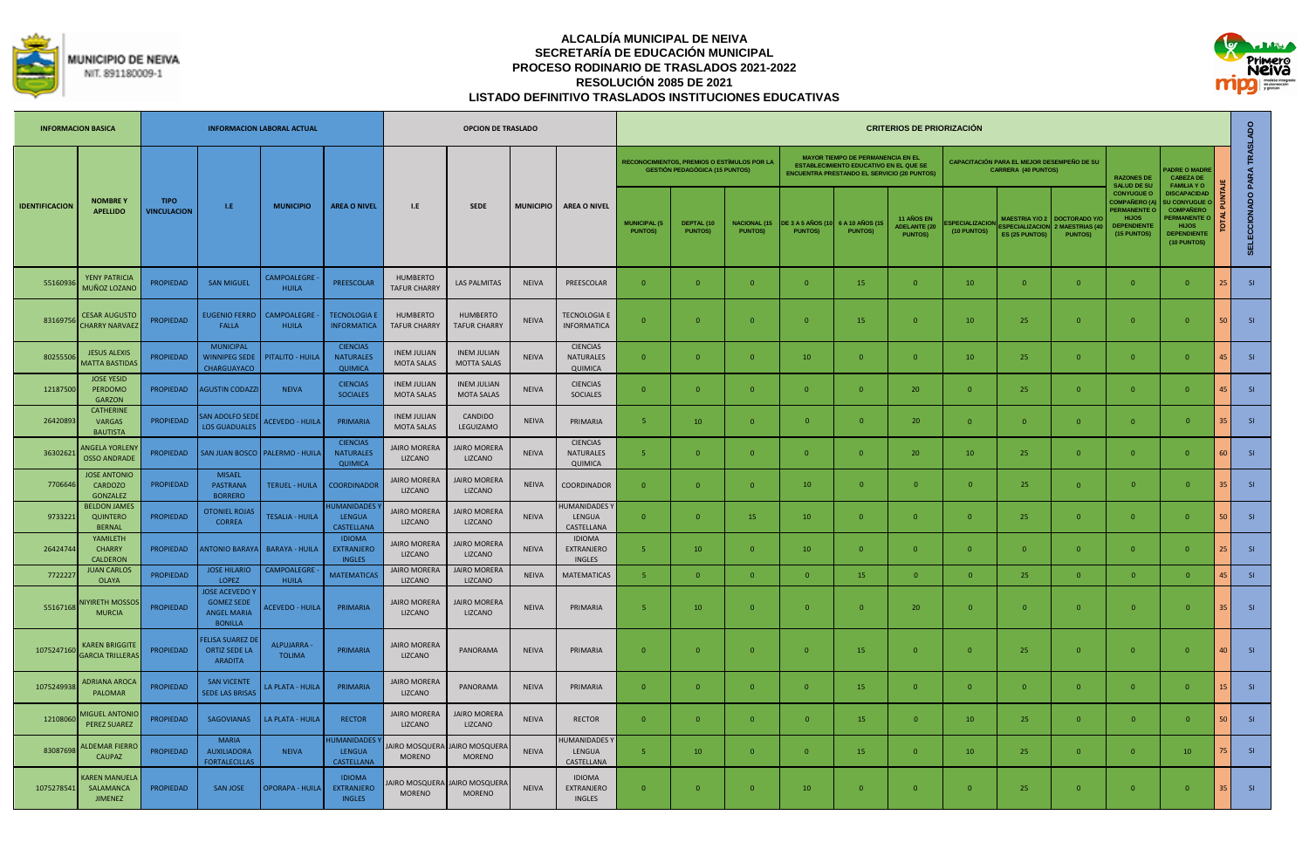



|                       | <b>INFORMACION BASICA</b>                            |                                   |                                                                                  | <b>INFORMACION LABORAL ACTUAL</b>  |                                                       |                                         | <b>OPCION DE TRASLADO</b>                |                  |                                              |                                       |                                                                                      |                                        |                                           |                                                                                                                                                 | <b>CRITERIOS DE PRIORIZACIÓN</b>                    |                                       |                                                                          |                                               |                                                                                                               |                                                                                                                                          |                 |                            |
|-----------------------|------------------------------------------------------|-----------------------------------|----------------------------------------------------------------------------------|------------------------------------|-------------------------------------------------------|-----------------------------------------|------------------------------------------|------------------|----------------------------------------------|---------------------------------------|--------------------------------------------------------------------------------------|----------------------------------------|-------------------------------------------|-------------------------------------------------------------------------------------------------------------------------------------------------|-----------------------------------------------------|---------------------------------------|--------------------------------------------------------------------------|-----------------------------------------------|---------------------------------------------------------------------------------------------------------------|------------------------------------------------------------------------------------------------------------------------------------------|-----------------|----------------------------|
|                       |                                                      |                                   |                                                                                  |                                    |                                                       |                                         |                                          |                  |                                              |                                       | RECONOCIMIENTOS. PREMIOS O ESTÍMULOS POR LA<br><b>GESTIÓN PEDAGÓGICA (15 PUNTOS)</b> |                                        |                                           | <b>MAYOR TIEMPO DE PERMANENCIA EN EL</b><br><b>ESTABLECIMIENTO EDUCATIVO EN EL QUE SE</b><br><b>ENCUENTRA PRESTANDO EL SERVICIO (20 PUNTOS)</b> |                                                     |                                       | CAPACITACIÓN PARA EL MEJOR DESEMPEÑO DE SU<br><b>CARRERA (40 PUNTOS)</b> |                                               | <b>RAZONES DE</b><br><b>SALUD DE SU</b>                                                                       | <b>ADRE O MADRE</b><br><b>CABEZA DE</b><br><b>FAMILIA YO</b>                                                                             |                 |                            |
| <b>IDENTIFICACION</b> | <b>NOMBREY</b><br><b>APELLIDO</b>                    | <b>TIPO</b><br><b>VINCULACION</b> | L.E                                                                              | <b>MUNICIPIO</b>                   | <b>AREA O NIVEL</b>                                   | 1.E                                     | <b>SEDE</b>                              | <b>MUNICIPIO</b> | <b>AREA O NIVEL</b>                          | <b>MUNICIPAL (5</b><br><b>PUNTOS)</b> | <b>DEPTAL (10</b><br><b>PUNTOS)</b>                                                  | <b>NACIONAL (15)</b><br><b>PUNTOS)</b> | <b>DE 3 A 5 AÑOS (1</b><br><b>PUNTOS)</b> | 6 A 10 AÑOS (15<br><b>PUNTOS)</b>                                                                                                               | 11 AÑOS EN<br><b>ADELANTE (20</b><br><b>PUNTOS)</b> | <b>SPECIAL IZACIOL</b><br>(10 PUNTOS) | SPECIALIZACION 2 MAESTRIAS (4<br>ES (25 PUNTOS)                          | MAESTRIA Y/O 2 DOCTORADO Y/<br><b>PUNTOS)</b> | <b>CONYUGUE O</b><br>COMPAÑERO (A<br><b>PERMANENTE O</b><br><b>HLIOS</b><br><b>DEPENDIENTE</b><br>(15 PUNTOS) | <b>DISCAPACIDAD</b><br><b>J CONYUGUE</b><br><b>COMPAÑERO</b><br><b>PERMANENTE C</b><br><b>HIJOS</b><br><b>DEPENDIENTE</b><br>(10 PUNTOS) |                 | SELECCIONADO PARA TRASLADO |
| 5516093               | <b>YENY PATRICIA</b><br>MUÑOZ LOZANC                 | PROPIEDAD                         | <b>SAN MIGUEL</b>                                                                | CAMPOALEGRE<br><b>HUILA</b>        | PREESCOLAR                                            | <b>HUMBERTO</b><br><b>TAFUR CHARRY</b>  | <b>LAS PALMITAS</b>                      | <b>NEIVA</b>     | PREESCOLAR                                   | $\overline{0}$                        | $\overline{0}$                                                                       | $\mathbf{0}$                           | $\overline{0}$                            | 15                                                                                                                                              | $\overline{0}$                                      | 10                                    | $\overline{0}$                                                           | $\overline{0}$                                | $\mathbf{0}$                                                                                                  | $\overline{0}$                                                                                                                           | 25              | S1                         |
| 8316975               | <b>CESAR AUGUSTO</b><br><b>CHARRY NARVAEZ</b>        | <b>PROPIEDAD</b>                  | <b>EUGENIO FERRO</b><br>FALLA                                                    | <b>CAMPOALEGRE</b><br><b>HUILA</b> | <b>TECNOLOGIA E</b><br><b>INFORMATICA</b>             | <b>HUMBERTO</b><br><b>TAFUR CHARRY</b>  | <b>HUMBERTO</b><br><b>TAFUR CHARRY</b>   | <b>NEIVA</b>     | <b>TECNOLOGIA E</b><br><b>INFORMATICA</b>    | $\overline{0}$                        | $\overline{0}$                                                                       | $\Omega$                               | $\overline{0}$                            | 15                                                                                                                                              | $\Omega$                                            | 10                                    | 25                                                                       | $\overline{0}$                                | $\mathbf{0}$                                                                                                  | $\overline{0}$                                                                                                                           | 50 <sup>1</sup> | S1                         |
| 8025550               | <b>JESUS ALEXIS</b><br><b>MATTA BASTIDA</b>          | PROPIEDAD                         | <b>MUNICIPAL</b><br>WINNIPEG SEDE<br>CHARGUAYACO                                 | PITALITO - HUILA                   | <b>CIENCIAS</b><br><b>NATURALES</b><br><b>QUIMICA</b> | <b>INEM JULIAN</b><br><b>MOTA SALAS</b> | <b>INEM JULIAN</b><br><b>MOTTA SALAS</b> | <b>NEIVA</b>     | <b>CIENCIAS</b><br>NATURALES<br>QUIMICA      | $\mathbf{0}$                          | $\overline{0}$                                                                       | $\mathbf{0}$                           | 10                                        | $\overline{0}$                                                                                                                                  | $\mathbf{0}$                                        | 10                                    | 25                                                                       | $\overline{0}$                                | $\mathbf{0}$                                                                                                  | $\overline{0}$                                                                                                                           | 45              | S1                         |
| 12187500              | <b>JOSE YESID</b><br>PERDOMO<br><b>GARZON</b>        | PROPIEDAD                         | <b>AGUSTIN CODAZZI</b>                                                           | <b>NEIVA</b>                       | <b>CIENCIAS</b><br><b>SOCIALES</b>                    | <b>INEM JULIAN</b><br><b>MOTA SALAS</b> | <b>INEM JULIAN</b><br><b>MOTA SALAS</b>  | <b>NEIVA</b>     | <b>CIENCIAS</b><br><b>SOCIALES</b>           | $\Omega$                              | $\Omega$                                                                             | $\Omega$                               | $\overline{0}$                            | $\overline{0}$                                                                                                                                  | 20                                                  | $\Omega$                              | 25                                                                       | $\Omega$                                      | $\mathbf{0}$                                                                                                  | $\Omega$                                                                                                                                 | 45              | S1                         |
| 26420893              | <b>CATHERINE</b><br><b>VARGAS</b><br><b>BAUTISTA</b> | <b>PROPIEDAD</b>                  | AN ADOLFO SED<br><b>LOS GUADUALES</b>                                            | <b>ACEVEDO - HUILA</b>             | PRIMARIA                                              | <b>INEM JULIAN</b><br><b>MOTA SALAS</b> | CANDIDO<br>LEGUIZAMO                     | <b>NEIVA</b>     | PRIMARIA                                     | 5                                     | 10                                                                                   | $\Omega$                               | $\mathbf{0}$                              | $\overline{0}$                                                                                                                                  | 20                                                  |                                       | $\mathbf{0}$                                                             | $\mathbf{0}$                                  | $\overline{0}$                                                                                                | $\mathbf 0$                                                                                                                              | 35 <sub>1</sub> | S1                         |
| 3630262               | NGELA YORLEN<br><b>OSSO ANDRADE</b>                  | <b>PROPIEDAD</b>                  | <b>SAN JUAN BOSCO</b>                                                            | <b>PALERMO - HUILA</b>             | <b>CIENCIAS</b><br><b>NATURALES</b><br><b>QUIMICA</b> | <b>JAIRO MORERA</b><br>LIZCANO          | <b>JAIRO MORERA</b><br>LIZCANO           | <b>NEIVA</b>     | <b>CIENCIAS</b><br>NATURALES<br>QUIMICA      | -5                                    | $\mathbf 0$                                                                          | $\mathbf{0}$                           | $\overline{0}$                            | $\overline{0}$                                                                                                                                  | 20                                                  | 10                                    | 25                                                                       | $\overline{0}$                                | $\mathbf{0}$                                                                                                  | $\mathbf{0}$                                                                                                                             | 60              | S1                         |
| 770664                | <b>JOSE ANTONIO</b><br>CARDOZO<br><b>GONZALEZ</b>    | PROPIEDAD                         | <b>MISAEL</b><br><b>PASTRANA</b><br><b>BORRERO</b>                               | <b>TERUEL - HUILA</b>              | COORDINADOR                                           | <b>JAIRO MORERA</b><br>LIZCANO          | <b>JAIRO MORERA</b><br>LIZCANO           | <b>NEIVA</b>     | COORDINADOR                                  | $\Omega$                              | $\Omega$                                                                             | $\Omega$                               | 10                                        | $\overline{0}$                                                                                                                                  | $\Omega$                                            | $\Omega$                              | 25                                                                       | $\Omega$                                      | $\overline{0}$                                                                                                | $\Omega$                                                                                                                                 | 35 <sup>1</sup> | S1                         |
| 9733221               | <b>BELDON JAMES</b><br><b>QUINTERO</b><br>RERNAL     | <b>PROPIEDAD</b>                  | <b>OTONIEL ROJAS</b><br><b>CORREA</b>                                            | <b>TESALIA - HUILA</b>             | <b>IUMANIDADES</b><br><b>LENGUA</b><br>CASTELLANA     | <b>JAIRO MORERA</b><br>LIZCANO          | <b>JAIRO MORERA</b><br>LIZCANO           | <b>NEIVA</b>     | <b>IUMANIDADES</b><br>LENGUA<br>CASTELLANA   | $\mathbf{0}$                          | $\Omega$                                                                             | 15                                     | 10 <sup>°</sup>                           | $\overline{0}$                                                                                                                                  | $\Omega$                                            | $\Omega$                              | 25                                                                       | $\overline{0}$                                | $\overline{0}$                                                                                                | $\overline{0}$                                                                                                                           | 50              | S1                         |
| 26424744              | YAMILETH<br><b>CHARRY</b><br><b>CALDERON</b>         | PROPIEDAD                         |                                                                                  | NTONIO BARAYA   BARAYA - HUILA     | <b>IDIOMA</b><br>EXTRANJERO<br><b>INGLES</b>          | <b>JAIRO MORERA</b><br>LIZCANO          | <b>JAIRO MORERA</b><br>LIZCANO           | <b>NEIVA</b>     | <b>IDIOMA</b><br>EXTRANJERO<br><b>INGLES</b> | 5                                     | 10                                                                                   | $\mathbf{0}$                           | 10                                        | $\overline{0}$                                                                                                                                  | $\overline{0}$                                      | $\overline{0}$                        | $\mathbf{0}$                                                             | $\overline{0}$                                | $\mathbf{0}$                                                                                                  | $\overline{0}$                                                                                                                           | $25 -$          | SI                         |
| 772222                | <b>JUAN CARLOS</b><br>OLAYA                          | PROPIEDAD                         | <b>JOSE HILARIO</b><br>LOPEZ                                                     | CAMPOALEGRE<br>HUILA               | <b>MATEMATICAS</b>                                    | <b>JAIRO MORERA</b><br>LIZCANO          | <b>JAIRO MORERA</b><br>LIZCANO           | <b>NEIVA</b>     | <b>MATEMATICAS</b>                           | $\overline{\mathbf{S}}$               | $\Omega$                                                                             | $\Omega$                               | $\Omega$                                  | 15                                                                                                                                              | $\Omega$                                            | $\Omega$                              | 25                                                                       | $\Omega$                                      | $\mathbf{0}$                                                                                                  | $\Omega$                                                                                                                                 |                 | SI                         |
| 5516716               | <b>IRETH MOSSC</b><br><b>MURCIA</b>                  | <b>PROPIEDAD</b>                  | <b>JOSE ACEVEDO</b><br><b>GOMEZ SEDE</b><br><b>ANGEL MARIA</b><br><b>BONILLA</b> | <b>ACEVEDO - HUILA</b>             | PRIMARIA                                              | <b>JAIRO MORERA</b><br>LIZCANO          | <b>JAIRO MORERA</b><br>LIZCANO           | <b>NEIVA</b>     | PRIMARIA                                     | $\overline{5}$                        | 10                                                                                   | $\Omega$                               | $\overline{0}$                            | $\overline{0}$                                                                                                                                  | 20                                                  | $\overline{0}$                        | $\overline{0}$                                                           | $\overline{0}$                                | $\mathbf{0}$                                                                                                  | $\mathbf{0}$                                                                                                                             | 35              | S1                         |
| 107524716             | <b>KAREN BRIGGITE</b><br><b>GARCIA TRILLERA</b>      | PROPIEDAD                         | <b>ELISA SUAREZ D</b><br><b>ORTIZ SEDE LA</b><br><b>ARADITA</b>                  | ALPUJARRA -<br><b>TOLIMA</b>       | PRIMARIA                                              | <b>JAIRO MORERA</b><br>LIZCANO          | PANORAMA                                 | <b>NEIVA</b>     | PRIMARIA                                     | $\mathbf{0}$                          | $\Omega$                                                                             | $\Omega$                               | $\overline{0}$                            | 15                                                                                                                                              | $\Omega$                                            | $\Omega$                              | 25                                                                       | $\Omega$                                      | $\overline{0}$                                                                                                | $\Omega$                                                                                                                                 | 40              | S1                         |
| 107524993             | <b>IDRIANA AROCA</b><br>PALOMAR                      | <b>PROPIEDAD</b>                  | <b>SAN VICENTE</b><br>SEDE LAS BRISAS                                            | LA PLATA - HUILA                   | PRIMARIA                                              | <b>JAIRO MORERA</b><br>LIZCANO          | PANORAMA                                 | <b>NEIVA</b>     | PRIMARIA                                     | $\Omega$                              | $\Omega$                                                                             | $\Omega$                               | $\Omega$                                  | 15                                                                                                                                              | $\Omega$                                            | $\Omega$                              | $\overline{0}$                                                           | $\Omega$                                      | $\overline{0}$                                                                                                | $\Omega$                                                                                                                                 | $15-1$          | S1                         |
| 1210806               | <b>MIGUEL ANTONI</b><br><b>PEREZ SUAREZ</b>          | <b>PROPIEDAD</b>                  | <b>SAGOVIANAS</b>                                                                | LA PLATA - HUILA                   | <b>RECTOR</b>                                         | <b>JAIRO MORERA</b><br>LIZCANO          | <b>JAIRO MORERA</b><br>LIZCANO           | <b>NEIVA</b>     | <b>RECTOR</b>                                | $\mathbf{0}$                          | $\overline{0}$                                                                       | $\mathbf{0}$                           | $\overline{0}$                            | 15                                                                                                                                              | $\overline{0}$                                      | 10                                    | 25                                                                       | $\overline{0}$                                | $\overline{0}$                                                                                                | $\mathbf{0}$                                                                                                                             | 50              | S1                         |
| 8308769               | LDEMAR FIERR<br>CAUPAZ                               | PROPIEDAD                         | <b>MARIA</b><br><b>AUXILIADORA</b><br><b>FORTALECILLAS</b>                       | <b>NEIVA</b>                       | <b>IUMANIDADES</b><br>LENGUA<br>CASTELLANA            | AIRO MOSQUERA<br><b>MORENO</b>          | AIRO MOSQUERA<br><b>MORENO</b>           | <b>NEIVA</b>     | <b>IUMANIDADES</b><br>LENGUA<br>CASTELLANA   | -5                                    | 10                                                                                   | $\mathbf{0}$                           | $\overline{0}$                            | 15                                                                                                                                              | $\mathbf{0}$                                        | 10                                    | 25                                                                       | $\overline{0}$                                | $\mathbf{0}$                                                                                                  | 10                                                                                                                                       | 75              | S1                         |
| 1075278541            | <b>CAREN MANUEL</b><br>SALAMANCA<br><b>JIMENEZ</b>   | <b>PROPIEDAD</b>                  | SAN JOSE                                                                         | <b>OPORAPA - HUILA</b>             | <b>IDIOMA</b><br><b>EXTRANJERO</b><br><b>INGLES</b>   | AIRO MOSQUERA<br><b>MORENO</b>          | AIRO MOSQUERA<br><b>MORENO</b>           | <b>NEIVA</b>     | <b>IDIOMA</b><br>EXTRANJERO<br><b>INGLES</b> | $\mathbf{0}$                          | $\mathbf{0}$                                                                         | $\mathbf{0}$                           | 10                                        | $\overline{0}$                                                                                                                                  | $\overline{0}$                                      |                                       | 25                                                                       | $\overline{0}$                                | $\overline{0}$                                                                                                | $\overline{0}$                                                                                                                           | 35              | S1                         |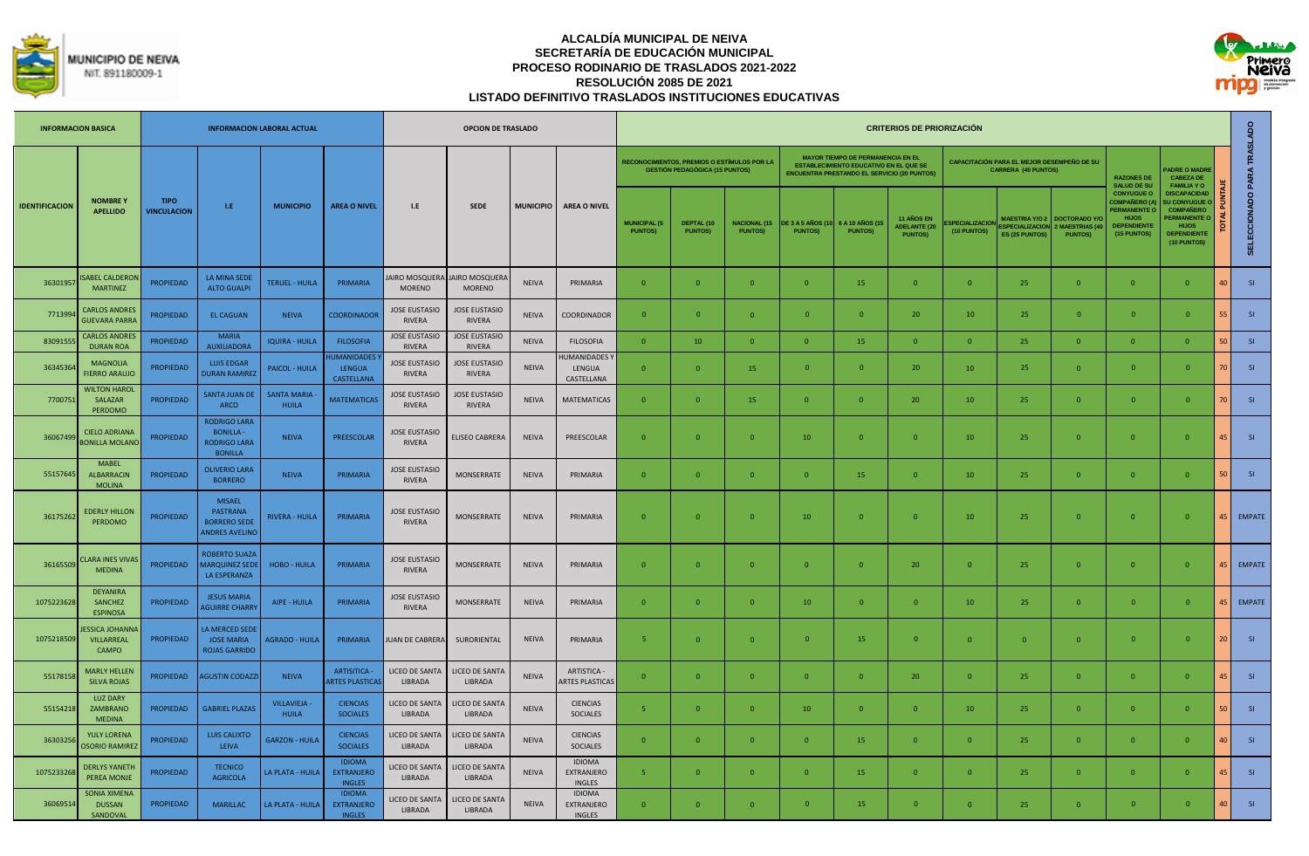



| <b>INFORMACION BASICA</b> |                                                    |                                   |                                                                                  | <b>INFORMACION LABORAL ACTUAL</b>  |                                                     |                                       | OPCION DE TRASLADO                    |                  |                                              |                                       |                                                                                             |                                       |                                     |                                                                                                                                                 | <b>CRITERIOS DE PRIORIZACIÓN</b>                     |                                      |                                                                          |                                                           |                                                                                                               |                                                                                                                                  |                 |                            |
|---------------------------|----------------------------------------------------|-----------------------------------|----------------------------------------------------------------------------------|------------------------------------|-----------------------------------------------------|---------------------------------------|---------------------------------------|------------------|----------------------------------------------|---------------------------------------|---------------------------------------------------------------------------------------------|---------------------------------------|-------------------------------------|-------------------------------------------------------------------------------------------------------------------------------------------------|------------------------------------------------------|--------------------------------------|--------------------------------------------------------------------------|-----------------------------------------------------------|---------------------------------------------------------------------------------------------------------------|----------------------------------------------------------------------------------------------------------------------------------|-----------------|----------------------------|
|                           |                                                    |                                   |                                                                                  |                                    |                                                     |                                       |                                       |                  |                                              |                                       | <b>RECONOCIMIENTOS, PREMIOS O ESTÍMULOS POR LA</b><br><b>GESTIÓN PEDAGÓGICA (15 PUNTOS)</b> |                                       |                                     | <b>MAYOR TIEMPO DE PERMANENCIA EN EL</b><br><b>ESTABLECIMIENTO EDUCATIVO EN EL QUE SE</b><br><b>ENCUENTRA PRESTANDO EL SERVICIO (20 PUNTOS)</b> |                                                      |                                      | CAPACITACIÓN PARA EL MEJOR DESEMPEÑO DE SU<br><b>CARRERA (40 PUNTOS)</b> |                                                           | <b>RAZONES DE</b><br><b>SALUD DE SU</b>                                                                       | <b>ADRE O MADRE</b><br><b>CABEZA DE</b><br><b>FAMILIA YO</b>                                                                     |                 |                            |
| <b>IDENTIFICACION</b>     | <b>NOMBREY</b><br><b>APELLIDO</b>                  | <b>TIPO</b><br><b>VINCULACION</b> | LE.                                                                              | <b>MUNICIPIO</b>                   | <b>AREA O NIVEL</b>                                 | I.E                                   | <b>SEDE</b>                           | <b>MUNICIPIO</b> | <b>AREA O NIVEL</b>                          | <b>MUNICIPAL (5</b><br><b>PUNTOS)</b> | DEPTAL (10<br><b>PUNTOS)</b>                                                                | <b>NACIONAL (15</b><br><b>PUNTOS)</b> | DE 3 A 5 AÑOS (10<br><b>PUNTOS)</b> | 6 A 10 AÑOS (1<br><b>PUNTOS)</b>                                                                                                                | 11 AÑOS EN<br><b>ADELANTE (20)</b><br><b>PUNTOS)</b> | <b>SPECIALIZACIOL</b><br>(10 PUNTOS) | <b>MAESTRIA Y/O 2</b><br><b>SPECIALIZACION</b><br>ES (25 PUNTOS)         | <b>DOCTORADO Y/G</b><br>2 MAESTRIAS (40<br><b>PUNTOS)</b> | <b>CONYUGUE O</b><br><b>COMPAÑERO (/</b><br><b>PERMANENTE O</b><br><b>HLIOS</b><br>DEPENDIENTE<br>(15 PUNTOS) | <b>DISCAPACIDAD</b><br>U CONYUGUE<br><b>COMPAÑERO</b><br><b>ERMANENTE C</b><br><b>HIJOS</b><br><b>DEPENDIENTE</b><br>(10 PUNTOS) |                 | SELECCIONADO PARA TRASLADO |
| 36301957                  | <b>SABEL CALDEROI</b><br><b>MARTINEZ</b>           | <b>PROPIEDAD</b>                  | LA MINA SEDE<br><b>ALTO GUALPI</b>                                               | <b>TERUEL - HUILA</b>              | PRIMARIA                                            | AIRO MOSQUERA<br><b>MORENO</b>        | JAIRO MOSQUERA<br><b>MORENO</b>       | <b>NEIVA</b>     | PRIMARIA                                     | $\mathbf{0}$                          | $\overline{0}$                                                                              | $\overline{0}$                        | $\overline{0}$                      | 15                                                                                                                                              | $\overline{0}$                                       | $\overline{0}$                       | 25                                                                       | $\overline{0}$                                            | $\mathbf{0}$                                                                                                  | $\overline{0}$                                                                                                                   |                 | SI                         |
| 771399                    | <b>CARLOS ANDRES</b><br><b>GUEVARA PARRA</b>       | <b>PROPIEDAD</b>                  | <b>EL CAGUAN</b>                                                                 | <b>NEIVA</b>                       | <b>COORDINADOR</b>                                  | <b>JOSE EUSTASIO</b><br>RIVERA        | <b>JOSE EUSTASIO</b><br><b>RIVERA</b> | <b>NEIVA</b>     | COORDINADOR                                  | $\mathbf{0}$                          | $\Omega$                                                                                    | $\Omega$                              | $\Omega$                            | $\Omega$                                                                                                                                        | 20                                                   | 10                                   | 25                                                                       | $\Omega$                                                  | $\mathbf{0}$                                                                                                  | $\Omega$                                                                                                                         |                 | SI                         |
| 8309155                   | <b>CARLOS ANDRES</b><br><b>DURAN ROA</b>           | <b>PROPIEDAD</b>                  | <b>MARIA</b><br><b>AUXILIADORA</b>                                               | <b>IQUIRA - HUILA</b>              | <b>FILOSOFIA</b>                                    | <b>JOSE EUSTASIO</b><br><b>RIVERA</b> | <b>JOSE EUSTASIO</b><br><b>RIVERA</b> | <b>NEIVA</b>     | <b>FILOSOFIA</b>                             | $\Omega$                              | 10                                                                                          | $\Omega$                              | $\Omega$                            | 15                                                                                                                                              | $\Omega$                                             | $\Omega$                             | 25                                                                       | $\Omega$                                                  | $\Omega$                                                                                                      | $\Omega$                                                                                                                         |                 | SI                         |
| 3634536                   | <b>MAGNOLIA</b><br><b>FIERRO ARAUJO</b>            | <b>PROPIEDAD</b>                  | <b>LUIS EDGAR</b><br><b>DURAN RAMIRE</b>                                         | PAICOL - HUILA                     | <b>IUMANIDADES</b><br>LENGUA<br>CASTELLANA          | <b>JOSE EUSTASIO</b><br>RIVERA        | <b>JOSE EUSTASIO</b><br>RIVERA        | <b>NEIVA</b>     | <b>IUMANIDADES</b><br>LENGUA<br>CASTELLANA   | $\mathbf{0}$                          | $\overline{0}$                                                                              | 15                                    | $\overline{0}$                      | $\overline{0}$                                                                                                                                  | 20                                                   | 10                                   | 25                                                                       | $\mathbf{0}$                                              | $\mathbf{0}$                                                                                                  | $\mathbf{0}$                                                                                                                     |                 | SI                         |
| 770075                    | <b>WILTON HAROL</b><br><b>SALAZAR</b><br>PERDOMO   | <b>PROPIEDAD</b>                  | <b>SANTA JUAN DE</b><br>ARCO                                                     | <b>SANTA MARIA</b><br><b>HUILA</b> | <b>MATEMATICAS</b>                                  | <b>JOSE EUSTASIO</b><br><b>RIVERA</b> | <b>JOSE EUSTASIO</b><br><b>RIVERA</b> | <b>NEIVA</b>     | <b>MATEMATICAS</b>                           | $\mathbf{0}$                          | $\Omega$                                                                                    | 15                                    | $\overline{0}$                      | $\Omega$                                                                                                                                        | 20                                                   | 10                                   | 25                                                                       | $\mathbf{0}$                                              | $\mathbf{0}$                                                                                                  | $\mathbf{0}$                                                                                                                     |                 | SI                         |
| 36067499                  | <b>CIELO ADRIANA</b><br><b>BONILLA MOLANO</b>      | <b>PROPIEDAD</b>                  | <b>RODRIGO LARA</b><br><b>BONILLA-</b><br>RODRIGO LARA<br><b>BONILLA</b>         | <b>NEIVA</b>                       | PREESCOLAR                                          | <b>JOSE EUSTASIO</b><br><b>RIVERA</b> | <b>ELISEO CABRERA</b>                 | <b>NEIVA</b>     | PREESCOLAR                                   | $\overline{0}$                        | $\Omega$                                                                                    | $\Omega$                              | 10                                  | $\Omega$                                                                                                                                        | $\overline{0}$                                       | 10                                   | 25                                                                       | $\Omega$                                                  | $\mathbf{0}$                                                                                                  | $\Omega$                                                                                                                         | $\overline{15}$ | SI                         |
| 55157645                  | <b>MABEL</b><br><b>ALBARRACIN</b><br><b>MOLINA</b> | <b>PROPIEDAD</b>                  | <b>OLIVERIO LARA</b><br><b>BORRERO</b>                                           | <b>NEIVA</b>                       | PRIMARIA                                            | <b>JOSE EUSTASIO</b><br>RIVERA        | <b>MONSERRATE</b>                     | <b>NEIVA</b>     | PRIMARIA                                     | $\mathbf{0}$                          | $\Omega$                                                                                    | $\Omega$                              | $\overline{0}$                      | 15                                                                                                                                              | $\overline{0}$                                       | 10                                   | 25                                                                       | $\mathbf{0}$                                              | $\mathbf{0}$                                                                                                  | $\Omega$                                                                                                                         |                 | S1                         |
| 3617526                   | <b>EDERLY HILLON</b><br>PERDOMO                    | <b>PROPIEDAD</b>                  | <b>MISAFL</b><br><b>PASTRANA</b><br><b>BORRERO SEDE</b><br><b>ANDRES AVELINO</b> | <b>RIVERA - HUILA</b>              | PRIMARIA                                            | <b>JOSE EUSTASIO</b><br><b>RIVERA</b> | <b>MONSERRATE</b>                     | <b>NEIVA</b>     | PRIMARIA                                     | $\Omega$                              | $\Omega$                                                                                    | $\Omega$                              | 10                                  | $\Omega$                                                                                                                                        | $\overline{0}$                                       | 10 <sup>1</sup>                      | 25                                                                       | $\Omega$                                                  | $\mathbf{0}$                                                                                                  | $\Omega$                                                                                                                         |                 | 45 EMPATE                  |
| 36165509                  | <b>LARA INES VIVA</b><br><b>MEDINA</b>             | <b>PROPIEDAD</b>                  | ROBERTO SUAZA<br><b>MARQUINEZ SEDI</b><br>LA ESPERANZA                           | <b>HOBO - HUILA</b>                | PRIMARIA                                            | <b>JOSE EUSTASIO</b><br>RIVERA        | <b>MONSERRATE</b>                     | <b>NEIVA</b>     | PRIMARIA                                     | $\overline{0}$                        | $\overline{0}$                                                                              | $\Omega$                              | $\overline{0}$                      | $\overline{0}$                                                                                                                                  | 20                                                   | $\Omega$                             | 25                                                                       | $\overline{0}$                                            | $\mathbf{0}$                                                                                                  | $\overline{0}$                                                                                                                   |                 | 45 EMPATE                  |
| 1075223628                | <b>DEYANIRA</b><br>SANCHEZ<br><b>ESPINOSA</b>      | <b>PROPIEDAD</b>                  | <b>JESUS MARIA</b><br><b>AGUIRRE CHARRY</b>                                      | AIPE - HUILA                       | PRIMARIA                                            | <b>JOSE EUSTASIO</b><br><b>RIVERA</b> | <b>MONSERRATE</b>                     | <b>NEIVA</b>     | PRIMARIA                                     | $\Omega$                              | $\Omega$                                                                                    | $\overline{0}$                        | 10                                  | $\overline{0}$                                                                                                                                  | $\Omega$                                             | 10                                   | 25                                                                       | $\overline{0}$                                            | $\Omega$                                                                                                      | $\Omega$                                                                                                                         |                 | 45 EMPATE                  |
| 1075218509                | <b>ESSICA JOHANNA</b><br>VILLARREAL<br>CAMPO       | <b>PROPIEDAD</b>                  | LA MERCED SEDE<br><b>JOSE MARIA</b><br><b>ROJAS GARRIDO</b>                      | <b>AGRADO - HUILA</b>              | PRIMARIA                                            | UAN DE CABRERA                        | SURORIENTAL                           | <b>NEIVA</b>     | PRIMARIA                                     | -5                                    | $\overline{0}$                                                                              | $\Omega$                              | $\overline{0}$                      | 15                                                                                                                                              | $\overline{0}$                                       | $\Omega$                             | $\overline{0}$                                                           | $\overline{0}$                                            | $\overline{0}$                                                                                                | $\Omega$                                                                                                                         | 20 <sup>1</sup> | SI                         |
| 5517815                   | <b>MARLY HELLEN</b><br><b>SILVA ROJAS</b>          | PROPIEDAD                         | <b>GUSTIN CODAZZI</b>                                                            | <b>NEIVA</b>                       | <b>ARTISITICA -</b><br><b>ARTES PLASTICAS</b>       | LICEO DE SANTA<br>LIBRADA             | LICEO DE SANTA<br>LIBRADA             | <b>NEIVA</b>     | <b>ARTISTICA</b><br><b>ARTES PLASTICAS</b>   | $\mathbf{0}$                          | $\overline{0}$                                                                              | $\overline{0}$                        | $\overline{0}$                      | $\overline{0}$                                                                                                                                  | 20                                                   | $\mathbf{0}$                         | 25                                                                       | $\overline{0}$                                            | $\mathbf{0}$                                                                                                  | $\Omega$                                                                                                                         | 45              | SI                         |
| 55154218                  | <b>LUZ DARY</b><br>ZAMBRANO<br><b>MEDINA</b>       | PROPIEDAD                         | <b>GABRIEL PLAZAS</b>                                                            | <b>VILLAVIEJA</b><br><b>HUILA</b>  | <b>CIENCIAS</b><br><b>SOCIALES</b>                  | LICEO DE SANTA<br>LIBRADA             | <b>ICEO DE SANTA</b><br>LIBRADA       | <b>NEIVA</b>     | <b>CIENCIAS</b><br><b>SOCIALES</b>           | 5                                     | $\Omega$                                                                                    | $\Omega$                              | 10                                  | $\Omega$                                                                                                                                        | $\Omega$                                             | 10                                   | 25                                                                       | $\Omega$                                                  | $\mathbf{0}$                                                                                                  | $\Omega$                                                                                                                         |                 | SI                         |
| 3630325                   | YULY LORENA<br><b>OSORIO RAMIRE</b>                | <b>PROPIEDAD</b>                  | <b>LUIS CALIXTO</b><br>LEIVA                                                     | <b>GARZON - HUILA</b>              | <b>CIENCIAS</b><br><b>SOCIALES</b>                  | LICEO DE SANTA<br>LIBRADA             | LICEO DE SANTA<br>LIBRADA             | <b>NEIVA</b>     | <b>CIENCIAS</b><br><b>SOCIALES</b>           | $\mathbf{0}$                          | $\overline{0}$                                                                              | $\overline{0}$                        | $\overline{0}$                      | 15                                                                                                                                              | $\overline{0}$                                       | $\mathbf{0}$                         | 25                                                                       | $\mathbf{0}$                                              | $\mathbf{0}$                                                                                                  | $\mathbf{0}$                                                                                                                     |                 | SI                         |
| 107523326                 | <b>DERLYS YANETH</b><br><b>PEREA MONJE</b>         | <b>PROPIEDAD</b>                  | <b>TECNICO</b><br><b>AGRICOLA</b>                                                | LA PLATA - HUILA                   | <b>IDIOMA</b><br><b>EXTRANJERO</b><br><b>INGLES</b> | LICEO DE SANTA<br>LIBRADA             | LICEO DE SANTA<br>LIBRADA             | <b>NEIVA</b>     | <b>IDIOMA</b><br>EXTRANJERO<br><b>INGLES</b> | $\overline{5}$                        | $\overline{0}$                                                                              | $\Omega$                              | $\overline{0}$                      | 15                                                                                                                                              | $\overline{0}$                                       | $\Omega$                             | 25                                                                       | $\overline{0}$                                            | $\Omega$                                                                                                      | $\Omega$                                                                                                                         | 45              | SI                         |
| 36069514                  | <b>SONIA XIMENA</b><br><b>DUSSAN</b><br>SANDOVAL   | <b>PROPIEDAD</b>                  | <b>MARILLAC</b>                                                                  | LA PLATA - HUILA                   | <b>IDIOMA</b><br><b>EXTRANJERO</b><br><b>INGLES</b> | LICEO DE SANTA<br>LIBRADA             | LICEO DE SANTA<br>LIBRADA             | <b>NEIVA</b>     | <b>IDIOMA</b><br>EXTRANJERO<br>INGLES        | $\Omega$                              | $\Omega$                                                                                    | $\Omega$                              | $\Omega$                            | 15                                                                                                                                              | $\Omega$                                             | $\Omega$                             | 25                                                                       | $\Omega$                                                  | $\overline{0}$                                                                                                | $\Omega$                                                                                                                         |                 | SI                         |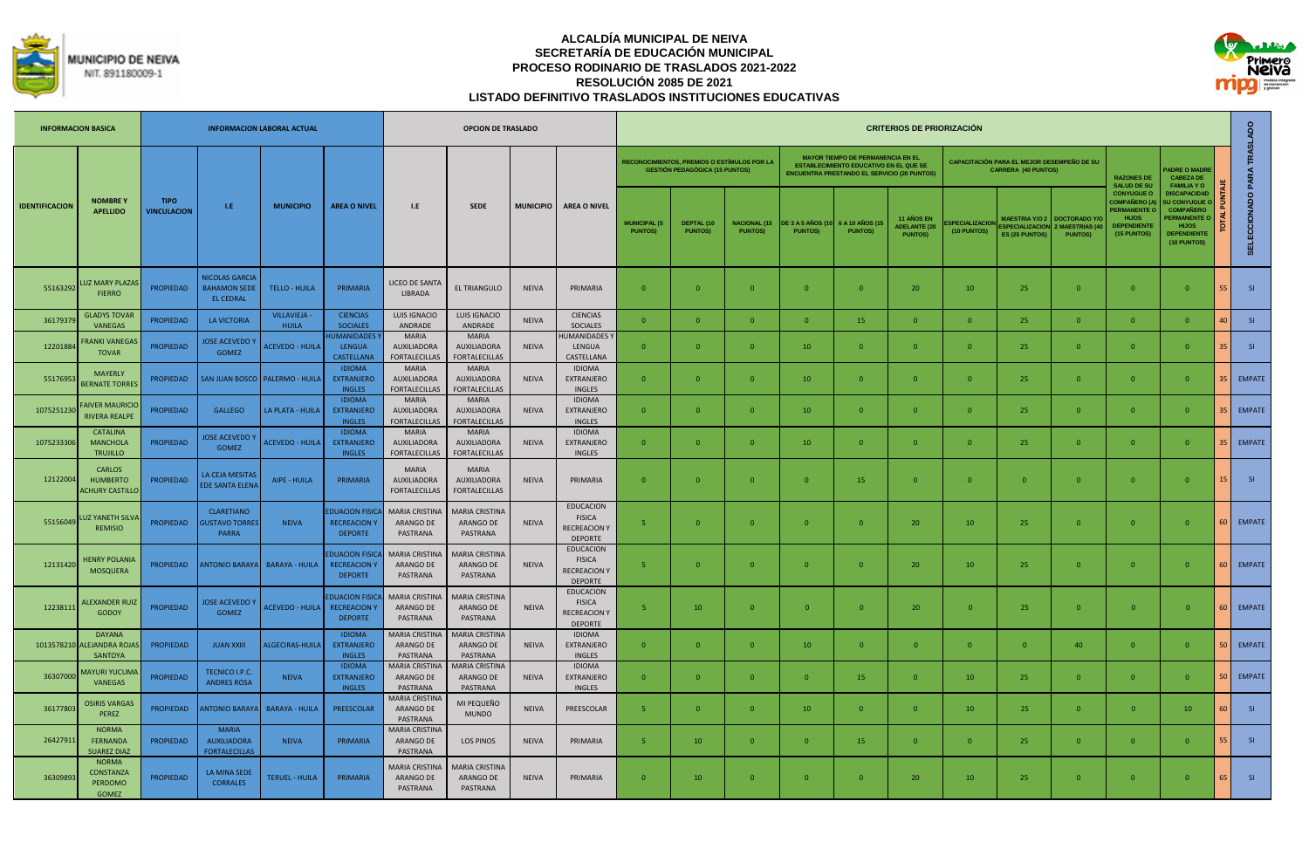



|                       | <b>INFORMACION BASICA</b>                                   |                                   |                                                                  | <b>INFORMACION LABORAL ACTUAL</b> |                                                                 |                                                            | <b>OPCION DE TRASLADO</b>                                  |                  |                                                                            |                                       |                                                                                      |                                        |                                            |                                                                                                                                                 | <b>CRITERIOS DE PRIORIZACIÓN</b>                           |                                      |                                                                          |                                                       |                                                                                                                     |                                                                                                                                        |        |                            |
|-----------------------|-------------------------------------------------------------|-----------------------------------|------------------------------------------------------------------|-----------------------------------|-----------------------------------------------------------------|------------------------------------------------------------|------------------------------------------------------------|------------------|----------------------------------------------------------------------------|---------------------------------------|--------------------------------------------------------------------------------------|----------------------------------------|--------------------------------------------|-------------------------------------------------------------------------------------------------------------------------------------------------|------------------------------------------------------------|--------------------------------------|--------------------------------------------------------------------------|-------------------------------------------------------|---------------------------------------------------------------------------------------------------------------------|----------------------------------------------------------------------------------------------------------------------------------------|--------|----------------------------|
|                       |                                                             |                                   |                                                                  |                                   |                                                                 |                                                            |                                                            |                  |                                                                            |                                       | RECONOCIMIENTOS, PREMIOS O ESTÍMULOS POR LA<br><b>GESTIÓN PEDAGÓGICA (15 PUNTOS)</b> |                                        |                                            | <b>MAYOR TIEMPO DE PERMANENCIA EN EL</b><br><b>ESTABLECIMIENTO EDUCATIVO EN EL QUE SE</b><br><b>ENCUENTRA PRESTANDO EL SERVICIO (20 PUNTOS)</b> |                                                            |                                      | CAPACITACIÓN PARA EL MEJOR DESEMPEÑO DE SU<br><b>CARRERA (40 PUNTOS)</b> |                                                       | <b>RAZONES DE</b><br><b>SALUD DE SU</b>                                                                             | <b>ADRE O MADRE</b><br><b>CABEZA DE</b><br><b>FAMILIA YO</b>                                                                           |        |                            |
| <b>IDENTIFICACION</b> | <b>NOMBREY</b><br><b>APELLIDO</b>                           | <b>TIPO</b><br><b>VINCULACION</b> | LE.                                                              | <b>MUNICIPIO</b>                  | <b>AREA O NIVEL</b>                                             | 1.E                                                        | <b>SEDE</b>                                                | <b>MUNICIPIO</b> | <b>AREA O NIVEL</b>                                                        | <b>MUNICIPAL (5</b><br><b>PUNTOS)</b> | DEPTAL (10<br><b>PUNTOS)</b>                                                         | <b>NACIONAL (15)</b><br><b>PUNTOS)</b> | <b>DE 3 A 5 AÑOS (10</b><br><b>PUNTOS)</b> | 6 A 10 AÑOS (15<br><b>PUNTOS)</b>                                                                                                               | <b>11 AÑOS EN</b><br><b>ADELANTE (20</b><br><b>PUNTOS)</b> | <b>SPECIALIZACION</b><br>(10 PUNTOS) | <b>MAESTRIA Y/O 2</b><br><b>ESPECIALIZACION</b><br>ES (25 PUNTOS)        | <b>DOCTORADO Y/</b><br>MAESTRIAS (4<br><b>PUNTOS)</b> | <b>CONYUGUE O</b><br><b>COMPAÑERO (A</b><br><b>ERMANENTE (</b><br><b>HIJOS</b><br><b>DEPENDIENTE</b><br>(15 PUNTOS) | <b>DISCAPACIDAD</b><br><b>SU CONYUGUE</b><br><b>COMPAÑERO</b><br><b>ERMANENTE</b><br><b>HIJOS</b><br><b>DEPENDIENTE</b><br>(10 PUNTOS) |        | SELECCIONADO PARA TRASLADO |
| 55163292              | UZ MARY PLAZA:<br><b>FIERRO</b>                             | <b>PROPIEDAD</b>                  | <b>NICOLAS GARCIA</b><br><b>BAHAMON SEDE</b><br><b>EL CEDRAL</b> | <b>TELLO - HUILA</b>              | PRIMARIA                                                        | LICEO DE SANT/<br><b>LIBRADA</b>                           | EL TRIANGULO                                               | <b>NEIVA</b>     | PRIMARIA                                                                   | $\Omega$                              | $\Omega$                                                                             | $\Omega$                               | $\Omega$                                   | $\Omega$                                                                                                                                        | 20                                                         | 10                                   | 25                                                                       | $\overline{0}$                                        | $\mathbf{0}$                                                                                                        | $\Omega$                                                                                                                               | 55     | SI                         |
| 3617937               | <b>GLADYS TOVAR</b><br><b>VANEGAS</b>                       | PROPIEDAD                         | <b>LA VICTORIA</b>                                               | <b>VILLAVIEJA</b><br><b>HUILA</b> | <b>CIENCIAS</b><br><b>SOCIALES</b>                              | LUIS IGNACIO<br>ANDRADE                                    | <b>LUIS IGNACIO</b><br>ANDRADE                             | <b>NEIVA</b>     | <b>CIENCIAS</b><br><b>SOCIALES</b>                                         | $\Omega$                              | $\Omega$                                                                             | $\Omega$                               | $\overline{0}$                             | 15                                                                                                                                              | $\Omega$                                                   | $\Omega$                             | 25                                                                       | $\Omega$                                              | $\Omega$                                                                                                            | $\Omega$                                                                                                                               |        | SI                         |
| 12201884              | <b>RANKI VANEGA!</b><br><b>TOVAR</b>                        | <b>PROPIEDAD</b>                  | <b>JOSE ACEVEDO Y</b><br><b>GOMEZ</b>                            | <b>ACEVEDO - HUILA</b>            | <b>UMANIDADES</b><br><b>LENGUA</b><br><b>CASTELLANA</b>         | <b>MARIA</b><br>AUXILIADORA<br><b>FORTALECILLAS</b>        | <b>MARIA</b><br><b>AUXILIADORA</b><br><b>FORTALECILLAS</b> | <b>NEIVA</b>     | <b>IUMANIDADES</b><br>LENGUA<br>CASTELLANA                                 | $\mathbf{0}$                          | $\Omega$                                                                             | $\Omega$                               | 10                                         | $\Omega$                                                                                                                                        | $\overline{0}$                                             | $\Omega$                             | 25                                                                       | $\overline{0}$                                        | $\mathbf{0}$                                                                                                        | $\Omega$                                                                                                                               |        | SI                         |
| 55176953              | <b>MAYERLY</b><br><b>BERNATE TORRES</b>                     | <b>PROPIEDAD</b>                  |                                                                  | SAN JUAN BOSCO   PALERMO - HUILA  | <b>IDIOMA</b><br><b>EXTRANJERO</b><br><b>INGLES</b>             | <b>MARIA</b><br><b>AUXILIADORA</b><br><b>FORTALECILLAS</b> | <b>MARIA</b><br><b>AUXILIADORA</b><br><b>FORTALECILLAS</b> | <b>NEIVA</b>     | <b>IDIOMA</b><br>EXTRANJERO<br><b>INGLES</b>                               | $\overline{0}$                        | $\Omega$                                                                             | $\Omega$                               | 10                                         | $\overline{0}$                                                                                                                                  | $\Omega$                                                   | $\Omega$                             | 25                                                                       | $\overline{0}$                                        | $\mathbf{0}$                                                                                                        | $\Omega$                                                                                                                               |        | <b>EMPATE</b>              |
| 1075251230            | <b>AIVER MAURICIC</b><br><b>RIVERA REALPE</b>               | <b>PROPIEDAD</b>                  | <b>GALLEGO</b>                                                   | LA PLATA - HUILA                  | <b>IDIOMA</b><br><b>EXTRANJERO</b><br><b>INGLES</b>             | <b>MARIA</b><br><b>AUXILIADORA</b><br><b>FORTALECILLAS</b> | MARIA<br><b>AUXILIADORA</b><br><b>FORTALECILLAS</b>        | <b>NEIVA</b>     | <b>IDIOMA</b><br><b>EXTRANJERO</b><br><b>INGLES</b>                        | $\Omega$                              | $\Omega$                                                                             | $\Omega$                               | 10                                         | $\Omega$                                                                                                                                        | $\Omega$                                                   | $\Omega$                             | 25                                                                       | $\Omega$                                              | $\Omega$                                                                                                            | $\Omega$                                                                                                                               |        | <b>EMPATE</b>              |
| 1075233306            | CATALINA<br><b>MANCHOLA</b><br><b>TRUJILLO</b>              | <b>PROPIEDAD</b>                  | <b>JOSE ACEVEDO Y</b><br><b>GOMEZ</b>                            | <b>ACEVEDO - HUILA</b>            | <b>IDIOMA</b><br><b>EXTRANJERO</b><br><b>INGLES</b>             | <b>MARIA</b><br><b>AUXILIADORA</b><br><b>FORTALECILLAS</b> | MARIA<br><b>AUXILIADORA</b><br><b>FORTALECILLAS</b>        | <b>NEIVA</b>     | <b>IDIOMA</b><br><b>EXTRANJERO</b><br><b>INGLES</b>                        | $\Omega$                              | $\Omega$                                                                             | $\Omega$                               | 10                                         | $\Omega$                                                                                                                                        | $\overline{0}$                                             | $\Omega$                             | 25                                                                       | $\Omega$                                              | $\Omega$                                                                                                            | $\Omega$                                                                                                                               |        | 35 EMPATE                  |
| 12122004              | <b>CARLOS</b><br><b>HUMBERTO</b><br><b>CHURY CASTILLC</b>   | <b>PROPIEDAD</b>                  | LA CEJA MESITAS<br><b>DE SANTA ELEN</b>                          | AIPE - HUILA                      | PRIMARIA                                                        | <b>MARIA</b><br>AUXILIADORA<br><b>FORTALECILLAS</b>        | <b>MARIA</b><br><b>AUXILIADORA</b><br><b>FORTALECILLAS</b> | <b>NEIVA</b>     | PRIMARIA                                                                   | $\mathbf{0}$                          | $\overline{0}$                                                                       | $\overline{0}$                         | $\overline{0}$                             | 15                                                                                                                                              | $\overline{0}$                                             | $\mathbf{0}$                         | $\overline{0}$                                                           | $\overline{0}$                                        | $\mathbf{0}$                                                                                                        | $\mathbf{0}$                                                                                                                           |        | SI                         |
| 55156049              | <b>UZ YANETH SILV</b><br><b>REMISIO</b>                     | <b>PROPIEDAD</b>                  | <b>CLARETIANO</b><br><b>USTAVO TORRE</b><br>PARRA                | <b>NEIVA</b>                      | <b>DUACION FISICA</b><br><b>RECREACION Y</b><br><b>DEPORTE</b>  | MARIA CRISTINA<br>ARANGO DE<br>PASTRANA                    | <b>MARIA CRISTINA</b><br>ARANGO DE<br>PASTRANA             | <b>NEIVA</b>     | <b>EDUCACION</b><br><b>FISICA</b><br><b>RECREACION Y</b><br><b>DEPORTE</b> | $\overline{5}$                        | $\Omega$                                                                             | $\Omega$                               | $\overline{0}$                             | $\Omega$                                                                                                                                        | 20                                                         | 10 <sup>°</sup>                      | 25                                                                       | $\Omega$                                              | $\Omega$                                                                                                            | $\Omega$                                                                                                                               |        | EMPATE                     |
| 12131420              | <b>HENRY POLANIA</b><br>MOSQUERA                            | <b>PROPIEDAD</b>                  |                                                                  | ANTONIO BARAYA   BARAYA - HUILA   | <b>DUACION FISICA</b><br><b>RECREACION Y</b><br><b>DEPORTE</b>  | <b>MARIA CRISTINA</b><br>ARANGO DE<br>PASTRANA             | <b>MARIA CRISTINA</b><br>ARANGO DE<br>PASTRANA             | <b>NEIVA</b>     | <b>EDUCACION</b><br><b>FISICA</b><br><b>RECREACION Y</b><br><b>DEPORTE</b> | 5                                     | $\Omega$                                                                             | $\Omega$                               | $\Omega$                                   | $\Omega$                                                                                                                                        | 20                                                         | 10                                   | 25                                                                       | $\overline{0}$                                        | $\mathbf{0}$                                                                                                        | $\Omega$                                                                                                                               |        | 60 EMPATE                  |
| 12238111              | <b>ALEXANDER RUIZ</b><br><b>GODOY</b>                       | <b>PROPIEDAD</b>                  | <b>JOSE ACEVEDO</b><br><b>GOMEZ</b>                              | <b>ACEVEDO - HUILA</b>            | <b>EDUACION FISICA</b><br><b>RECREACION Y</b><br><b>DEPORTE</b> | MARIA CRISTINA<br>ARANGO DE<br>PASTRANA                    | <b>MARIA CRISTINA</b><br>ARANGO DE<br>PASTRANA             | <b>NEIVA</b>     | <b>EDUCACION</b><br><b>FISICA</b><br><b>RECREACION Y</b><br><b>DEPORTE</b> | 5 <sup>1</sup>                        | 10                                                                                   | $\Omega$                               | $\overline{0}$                             | $\overline{0}$                                                                                                                                  | 20                                                         | $\Omega$                             | 25                                                                       | $\overline{0}$                                        | $\overline{0}$                                                                                                      | $\Omega$                                                                                                                               |        | 60 EMPATE                  |
|                       | <b>DAYANA</b><br>1013578210 ALEJANDRA ROJAS<br>SANTOYA      | PROPIEDAD                         | <b>JUAN XXIII</b>                                                | ALGECIRAS-HUILA                   | <b>IDIOMA</b><br><b>FXTRANJFRO</b><br><b>INGLES</b>             | <b>MARIA CRISTINA</b><br>ARANGO DE<br>PASTRANA             | <b>MARIA CRISTINA</b><br>ARANGO DE<br>PASTRANA             | <b>NEIVA</b>     | <b>IDIOMA</b><br>EXTRANJERO<br><b>INGLES</b>                               | $\Omega$                              | $\Omega$                                                                             | $\Omega$                               | 10                                         | $\overline{0}$                                                                                                                                  | $\Omega$                                                   | $\Omega$                             | $\Omega$                                                                 | 40                                                    | $\overline{0}$                                                                                                      | $\Omega$                                                                                                                               |        | 50 EMPATE                  |
| 36307000              | <b>MAYURI YUCUMA</b><br>VANEGAS                             | <b>PROPIEDAD</b>                  | TECNICO I.P.C.<br><b>ANDRES ROSA</b>                             | <b>NEIVA</b>                      | <b>IDIOMA</b><br><b>EXTRANJERO</b><br><b>INGLES</b>             | MARIA CRISTINA<br>ARANGO DE<br>PASTRANA                    | <b>MARIA CRISTINA</b><br>ARANGO DE<br>PASTRANA             | <b>NEIVA</b>     | <b>IDIOMA</b><br>EXTRANJERO<br><b>INGLES</b>                               | $\mathbf{0}$                          | $\Omega$                                                                             | $\Omega$                               | $\overline{0}$                             | 15                                                                                                                                              | $\Omega$                                                   | 10                                   | 25                                                                       | $\Omega$                                              | $\mathbf{0}$                                                                                                        | $\Omega$                                                                                                                               |        | EMPATE                     |
| 36177803              | <b>OSIRIS VARGAS</b><br>PEREZ                               | PROPIEDAD                         | <b>ANTONIO BARAYA</b>                                            | <b>BARAYA - HUILA</b>             | PREESCOLAR                                                      | MARIA CRISTINA<br>ARANGO DE<br>PASTRANA                    | MI PEQUEÑO<br><b>MUNDO</b>                                 | <b>NEIVA</b>     | PREESCOLAR                                                                 | -5                                    | $\Omega$                                                                             | $\Omega$                               | 10                                         | $\overline{0}$                                                                                                                                  | $\overline{0}$                                             | 10                                   | 25                                                                       | $\overline{0}$                                        | $\overline{0}$                                                                                                      | 10                                                                                                                                     | $60 -$ | SI                         |
| 26427911              | <b>NORMA</b><br><b>FERNANDA</b><br><b>SUAREZ DIAZ</b>       | <b>PROPIEDAD</b>                  | <b>MARIA</b><br><b>AUXILIADORA</b><br><b>FORTALECILLAS</b>       | <b>NEIVA</b>                      | PRIMARIA                                                        | MARIA CRISTINA<br>ARANGO DE<br>PASTRANA                    | <b>LOS PINOS</b>                                           | <b>NEIVA</b>     | PRIMARIA                                                                   | $\overline{5}$                        | 10                                                                                   | $\Omega$                               | $\overline{0}$                             | 15                                                                                                                                              | $\Omega$                                                   | $\Omega$                             | 25                                                                       | $\Omega$                                              | $\Omega$                                                                                                            | $\Omega$                                                                                                                               |        | SI                         |
| 36309893              | <b>NORMA</b><br><b>CONSTANZA</b><br>PERDOMO<br><b>GOMEZ</b> | <b>PROPIEDAD</b>                  | LA MINA SEDE<br><b>CORRALES</b>                                  | <b>TERUEL - HUILA</b>             | PRIMARIA                                                        | MARIA CRISTINA<br>ARANGO DE<br>PASTRANA                    | <b>MARIA CRISTINA</b><br>ARANGO DE<br>PASTRANA             | <b>NEIVA</b>     | PRIMARIA                                                                   | $\mathbf{0}$                          | 10                                                                                   | $\Omega$                               | $\overline{0}$                             | $\Omega$                                                                                                                                        | 20                                                         | 10 <sup>°</sup>                      | 25                                                                       | $\mathbf{0}$                                          | $\overline{0}$                                                                                                      | $\mathbf{0}$                                                                                                                           | 65     | SI                         |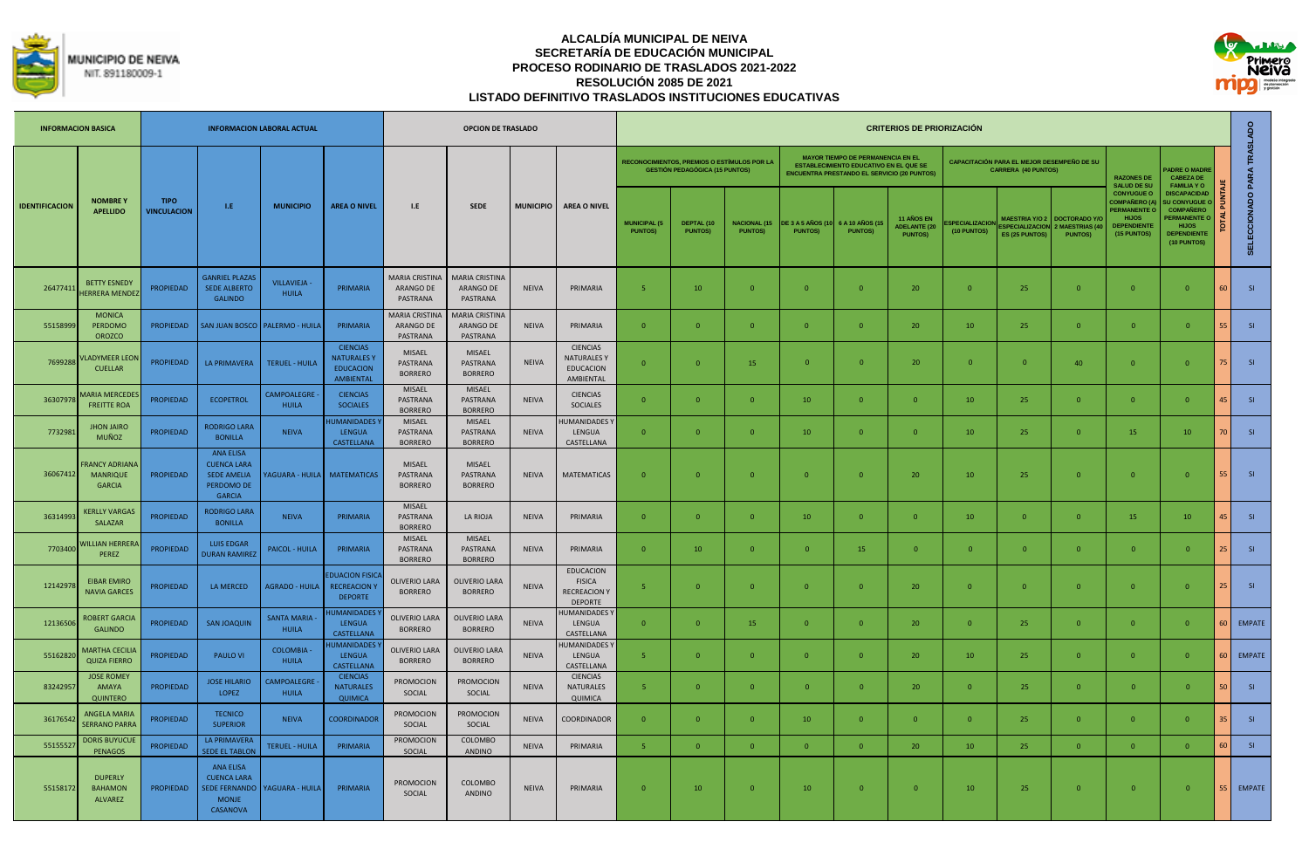



|                       | <b>INFORMACION BASICA</b>                                |                                   |                                                                                             | <b>INFORMACION LABORAL ACTUAL</b>   |                                                                               |                                                | <b>OPCION DE TRASLADO</b>                      |                  |                                                                            |                                       |                                                                                      |                                        |                                           |                                                                                                                                                 | <b>CRITERIOS DE PRIORIZACIÓN</b>                           |                                     |                                                                                 |                                                             |                                                                                                                    |                                                                                                                                          |    |                            |
|-----------------------|----------------------------------------------------------|-----------------------------------|---------------------------------------------------------------------------------------------|-------------------------------------|-------------------------------------------------------------------------------|------------------------------------------------|------------------------------------------------|------------------|----------------------------------------------------------------------------|---------------------------------------|--------------------------------------------------------------------------------------|----------------------------------------|-------------------------------------------|-------------------------------------------------------------------------------------------------------------------------------------------------|------------------------------------------------------------|-------------------------------------|---------------------------------------------------------------------------------|-------------------------------------------------------------|--------------------------------------------------------------------------------------------------------------------|------------------------------------------------------------------------------------------------------------------------------------------|----|----------------------------|
|                       |                                                          |                                   |                                                                                             |                                     |                                                                               |                                                |                                                |                  |                                                                            |                                       | RECONOCIMIENTOS, PREMIOS O ESTÍMULOS POR LA<br><b>GESTIÓN PEDAGÓGICA (15 PUNTOS)</b> |                                        |                                           | <b>MAYOR TIEMPO DE PERMANENCIA EN EL</b><br><b>ESTABLECIMIENTO EDUCATIVO EN EL QUE SE</b><br><b>ENCUENTRA PRESTANDO EL SERVICIO (20 PUNTOS)</b> |                                                            |                                     | <b>CAPACITACIÓN PARA EL MEJOR DESEMPEÑO DE SU</b><br><b>CARRERA (40 PUNTOS)</b> |                                                             | <b>RAZONES DE</b><br><b>SALUD DE SU</b>                                                                            | <b>ADRE O MADRE</b><br><b>CABEZA DE</b><br><b>FAMILIA YO</b>                                                                             |    |                            |
| <b>IDENTIFICACION</b> | <b>NOMBREY</b><br><b>APELLIDO</b>                        | <b>TIPO</b><br><b>VINCULACION</b> | LE.                                                                                         | <b>MUNICIPIO</b>                    | <b>AREA O NIVEL</b>                                                           | L.E                                            | <b>SEDE</b>                                    | <b>MUNICIPIO</b> | <b>AREA O NIVEL</b>                                                        | <b>MUNICIPAL (5</b><br><b>PUNTOS)</b> | DEPTAL (10<br><b>PUNTOS)</b>                                                         | <b>NACIONAL (15)</b><br><b>PUNTOS)</b> | <b>DE 3 A 5 AÑOS (1</b><br><b>PUNTOS)</b> | 6 A 10 AÑOS (1<br><b>PUNTOS)</b>                                                                                                                | <b>11 AÑOS EN</b><br><b>ADELANTE (20</b><br><b>PUNTOS)</b> | <b>SPECIALIZACIO</b><br>(10 PUNTOS) | <b>MAESTRIA Y/O 2</b><br><b>SPECIALIZACION</b><br>ES (25 PUNTOS)                | <b>DOCTORADO Y</b><br><b>MAESTRIAS (4</b><br><b>PUNTOSI</b> | <b>CONYUGUE O</b><br><b>COMPAÑERO (A</b><br><b>PERMANENTE O</b><br><b>HIJOS</b><br><b>EPENDIENT</b><br>(15 PUNTOS) | <b>DISCAPACIDAD</b><br><b>U CONYUGUE</b><br><b>COMPAÑERO</b><br><b>PERMANENTE O</b><br><b>HIJOS</b><br><b>DEPENDIENTE</b><br>(10 PUNTOS) |    | SELECCIONADO PARA TRASLADO |
| 26477411              | <b>BETTY ESNEDY</b><br><b>HERRERA MENDE</b>              | <b>PROPIEDAD</b>                  | <b>GANRIEL PLAZAS</b><br><b>SEDE ALBERTO</b><br><b>GALINDO</b>                              | <b>VILLAVIEJA -</b><br><b>HUILA</b> | PRIMARIA                                                                      | <b>MARIA CRISTINA</b><br>ARANGO DE<br>PASTRANA | <b>MARIA CRISTINA</b><br>ARANGO DE<br>PASTRANA | <b>NEIVA</b>     | PRIMARIA                                                                   | 5.                                    | 10                                                                                   | $\Omega$                               | $\Omega$                                  | $\Omega$                                                                                                                                        | 20                                                         | $\Omega$                            | 25                                                                              | $\Omega$                                                    | $\overline{0}$                                                                                                     | $\Omega$                                                                                                                                 | 60 | SI                         |
| 55158999              | <b>MONICA</b><br>PERDOMO<br><b>OROZCO</b>                | <b>PROPIEDAD</b>                  |                                                                                             | SAN JUAN BOSCO   PALERMO - HUILA    | PRIMARIA                                                                      | <b>MARIA CRISTINA</b><br>ARANGO DE<br>PASTRANA | <b>MARIA CRISTINA</b><br>ARANGO DE<br>PASTRANA | <b>NEIVA</b>     | PRIMARIA                                                                   | $\Omega$                              | $\Omega$                                                                             | $\Omega$                               | $\mathbf{0}$                              | $\Omega$                                                                                                                                        | 20                                                         | 10                                  | 25                                                                              | $\mathbf{0}$                                                | $\mathbf{0}$                                                                                                       | $\overline{0}$                                                                                                                           | 51 | SI                         |
| 7699288               | <b>LADYMEER LEON</b><br><b>CUELLAR</b>                   | <b>PROPIEDAD</b>                  | <b>LA PRIMAVERA</b>                                                                         | <b>TERUEL - HUILA</b>               | <b>CIENCIAS</b><br><b>NATURALES Y</b><br><b>EDUCACION</b><br><b>AMBIENTAL</b> | <b>MISAEL</b><br>PASTRANA<br><b>BORRERO</b>    | MISAEL<br>PASTRANA<br><b>BORRERO</b>           | <b>NFIVA</b>     | <b>CIENCIAS</b><br><b>NATURALES Y</b><br><b>EDUCACION</b><br>AMBIENTAL     | $\Omega$                              | $\Omega$                                                                             | 15                                     | $\Omega$                                  | $\Omega$                                                                                                                                        | 20                                                         | $\Omega$                            | $\Omega$                                                                        | 40                                                          | $\overline{0}$                                                                                                     | $\Omega$                                                                                                                                 | 75 | SI                         |
| 3630797               | <b>MARIA MERCEDE</b><br><b>FREITTE ROA</b>               | <b>PROPIEDAD</b>                  | <b>ECOPETROL</b>                                                                            | <b>CAMPOALEGRE</b><br><b>HUILA</b>  | <b>CIENCIAS</b><br><b>SOCIALES</b>                                            | <b>MISAEL</b><br>PASTRANA<br><b>BORRERO</b>    | <b>MISAEL</b><br>PASTRANA<br><b>BORRERO</b>    | <b>NEIVA</b>     | <b>CIENCIAS</b><br>SOCIALES                                                | $\Omega$                              | $\Omega$                                                                             | $\Omega$                               | 10                                        | $\overline{0}$                                                                                                                                  | $\Omega$                                                   | 10                                  | 25                                                                              | $\Omega$                                                    | $\overline{0}$                                                                                                     | $\Omega$                                                                                                                                 | 45 | <b>SI</b>                  |
| 7732981               | <b>JHON JAIRO</b><br>MUÑOZ                               | <b>PROPIEDAD</b>                  | <b>RODRIGO LARA</b><br><b>BONILLA</b>                                                       | <b>NEIVA</b>                        | <b>IUMANIDADES</b><br><b>LENGUA</b><br>CASTELLANA                             | <b>MISAEL</b><br>PASTRANA<br><b>BORRERO</b>    | <b>MISAEL</b><br>PASTRANA<br><b>BORRERO</b>    | <b>NEIVA</b>     | <b>IUMANIDADES Y</b><br>LENGUA<br>CASTELLANA                               | $\mathbf{0}$                          | $\Omega$                                                                             | $\Omega$                               | 10                                        | $\overline{0}$                                                                                                                                  | $\overline{0}$                                             | 10                                  | 25                                                                              | $\overline{0}$                                              | 15                                                                                                                 | 10                                                                                                                                       | 70 | SI                         |
| 36067412              | <b>RANCY ADRIANA</b><br><b>MANRIQUE</b><br><b>GARCIA</b> | <b>PROPIEDAD</b>                  | <b>ANA ELISA</b><br><b>CUENCA LARA</b><br><b>SEDE AMELIA</b><br>PERDOMO DE<br><b>GARCIA</b> |                                     | <b>AGUARA - HUILA MATEMATICAS</b>                                             | <b>MISAEL</b><br>PASTRANA<br><b>BORRERO</b>    | <b>MISAEL</b><br>PASTRANA<br><b>BORRERO</b>    | <b>NEIVA</b>     | <b>MATEMATICAS</b>                                                         | $\overline{0}$                        | $\overline{0}$                                                                       | $\Omega$                               | $\overline{0}$                            | $\overline{0}$                                                                                                                                  | 20                                                         | 10                                  | 25                                                                              | $\overline{0}$                                              | $\overline{0}$                                                                                                     | $\overline{0}$                                                                                                                           | 55 | SI                         |
| 3631499               | <b>KERLLY VARGAS</b><br>SALAZAR                          | <b>PROPIEDAD</b>                  | <b>RODRIGO LARA</b><br><b>BONILLA</b>                                                       | <b>NEIVA</b>                        | PRIMARIA                                                                      | <b>MISAEL</b><br>PASTRANA<br><b>BORRERO</b>    | LA RIOJA                                       | <b>NEIVA</b>     | PRIMARIA                                                                   | $\mathbf{0}$                          | $\overline{0}$                                                                       | $\overline{0}$                         | 10                                        | $\overline{0}$                                                                                                                                  | $\overline{0}$                                             | 10                                  | $\mathbf{0}$                                                                    | $\overline{0}$                                              | 15                                                                                                                 | 10                                                                                                                                       | 45 | SI                         |
| 7703400               | <b>VILLIAN HERRER</b><br>PEREZ                           | <b>PROPIEDAD</b>                  | <b>LUIS EDGAR</b><br><b>DURAN RAMIRE</b>                                                    | PAICOL - HUILA                      | PRIMARIA                                                                      | <b>MISAFL</b><br>PASTRANA<br><b>BORRERO</b>    | MISAEL<br>PASTRANA<br><b>BORRERO</b>           | <b>NEIVA</b>     | PRIMARIA                                                                   | $\overline{0}$                        | 10                                                                                   |                                        | $\overline{0}$                            | 15                                                                                                                                              | $\overline{0}$                                             | $\overline{0}$                      | $\overline{0}$                                                                  | $\overline{0}$                                              | $\mathbf{0}$                                                                                                       | $\overline{0}$                                                                                                                           | 25 | SI                         |
| 12142978              | <b>EIBAR EMIRO</b><br><b>NAVIA GARCES</b>                | <b>PROPIEDAD</b>                  | LA MERCED                                                                                   | <b>AGRADO - HUILA</b>               | <b>FDUACION FISICA</b><br><b>RECREACION Y</b><br><b>DEPORTE</b>               | <b>OLIVERIO LARA</b><br><b>BORRERO</b>         | <b>OLIVERIO LARA</b><br><b>BORRERO</b>         | <b>NEIVA</b>     | <b>EDUCACION</b><br><b>FISICA</b><br><b>RECREACION Y</b><br><b>DEPORTE</b> | 5 <sup>1</sup>                        | $\overline{0}$                                                                       | $\Omega$                               | $\mathbf{0}$                              | $\overline{0}$                                                                                                                                  | 20                                                         | $\mathbf{0}$                        | $\mathbf{0}$                                                                    | $\overline{0}$                                              | $\overline{0}$                                                                                                     | $\overline{0}$                                                                                                                           | 25 | SI                         |
| 12136506              | <b>ROBERT GARCIA</b><br><b>GALINDO</b>                   | <b>PROPIEDAD</b>                  | <b>SAN JOAQUIN</b>                                                                          | <b>SANTA MARIA</b><br><b>HUILA</b>  | <b>IUMANIDADES</b><br><b>LENGUA</b><br>CASTELLANA                             | <b>OLIVERIO LARA</b><br><b>BORRERO</b>         | <b>OLIVERIO LARA</b><br><b>BORRERO</b>         | <b>NEIVA</b>     | <b>HUMANIDADESY</b><br>LENGUA<br>CASTELLANA                                | $\mathbf{0}$                          | $\overline{0}$                                                                       | 15                                     | $\overline{0}$                            | $\overline{0}$                                                                                                                                  | 20                                                         | $\overline{0}$                      | 25                                                                              | $\mathbf{0}$                                                | $\overline{0}$                                                                                                     | $\overline{0}$                                                                                                                           | 60 | <b>EMPATE</b>              |
| 55162820              | <b>MARTHA CECILIA</b><br><b>QUIZA FIERRO</b>             | <b>PROPIEDAD</b>                  | PAULO VI                                                                                    | <b>COLOMBIA</b><br><b>HUILA</b>     | <b>IUMANIDADES</b><br>LENGUA<br>CASTELLANA                                    | <b>OLIVERIO LARA</b><br><b>BORRERO</b>         | <b>OLIVERIO LARA</b><br><b>BORRERO</b>         | <b>NEIVA</b>     | <b>IUMANIDADES</b><br>LENGUA<br>CASTELLANA                                 | -5                                    | $\Omega$                                                                             | $\Omega$                               | $\mathbf{0}$                              | $\overline{0}$                                                                                                                                  | 20                                                         | 10                                  | 25                                                                              | $\mathbf{0}$                                                | $\overline{0}$                                                                                                     | $\Omega$                                                                                                                                 | 60 | <b>EMPATE</b>              |
| 83242957              | <b>JOSE ROMEY</b><br>AMAYA<br><b>QUINTERO</b>            | PROPIEDAD                         | <b>JOSE HILARIO</b><br>LOPEZ                                                                | CAMPOALEGRE<br><b>HUILA</b>         | <b>CIENCIAS</b><br><b>NATURALES</b><br><b>QUIMICA</b>                         | PROMOCION<br>SOCIAL                            | PROMOCION<br>SOCIAL                            | <b>NEIVA</b>     | <b>CIENCIAS</b><br>NATURALES<br>QUIMICA                                    | 5                                     | $\overline{0}$                                                                       | $\Omega$                               | $\overline{0}$                            | $\overline{0}$                                                                                                                                  | 20                                                         | $\overline{0}$                      | 25                                                                              | $\overline{0}$                                              | $\mathbf{0}$                                                                                                       | $\overline{0}$                                                                                                                           | 50 | S1                         |
| 3617654               | <b>ANGELA MARIA</b><br><b>SERRANO PARRA</b>              | PROPIEDAD                         | <b>TECNICO</b><br><b>SUPERIOR</b>                                                           | <b>NEIVA</b>                        | <b>COORDINADOR</b>                                                            | PROMOCION<br>SOCIAL                            | PROMOCION<br>SOCIAL                            | <b>NEIVA</b>     | COORDINADOR                                                                | $\mathbf{0}$                          | $\Omega$                                                                             |                                        | 10                                        | $\overline{0}$                                                                                                                                  | $\overline{0}$                                             | $\mathbf{0}$                        | 25                                                                              | $\overline{0}$                                              | $\overline{0}$                                                                                                     | $\overline{0}$                                                                                                                           |    | SI                         |
| 5515552               | <b>DORIS BUYUCU</b><br>PENAGOS                           | <b>PROPIEDAD</b>                  | <b>LA PRIMAVERA</b><br>SEDE EL TABLON                                                       | <b>TERUEL - HUILA</b>               | PRIMARIA                                                                      | <b>PROMOCION</b><br>SOCIAL                     | COLOMBO<br>ANDINO                              | <b>NEIVA</b>     | PRIMARIA                                                                   | -5.                                   | $\overline{0}$                                                                       | $\Omega$                               | $\overline{0}$                            | $\overline{0}$                                                                                                                                  | 20                                                         | 10                                  | 25                                                                              | $\Omega$                                                    | $\overline{0}$                                                                                                     | $\overline{0}$                                                                                                                           | 60 | SI                         |
| 55158172              | <b>DUPERLY</b><br><b>BAHAMON</b><br><b>ALVAREZ</b>       | <b>PROPIEDAD</b>                  | <b>ANA ELISA</b><br><b>CUENCA LARA</b><br><b>MONJE</b><br><b>CASANOVA</b>                   | SEDE FERNANDO   YAGUARA - HUILA     | PRIMARIA                                                                      | PROMOCION<br>SOCIAL                            | COLOMBO<br>ANDINO                              | <b>NEIVA</b>     | PRIMARIA                                                                   | $\Omega$                              | 10                                                                                   | $\Omega$                               | 10                                        | $\Omega$                                                                                                                                        | $\Omega$                                                   | 10                                  | 25                                                                              | $\overline{0}$                                              | $\Omega$                                                                                                           | $\overline{0}$                                                                                                                           | 55 | <b>EMPATE</b>              |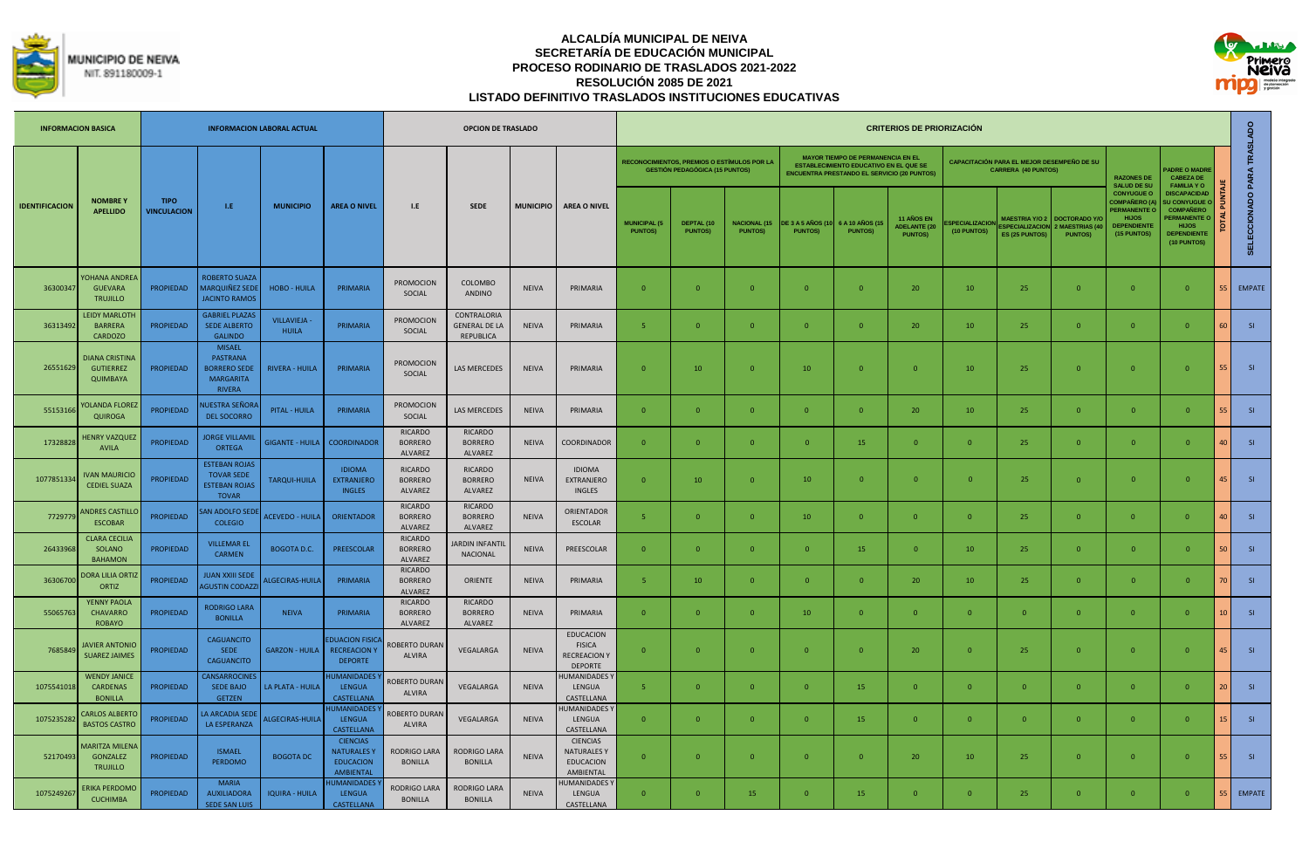



|                       | <b>INFORMACION BASICA</b>                            |                                   |                                                                                              | <b>INFORMACION LABORAL ACTUAL</b>   |                                                                       |                                             | <b>OPCION DE TRASLADO</b>                        |                  |                                                                            |                                       |                                                                                             |                                       |                                            |                                                                                                                                                 | <b>CRITERIOS DE PRIORIZACIÓN</b>                    |                              |                                                                          |                                                                 |                                                                                                              |                                                                                                                                         |                 |                            |
|-----------------------|------------------------------------------------------|-----------------------------------|----------------------------------------------------------------------------------------------|-------------------------------------|-----------------------------------------------------------------------|---------------------------------------------|--------------------------------------------------|------------------|----------------------------------------------------------------------------|---------------------------------------|---------------------------------------------------------------------------------------------|---------------------------------------|--------------------------------------------|-------------------------------------------------------------------------------------------------------------------------------------------------|-----------------------------------------------------|------------------------------|--------------------------------------------------------------------------|-----------------------------------------------------------------|--------------------------------------------------------------------------------------------------------------|-----------------------------------------------------------------------------------------------------------------------------------------|-----------------|----------------------------|
|                       |                                                      |                                   |                                                                                              |                                     |                                                                       |                                             |                                                  |                  |                                                                            |                                       | <b>RECONOCIMIENTOS, PREMIOS O ESTÍMULOS POR LA</b><br><b>GESTIÓN PEDAGÓGICA (15 PUNTOS)</b> |                                       |                                            | <b>MAYOR TIEMPO DE PERMANENCIA EN EL</b><br><b>ESTABLECIMIENTO EDUCATIVO EN EL QUE SE</b><br><b>ENCUENTRA PRESTANDO EL SERVICIO (20 PUNTOS)</b> |                                                     |                              | CAPACITACIÓN PARA EL MEJOR DESEMPEÑO DE SU<br><b>CARRERA (40 PUNTOS)</b> |                                                                 | <b>RAZONES DE</b><br><b>SALUD DE SU</b>                                                                      | <b>ADRE O MADRE</b><br><b>CABEZA DE</b><br><b>FAMILIA YO</b>                                                                            |                 |                            |
| <b>IDENTIFICACION</b> | <b>NOMBREY</b><br><b>APELLIDO</b>                    | <b>TIPO</b><br><b>VINCULACION</b> | LE.                                                                                          | <b>MUNICIPIO</b>                    | <b>AREA O NIVEL</b>                                                   | I.E                                         | <b>SEDE</b>                                      | <b>MUNICIPIO</b> | <b>AREA O NIVEL</b>                                                        | <b>MUNICIPAL (5</b><br><b>PUNTOS)</b> | DEPTAL (10<br><b>PUNTOSY</b>                                                                | <b>NACIONAL (15</b><br><b>PUNTOS)</b> | <b>DE 3 A 5 AÑOS (10</b><br><b>PUNTOS)</b> | 6 A 10 AÑOS (15<br><b>PUNTOS)</b>                                                                                                               | 11 AÑOS EN<br><b>ADELANTE (20</b><br><b>PUNTOS)</b> | PECIALIZACION<br>(10 PUNTOS) | <b>SPECIAL IZACION</b><br>ES (25 PUNTOS)                                 | MAESTRIA Y/O 2 DOCTORADO Y/<br>2 MAESTRIAS (4<br><b>PUNTOS)</b> | <b>CONYUGUE O</b><br>COMPAÑERO (/<br><b>PERMANENTE O</b><br><b>HIJOS</b><br><b>DEPENDIENTI</b><br>(15 PUNTOS | <b>DISCAPACIDAD</b><br><b>U CONYUGUE</b><br><b>COMPAÑERO</b><br><b>ERMANENTE O</b><br><b>HIJOS</b><br><b>DEPENDIENTE</b><br>(10 PUNTOS) |                 | SELECCIONADO PARA TRASLADO |
| 36300347              | YOHANA ANDREA<br><b>GUEVARA</b><br><b>TRUJILLO</b>   | <b>PROPIEDAD</b>                  | <b>ROBERTO SUAZA</b><br><b>MARQUIÑEZ SEDI</b><br><b>JACINTO RAMOS</b>                        | <b>HOBO - HUILA</b>                 | PRIMARIA                                                              | PROMOCION<br>SOCIAL                         | COLOMBO<br><b>ANDINO</b>                         | <b>NEIVA</b>     | PRIMARIA                                                                   | $\overline{0}$                        | $\overline{0}$                                                                              | $\Omega$                              | $\overline{0}$                             | $\overline{0}$                                                                                                                                  | 20                                                  | 10                           | 25                                                                       | $\overline{0}$                                                  | $\overline{0}$                                                                                               | $\mathbf{0}$                                                                                                                            | 55              | <b>EMPATE</b>              |
| 36313492              | <b>LEIDY MARLOTH</b><br><b>BARRERA</b><br>CARDOZO    | <b>PROPIEDAD</b>                  | <b>GABRIEL PLAZAS</b><br><b>SEDE ALBERTO</b><br><b>GALINDO</b>                               | <b>VILLAVIEJA -</b><br><b>HUILA</b> | PRIMARIA                                                              | <b>PROMOCION</b><br>SOCIAL                  | CONTRALORIA<br><b>GENERAL DE LA</b><br>REPUBLICA | <b>NEIVA</b>     | PRIMARIA                                                                   | $-5$                                  | $\Omega$                                                                                    | $\Omega$                              | $\mathbf{0}$                               | $\overline{0}$                                                                                                                                  | 20                                                  | 10                           | 25                                                                       | $\overline{0}$                                                  | $\overline{0}$                                                                                               | $\Omega$                                                                                                                                | 60              | SI                         |
| 26551629              | DIANA CRISTINA<br><b>GUTIERREZ</b><br>QUIMBAYA       | PROPIEDAD                         | <b>MISAEL</b><br><b>PASTRANA</b><br><b>BORRERO SEDE</b><br><b>MARGARITA</b><br><b>RIVERA</b> | <b>RIVERA - HUILA</b>               | PRIMARIA                                                              | <b>PROMOCION</b><br>SOCIAL                  | LAS MERCEDES                                     | <b>NEIVA</b>     | PRIMARIA                                                                   | $\Omega$                              | 10                                                                                          | $\Omega$                              | 10                                         | $\Omega$                                                                                                                                        | $\mathbf{0}$                                        | 10                           | 25                                                                       | $\overline{0}$                                                  | $\Omega$                                                                                                     | $\Omega$                                                                                                                                | 55              | SI                         |
| 5515316               | <b>OLANDA FLOREZ</b><br>QUIROGA                      | <b>PROPIEDAD</b>                  | IUESTRA SEÑOR/<br><b>DEL SOCORRO</b>                                                         | PITAL - HUILA                       | PRIMARIA                                                              | <b>PROMOCION</b><br>SOCIAL                  | LAS MERCEDES                                     | <b>NEIVA</b>     | PRIMARIA                                                                   | $\Omega$                              | $\Omega$                                                                                    | $\Omega$                              | $\mathbf{0}$                               | $\overline{0}$                                                                                                                                  | 20                                                  | 10                           | 25                                                                       | $\Omega$                                                        | $\overline{0}$                                                                                               | $\overline{0}$                                                                                                                          | 55              | SI                         |
| 17328828              | <b>ENRY VAZQUEZ</b><br><b>AVILA</b>                  | <b>PROPIEDAD</b>                  | <b>JORGE VILLAMIL</b><br><b>ORTEGA</b>                                                       | <b>GIGANTE - HUILA</b>              | <b>COORDINADOR</b>                                                    | RICARDO<br><b>BORRERO</b><br>ALVAREZ        | <b>RICARDO</b><br><b>BORRERO</b><br>ALVAREZ      | <b>NEIVA</b>     | COORDINADOR                                                                | $\Omega$                              | $\Omega$                                                                                    | $\Omega$                              | $\Omega$                                   | 15                                                                                                                                              | $\overline{0}$                                      | $\Omega$                     | 25                                                                       | $\overline{0}$                                                  | $\overline{0}$                                                                                               | $\Omega$                                                                                                                                | $\Delta \Gamma$ | SI                         |
| 107785133             | <b>VAN MAURICIO</b><br><b>CEDIEL SUAZA</b>           | <b>PROPIEDAD</b>                  | <b>ESTEBAN ROJAS</b><br><b>TOVAR SEDE</b><br><b>ESTEBAN ROJAS</b><br><b>TOVAR</b>            | <b>TARQUI-HUILA</b>                 | <b>IDIOMA</b><br><b>EXTRANJERO</b><br><b>INGLES</b>                   | <b>RICARDO</b><br><b>BORRERO</b><br>ALVAREZ | <b>RICARDO</b><br><b>BORRERO</b><br>ALVAREZ      | <b>NEIVA</b>     | <b>IDIOMA</b><br>EXTRANJERO<br><b>INGLES</b>                               | $\overline{0}$                        | 10                                                                                          | $\Omega$                              | 10                                         | $\Omega$                                                                                                                                        | $\overline{0}$                                      | $\overline{0}$               | 25                                                                       | $\overline{0}$                                                  | $\overline{0}$                                                                                               | $\Omega$                                                                                                                                | 45              | SI                         |
| 772977                | <b>NDRES CASTILLO</b><br><b>ESCOBAR</b>              | <b>PROPIEDAD</b>                  | AN ADOLFO SED<br><b>COLEGIO</b>                                                              | ACEVEDO - HUILA                     | <b>ORIENTADOR</b>                                                     | RICARDO<br><b>BORRERO</b><br><b>ALVARFZ</b> | <b>RICARDO</b><br><b>BORRERO</b><br>ALVAREZ      | <b>NEIVA</b>     | ORIENTADOR<br>ESCOLAR                                                      | -5.                                   | $\overline{0}$                                                                              | $\Omega$                              | 10                                         | $\overline{0}$                                                                                                                                  | $\mathbf{0}$                                        | $\mathbf{0}$                 | 25                                                                       | $\overline{0}$                                                  | $\overline{0}$                                                                                               | $\mathbf{0}$                                                                                                                            | $\Delta \Gamma$ | SI                         |
| 2643396               | <b>CLARA CECILIA</b><br>SOLANO<br><b>BAHAMON</b>     | <b>PROPIEDAD</b>                  | <b>VILLEMAR EL</b><br><b>CARMEN</b>                                                          | <b>BOGOTA D.C.</b>                  | PREESCOLAR                                                            | RICARDO<br><b>BORRERO</b><br><b>ALVAREZ</b> | <b>ARDIN INFANTIL</b><br>NACIONAL                | <b>NEIVA</b>     | PREESCOLAR                                                                 | $\Omega$                              | $\Omega$                                                                                    | $\Omega$                              | $\Omega$                                   | 15                                                                                                                                              | $\Omega$                                            | 10                           | 25                                                                       | $\overline{0}$                                                  | $\overline{0}$                                                                                               | $\Omega$                                                                                                                                | 50              | SI                         |
| 36306700              | <b>DORA LILIA ORTI</b><br>ORTIZ                      | <b>PROPIEDAD</b>                  | <b>JUAN XXIII SEDE</b><br><b>AGUSTIN CODAZZI</b>                                             | ALGECIRAS-HUILA                     | PRIMARIA                                                              | RICARDO<br><b>BORRERO</b><br>ALVAREZ        | ORIENTE                                          | <b>NEIVA</b>     | PRIMARIA                                                                   | -5                                    | 10                                                                                          | $\Omega$                              | $\Omega$                                   | $\Omega$                                                                                                                                        | 20                                                  | 10                           | 25                                                                       | $\Omega$                                                        | $\Omega$                                                                                                     | $\Omega$                                                                                                                                | 7 <sup>c</sup>  | <b>SI</b>                  |
| 5506576               | YENNY PAOLA<br><b>CHAVARRO</b><br>ROBAYO             | <b>PROPIEDAD</b>                  | <b>RODRIGO LARA</b><br><b>BONILLA</b>                                                        | <b>NEIVA</b>                        | PRIMARIA                                                              | RICARDO<br><b>BORRERO</b><br>ALVAREZ        | <b>RICARDO</b><br><b>BORRERO</b><br>ALVAREZ      | <b>NEIVA</b>     | PRIMARIA                                                                   | $\overline{0}$                        | $\Omega$                                                                                    | $\Omega$                              | 10 <sup>°</sup>                            | $\overline{0}$                                                                                                                                  | $\mathbf{0}$                                        | $\Omega$                     | $\Omega$                                                                 | $\Omega$                                                        | $\overline{0}$                                                                                               | $\Omega$                                                                                                                                | 10 <sup>°</sup> | <b>SI</b>                  |
| 768584                | <b>JAVIER ANTONIC</b><br><b>SUAREZ JAIMES</b>        | <b>PROPIEDAD</b>                  | <b>CAGUANCITO</b><br><b>SEDE</b><br><b>CAGUANCITO</b>                                        | <b>GARZON - HUILA</b>               | <b>EDUACION FISICA</b><br><b>RECREACION Y</b><br><b>DEPORTE</b>       | <b>ROBERTO DURAN</b><br>ALVIRA              | VEGALARGA                                        | <b>NEIVA</b>     | <b>EDUCACION</b><br><b>FISICA</b><br><b>RECREACION Y</b><br><b>DEPORTE</b> | $\overline{0}$                        | $\overline{0}$                                                                              | $\Omega$                              | $\overline{0}$                             | $\overline{0}$                                                                                                                                  | 20                                                  | $\overline{0}$               | 25                                                                       | $\overline{0}$                                                  | $\overline{0}$                                                                                               | $\Omega$                                                                                                                                | 45              | SI                         |
| 1075541018            | <b>WENDY JANICE</b><br>CARDENAS<br><b>BONILLA</b>    | <b>PROPIEDAD</b>                  | CANSARROCINE:<br><b>SEDE BAJO</b><br><b>GETZEN</b>                                           | LA PLATA - HUILA                    | <b>IUMANIDADES</b><br><b>LENGUA</b><br>CASTELLANA                     | <b>ROBERTO DURAN</b><br>ALVIRA              | VEGALARGA                                        | <b>NEIVA</b>     | <b>IUMANIDADES</b><br>LENGUA<br>CASTELLANA                                 | $-5$                                  | $\Omega$                                                                                    | $\Omega$                              | $\overline{0}$                             | 15                                                                                                                                              | $\mathbf{0}$                                        | $\overline{0}$               | $\Omega$                                                                 | $\overline{0}$                                                  | $\overline{0}$                                                                                               | $\Omega$                                                                                                                                | 20              | SI                         |
| 107523528             | CARLOS ALBERTO<br><b>BASTOS CASTRO</b>               | PROPIEDAD                         | A ARCADIA SEDI<br>LA ESPERANZA                                                               | ALGECIRAS-HUILA                     | <b>IUMANIDADES</b><br><b>LENGUA</b><br>CASTELLANA                     | <b>ROBERTO DURAN</b><br><b>ALVIRA</b>       | VEGALARGA                                        | <b>NEIVA</b>     | <b>IUMANIDADES</b><br>LENGUA<br>CASTELLANA                                 | $\Omega$                              | $\Omega$                                                                                    |                                       | $\Omega$                                   | 15                                                                                                                                              | $\Omega$                                            | $\Omega$                     | $\Omega$                                                                 | $\Omega$                                                        | $\Omega$                                                                                                     | $\Omega$                                                                                                                                | 15              | SI                         |
| 52170493              | <b>AARITZA MILENA</b><br>GONZALEZ<br><b>TRUJILLO</b> | <b>PROPIEDAD</b>                  | <b>ISMAFL</b><br><b>PERDOMO</b>                                                              | <b>BOGOTA DC</b>                    | <b>CIENCIAS</b><br><b>NATURALESY</b><br><b>EDUCACION</b><br>AMBIENTAL | <b>RODRIGO LARA</b><br><b>BONILLA</b>       | RODRIGO LARA<br><b>BONILLA</b>                   | <b>NEIVA</b>     | <b>CIENCIAS</b><br><b>NATURALES Y</b><br><b>EDUCACION</b><br>AMBIENTAL     | $\Omega$                              | $\Omega$                                                                                    | $\Omega$                              | $\Omega$                                   | $\Omega$                                                                                                                                        | 20                                                  | 10                           | 25                                                                       | $\Omega$                                                        | $\overline{0}$                                                                                               | $\Omega$                                                                                                                                | 55              | SI                         |
| 1075249267            | ERIKA PERDOMO<br><b>CUCHIMBA</b>                     | <b>PROPIEDAD</b>                  | <b>MARIA</b><br><b>AUXILIADORA</b><br><b>SEDE SAN LUIS</b>                                   | <b>IQUIRA - HUILA</b>               | <b>UMANIDADES</b><br><b>LENGUA</b><br>CASTELLANA                      | <b>RODRIGO LARA</b><br><b>BONILLA</b>       | <b>RODRIGO LARA</b><br><b>BONILLA</b>            | <b>NEIVA</b>     | <b>IUMANIDADES</b><br>LENGUA<br>CASTELLANA                                 | $\Omega$                              | $\Omega$                                                                                    | 15                                    | $\Omega$                                   | 15                                                                                                                                              | $\Omega$                                            | $\Omega$                     | 25                                                                       | $\Omega$                                                        | $\Omega$                                                                                                     | $\Omega$                                                                                                                                | 55              | <b>EMPATE</b>              |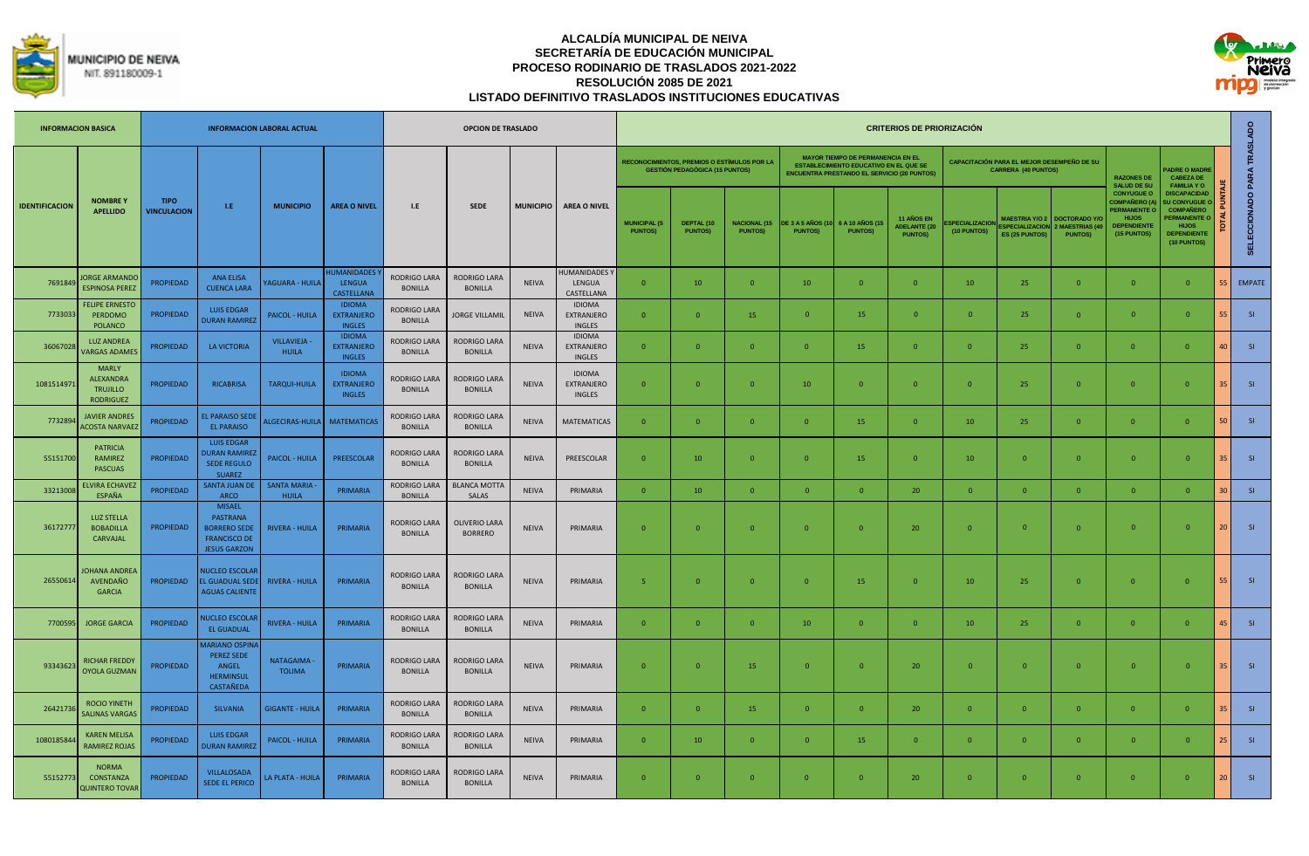



|                       | <b>INFORMACION BASICA</b>                                               |                                   |                                                                                                       | <b>INFORMACION LABORAL ACTUAL</b>   |                                                     |                                       | <b>OPCION DE TRASLADO</b>              |                  |                                                     |                                       |                                                                                             |                                       |                                           |                                                                                                                                                 | <b>CRITERIOS DE PRIORIZACIÓN</b>                    |                                      |                                                                          |                                                             |                                                                                                                       |                                                                                                                                         |                 |                            |
|-----------------------|-------------------------------------------------------------------------|-----------------------------------|-------------------------------------------------------------------------------------------------------|-------------------------------------|-----------------------------------------------------|---------------------------------------|----------------------------------------|------------------|-----------------------------------------------------|---------------------------------------|---------------------------------------------------------------------------------------------|---------------------------------------|-------------------------------------------|-------------------------------------------------------------------------------------------------------------------------------------------------|-----------------------------------------------------|--------------------------------------|--------------------------------------------------------------------------|-------------------------------------------------------------|-----------------------------------------------------------------------------------------------------------------------|-----------------------------------------------------------------------------------------------------------------------------------------|-----------------|----------------------------|
|                       |                                                                         |                                   |                                                                                                       |                                     |                                                     |                                       |                                        |                  |                                                     |                                       | <b>RECONOCIMIENTOS, PREMIOS O ESTÍMULOS POR LA</b><br><b>GESTIÓN PEDAGÓGICA (15 PUNTOS)</b> |                                       |                                           | <b>MAYOR TIEMPO DE PERMANENCIA EN EL</b><br><b>ESTABLECIMIENTO EDUCATIVO EN EL QUE SE</b><br><b>ENCUENTRA PRESTANDO EL SERVICIO (20 PUNTOS)</b> |                                                     |                                      | CAPACITACIÓN PARA EL MEJOR DESEMPEÑO DE SU<br><b>CARRERA (40 PUNTOS)</b> |                                                             | <b>RAZONES DE</b><br><b>SALUD DE SU</b>                                                                               | <b>ADRE O MADRE</b><br><b>CABEZA DE</b><br><b>FAMILIA Y O</b>                                                                           |                 |                            |
| <b>IDENTIFICACION</b> | <b>NOMBREY</b><br><b>APELLIDO</b>                                       | <b>TIPO</b><br><b>VINCULACION</b> | LE.                                                                                                   | <b>MUNICIPIO</b>                    | <b>AREA O NIVEL</b>                                 | L.E                                   | <b>SEDE</b>                            | <b>MUNICIPIO</b> | <b>AREA O NIVEL</b>                                 | <b>MUNICIPAL (5</b><br><b>PUNTOS)</b> | DEPTAL (10<br><b>PUNTOSI</b>                                                                | <b>NACIONAL (15</b><br><b>PUNTOS)</b> | <b>DE 3 A 5 AÑOS (1</b><br><b>PUNTOS)</b> | 6 A 10 AÑOS (15<br><b>PUNTOSI</b>                                                                                                               | 11 AÑOS EN<br><b>ADELANTE (20</b><br><b>PUNTOS)</b> | <b>SPECIALIZACION</b><br>(10 PUNTOS) | <b>MAESTRIA Y/O 2</b><br><b>ESPECIALIZACION</b><br><b>ES (25 PUNTOS)</b> | <b>DOCTORADO Y/</b><br><b>MAESTRIAS (</b><br><b>PUNTOS)</b> | <b>CONYUGUE O</b><br><b>COMPAÑERO (A)</b><br><b>PERMANENTE O</b><br><b>HIJOS</b><br><b>DEPENDIENTE</b><br>(15 PUNTOS) | <b>DISCAPACIDAD</b><br><b>U CONYUGUE O</b><br><b>COMPAÑERO</b><br><b>ERMANENTE</b><br><b>HIJOS</b><br><b>DEPENDIENTE</b><br>(10 PUNTOS) |                 | SELECCIONADO PARA TRASLADO |
| 769184                | <b>ORGE ARMANDO</b><br><b>ESPINOSA PEREZ</b>                            | <b>PROPIEDAD</b>                  | <b>ANA ELISA</b><br><b>CUENCA LARA</b>                                                                | <b>AGUARA - HUILA</b>               | <b>HUMANIDADES</b><br><b>LENGUA</b><br>CASTELLANA   | RODRIGO LARA<br><b>BONILLA</b>        | RODRIGO LARA<br><b>BONILLA</b>         | <b>NEIVA</b>     | <b>IUMANIDADES</b><br>LENGUA<br>CASTELLANA          | $\Omega$                              | 10                                                                                          | $\Omega$                              | 10 <sup>°</sup>                           | $\overline{0}$                                                                                                                                  | $\Omega$                                            | 10 <sup>°</sup>                      | 25                                                                       | $\Omega$                                                    | $\Omega$                                                                                                              | $\Omega$                                                                                                                                |                 | <b>EMPATE</b>              |
| 7733033               | <b>FELIPE ERNESTC</b><br>PERDOMO<br><b>POLANCO</b>                      | <b>PROPIEDAD</b>                  | <b>LUIS EDGAR</b><br><b>OURAN RAMIREZ</b>                                                             | <b>PAICOL - HUILA</b>               | <b>IDIOMA</b><br><b>EXTRANJERO</b><br><b>INGLES</b> | <b>RODRIGO LARA</b><br><b>BONILLA</b> | JORGE VILLAMIL                         | <b>NEIVA</b>     | <b>IDIOMA</b><br><b>EXTRANJERO</b><br><b>INGLES</b> | $\Omega$                              | $\Omega$                                                                                    | 15                                    | $\Omega$                                  | 15                                                                                                                                              | $\Omega$                                            | $\Omega$                             | 25                                                                       | $\overline{0}$                                              | $\overline{0}$                                                                                                        | $\Omega$                                                                                                                                | 55.             | S1                         |
| 3606702               | <b>LUZ ANDREA</b><br><b>VARGAS ADAME</b>                                | <b>PROPIEDAD</b>                  | LA VICTORIA                                                                                           | <b>VILLAVIEJA -</b><br><b>HUILA</b> | <b>IDIOMA</b><br><b>EXTRANJERO</b><br><b>INGLES</b> | RODRIGO LARA<br><b>BONILLA</b>        | RODRIGO LARA<br><b>BONILLA</b>         | <b>NEIVA</b>     | <b>IDIOMA</b><br><b>EXTRANJERO</b><br><b>INGLES</b> | $\Omega$                              | $\Omega$                                                                                    | $\Omega$                              | $\overline{0}$                            | 15                                                                                                                                              | $\Omega$                                            |                                      | 25                                                                       | $\Omega$                                                    | $\Omega$                                                                                                              | $\Omega$                                                                                                                                | 40              | S1                         |
| 1081514971            | <b>MARLY</b><br><b>ALEXANDRA</b><br><b>TRUJILLO</b><br><b>RODRIGUEZ</b> | PROPIEDAD                         | <b>RICABRISA</b>                                                                                      | TARQUI-HUILA                        | <b>IDIOMA</b><br><b>EXTRANJERO</b><br><b>INGLES</b> | <b>RODRIGO LARA</b><br><b>BONILLA</b> | RODRIGO LARA<br><b>BONILLA</b>         | <b>NEIVA</b>     | <b>IDIOMA</b><br>EXTRANJERO<br><b>INGLES</b>        | $\mathbf{0}$                          | $\Omega$                                                                                    | $\Omega$                              | 10                                        | $\overline{0}$                                                                                                                                  | $\Omega$                                            |                                      | 25                                                                       | $\Omega$                                                    | $\mathbf{0}$                                                                                                          | $\Omega$                                                                                                                                | 35 <sup>1</sup> | S1                         |
| 773289                | <b>JAVIER ANDRES</b><br><b>ACOSTA NARVAEZ</b>                           | PROPIEDAD                         | <b>EL PARAISO SEDE</b><br>EL PARAISO                                                                  |                                     | ALGECIRAS-HUILA MATEMATICAS                         | <b>RODRIGO LARA</b><br><b>BONILLA</b> | RODRIGO LARA<br><b>BONILLA</b>         | <b>NEIVA</b>     | <b>MATEMATICAS</b>                                  | $\overline{0}$                        | $\Omega$                                                                                    | $\mathbf{0}$                          | $\overline{0}$                            | 15                                                                                                                                              | $\overline{0}$                                      | 10                                   | 25                                                                       | $\overline{0}$                                              | $\overline{0}$                                                                                                        | $\overline{0}$                                                                                                                          | <b>50</b>       | S1                         |
| 55151700              | <b>PATRICIA</b><br><b>RAMIREZ</b><br><b>PASCUAS</b>                     | <b>PROPIEDAD</b>                  | <b>LUIS EDGAR</b><br><b>DURAN RAMIRE</b><br><b>SEDE REGULO</b><br><b>SUAREZ</b>                       | PAICOL - HUILA                      | PREESCOLAR                                          | RODRIGO LARA<br><b>BONILLA</b>        | RODRIGO LARA<br><b>BONILLA</b>         | <b>NEIVA</b>     | PREESCOLAR                                          | $\overline{0}$                        | 10                                                                                          | $\Omega$                              | $\overline{0}$                            | 15                                                                                                                                              | $\overline{0}$                                      | 10                                   | $\Omega$                                                                 | $\overline{0}$                                              | $\overline{0}$                                                                                                        | $\overline{0}$                                                                                                                          | 35 <sup>1</sup> | S1                         |
| 3321300               | LVIRA ECHAVE<br>ESPAÑA                                                  | <b>PROPIEDAD</b>                  | <b>SANTA JUAN DI</b><br>ARCO                                                                          | <b>SANTA MARIA</b><br><b>HUILA</b>  | PRIMARIA                                            | <b>RODRIGO LARA</b><br><b>BONILLA</b> | <b>BLANCA MOTTA</b><br>SALAS           | <b>NEIVA</b>     | PRIMARIA                                            | $\mathbf{0}$                          | 10                                                                                          | $\Omega$                              | $\mathbf{0}$                              | $\overline{0}$                                                                                                                                  | 20                                                  | $\overline{0}$                       | $\mathbf{0}$                                                             | $\Omega$                                                    | $\mathbf{0}$                                                                                                          | $\mathbf{0}$                                                                                                                            | 30 <sup>°</sup> | S1                         |
| 3617277               | <b>LUZ STELLA</b><br><b>BOBADILLA</b><br>CARVAJAL                       | <b>PROPIEDAD</b>                  | <b>MISAEL</b><br><b>PASTRANA</b><br><b>BORRERO SEDE</b><br><b>FRANCISCO DE</b><br><b>JESUS GARZON</b> | <b>RIVERA - HUILA</b>               | PRIMARIA                                            | <b>RODRIGO LARA</b><br><b>BONILLA</b> | <b>OLIVERIO LARA</b><br><b>BORRERO</b> | <b>NEIVA</b>     | PRIMARIA                                            | $\Omega$                              | $\Omega$                                                                                    | $\Omega$                              | $\overline{0}$                            | $\Omega$                                                                                                                                        | 20                                                  |                                      | $\mathbf{0}$                                                             | $\Omega$                                                    | $\overline{0}$                                                                                                        | $\mathbf{0}$                                                                                                                            | 20 <sup>1</sup> | S1                         |
| 26550614              | <b>OHANA ANDREA</b><br>AVENDAÑO<br><b>GARCIA</b>                        | PROPIEDAD                         | <b>NUCLEO ESCOLAR</b><br>EL GUADUAL SEDI<br><b>AGUAS CALIENTE</b>                                     | <b>RIVERA - HUILA</b>               | PRIMARIA                                            | <b>RODRIGO LARA</b><br><b>BONILLA</b> | RODRIGO LARA<br><b>BONILLA</b>         | <b>NEIVA</b>     | PRIMARIA                                            | 5                                     | $\Omega$                                                                                    | $\Omega$                              | $\Omega$                                  | 15                                                                                                                                              | $\Omega$                                            | 10                                   | 25                                                                       | $\Omega$                                                    | $\overline{0}$                                                                                                        | $\Omega$                                                                                                                                |                 | S1                         |
| 7700595               | <b>JORGE GARCIA</b>                                                     | <b>PROPIEDAD</b>                  | <b>IUCLEO ESCOLAI</b><br><b>EL GUADUAL</b>                                                            | <b>RIVERA - HUILA</b>               | PRIMARIA                                            | <b>RODRIGO LARA</b><br><b>BONILLA</b> | RODRIGO LARA<br>BONILLA                | <b>NEIVA</b>     | PRIMARIA                                            | $\Omega$                              | $\Omega$                                                                                    | $\Omega$                              | 10                                        | $\overline{0}$                                                                                                                                  | $\Omega$                                            | 10                                   | 25                                                                       | $\overline{0}$                                              | $\overline{0}$                                                                                                        | $\Omega$                                                                                                                                | 45              | S1                         |
| 93343623              | RICHAR FREDDY<br><b>OYOLA GUZMAN</b>                                    | <b>PROPIEDAD</b>                  | <b>MARIANO OSPIN</b><br><b>PEREZ SEDE</b><br>ANGEL<br><b>HERMINSUL</b><br>CASTAÑEDA                   | <b>NATAGAIMA</b><br><b>TOLIMA</b>   | PRIMARIA                                            | RODRIGO LARA<br><b>BONILLA</b>        | RODRIGO LARA<br><b>BONILLA</b>         | <b>NEIVA</b>     | PRIMARIA                                            | $\Omega$                              | $\Omega$                                                                                    | 15                                    | $\mathbf{0}$                              | $\overline{0}$                                                                                                                                  | 20                                                  | $\Omega$                             | $\Omega$                                                                 | $\Omega$                                                    | $\overline{0}$                                                                                                        | $\mathbf{0}$                                                                                                                            | 35 <sup>1</sup> | S1                         |
| 2642173               | <b>ROCIO YINETH</b><br><b>SALINAS VARGAS</b>                            | <b>PROPIEDAD</b>                  | SILVANIA                                                                                              | <b>GIGANTE - HUILA</b>              | PRIMARIA                                            | <b>RODRIGO LARA</b><br><b>BONILLA</b> | RODRIGO LARA<br><b>BONILLA</b>         | <b>NEIVA</b>     | PRIMARIA                                            | $\mathbf{0}$                          | $\Omega$                                                                                    | 15                                    | $\Omega$                                  | $\Omega$                                                                                                                                        | 20                                                  | $\Omega$                             | $\overline{0}$                                                           | $\Omega$                                                    | $\overline{0}$                                                                                                        | $\Omega$                                                                                                                                |                 | S1                         |
| 108018584             | <b>KAREN MELISA</b><br>RAMIREZ ROJAS                                    | <b>PROPIEDAD</b>                  | <b>LUIS EDGAR</b><br><b>DURAN RAMIREZ</b>                                                             | PAICOL - HUILA                      | PRIMARIA                                            | <b>RODRIGO LARA</b><br><b>BONILLA</b> | RODRIGO LARA<br><b>BONILLA</b>         | <b>NEIVA</b>     | PRIMARIA                                            | $\mathbf{0}$                          | 10                                                                                          | $\Omega$                              | $\Omega$                                  | 15                                                                                                                                              | $\Omega$                                            | $\Omega$                             | $\Omega$                                                                 | $\Omega$                                                    | $\overline{0}$                                                                                                        | $\Omega$                                                                                                                                | 25              | S1                         |
| 55152773              | <b>NORMA</b><br>CONSTANZA<br><b>QUINTERO TOVAR</b>                      | PROPIEDAD                         | VILLALOSADA<br><b>SEDE EL PERICO</b>                                                                  | LA PLATA - HUILA                    | PRIMARIA                                            | RODRIGO LARA<br><b>BONILLA</b>        | RODRIGO LARA<br><b>BONILLA</b>         | <b>NEIVA</b>     | PRIMARIA                                            | $\mathbf{0}$                          | $\overline{0}$                                                                              | $\mathbf{0}$                          | $\overline{0}$                            | $\overline{0}$                                                                                                                                  | 20                                                  | $\Omega$                             | $\overline{0}$                                                           | $\overline{0}$                                              | $\overline{0}$                                                                                                        | $\overline{0}$                                                                                                                          | 20              | S1                         |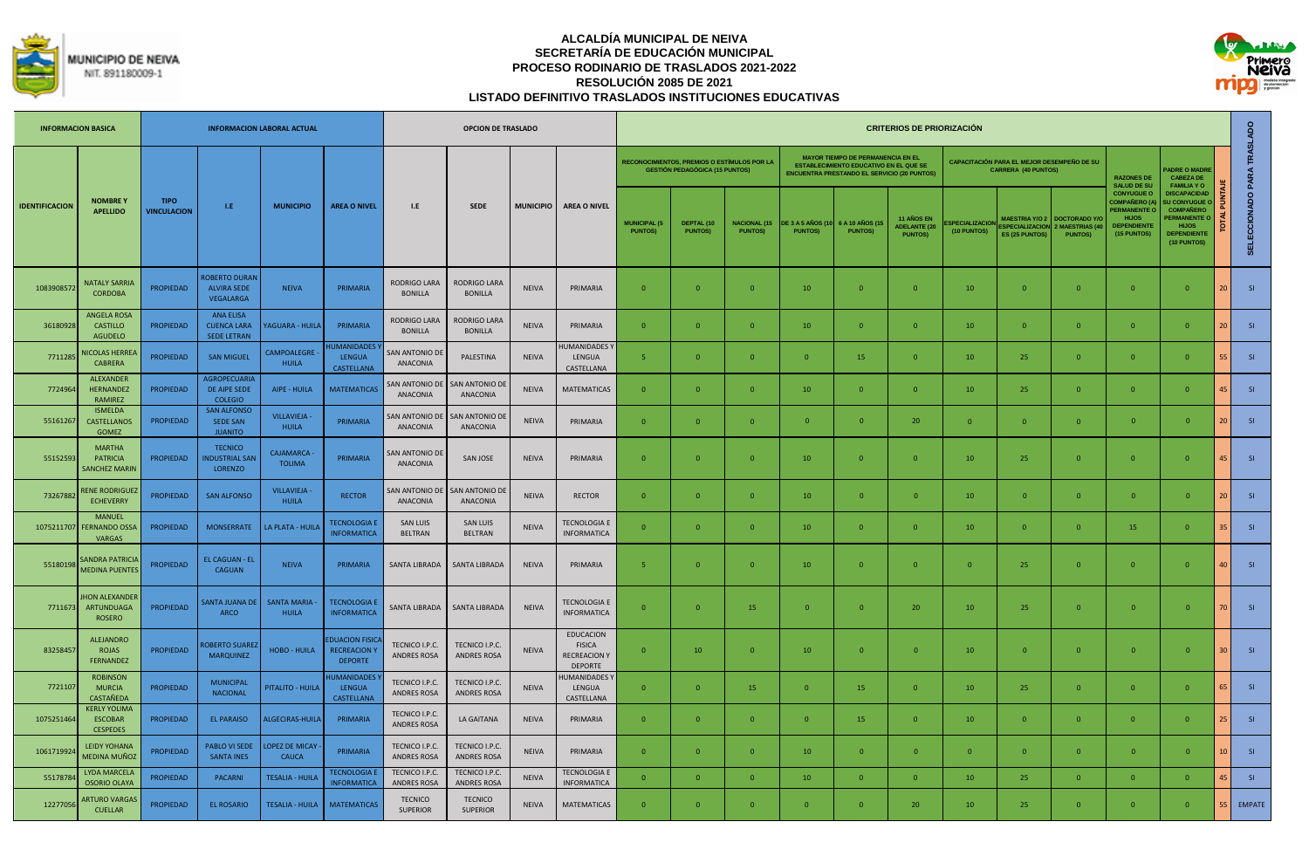



|                       | <b>INFORMACION BASICA</b>                                |                                   |                                                              | <b>INFORMACION LABORAL ACTUAL</b>   |                                                               |                                            | <b>OPCION DE TRASLADO</b>            |                  |                                                                            |                                       |                                                                                      |                                        |                                            |                                                                                                                                                | <b>CRITERIOS DE PRIORIZACIÓN</b>                           |                              |                                                                                 |                                                             |                                                                                                               |                                                                                                                                         |                            |
|-----------------------|----------------------------------------------------------|-----------------------------------|--------------------------------------------------------------|-------------------------------------|---------------------------------------------------------------|--------------------------------------------|--------------------------------------|------------------|----------------------------------------------------------------------------|---------------------------------------|--------------------------------------------------------------------------------------|----------------------------------------|--------------------------------------------|------------------------------------------------------------------------------------------------------------------------------------------------|------------------------------------------------------------|------------------------------|---------------------------------------------------------------------------------|-------------------------------------------------------------|---------------------------------------------------------------------------------------------------------------|-----------------------------------------------------------------------------------------------------------------------------------------|----------------------------|
|                       |                                                          |                                   |                                                              |                                     |                                                               |                                            |                                      |                  |                                                                            |                                       | RECONOCIMIENTOS. PREMIOS O ESTÍMULOS POR LA<br><b>GESTIÓN PEDAGÓGICA (15 PUNTOS)</b> |                                        |                                            | <b>MAYOR TIEMPO DE PERMANENCIA EN EL</b><br><b>ESTABLECIMIENTO EDUCATIVO EN EL QUE SE</b><br><b>ENCUENTRA PRESTANDO EL SERVICIO (20 PUNTOS</b> |                                                            |                              | <b>CAPACITACIÓN PARA EL MEJOR DESEMPEÑO DE SU</b><br><b>CARRERA (40 PUNTOS)</b> |                                                             | <b>RAZONES DE</b><br><b>SALUD DE SU</b>                                                                       | <b>ADRE O MADRI</b><br><b>CABEZA DE</b><br><b>FAMILIA YO</b>                                                                            |                            |
| <b>IDENTIFICACION</b> | <b>NOMBRE Y</b><br><b>APELLIDO</b>                       | <b>TIPO</b><br><b>VINCULACION</b> | $\mathbf{LE}$                                                | <b>MUNICIPIO</b>                    | <b>AREA O NIVEL</b>                                           | L.E                                        | <b>SEDE</b>                          | <b>MUNICIPIO</b> | <b>AREA O NIVEL</b>                                                        | <b>MUNICIPAL (5</b><br><b>PUNTOS)</b> | DEPTAL (10<br><b>PUNTOS)</b>                                                         | <b>NACIONAL (15)</b><br><b>PUNTOS)</b> | <b>DE 3 A 5 AÑOS (1)</b><br><b>PUNTOS)</b> | 6 A 10 AÑOS (15<br><b>PUNTOS)</b>                                                                                                              | <b>11 AÑOS EN</b><br><b>ADELANTE (20</b><br><b>PUNTOS)</b> | SPECIALIZACIO<br>(10 PUNTOS) | <b>MAESTRIA Y/O 2</b><br><b>SPECIALIZACIO</b><br><b>ES (25 PUNTOS</b>           | <b>DOCTORADO Y</b><br><b>MAESTRIAS (4</b><br><b>PUNTOSI</b> | <b>CONYUGUE O</b><br><b>COMPAÑERO (<i>I</i></b><br>PERMANENTE O<br><b>HIJOS</b><br>DEPENDIENTI<br>(15 PUNTOS) | <b>DISCAPACIDAD</b><br><b>U CONYUGUE</b><br><b>COMPAÑERO</b><br><b>ERMANENTE O</b><br><b>HIJOS</b><br><b>DEPENDIENTE</b><br>(10 PUNTOS) | SELECCIONADO PARA TRASLADO |
| 1083908572            | <b>NATALY SARRIA</b><br><b>CORDOBA</b>                   | <b>PROPIEDAD</b>                  | <b>OBERTO DURAN</b><br><b>ALVIRA SEDE</b><br>VEGALARGA       | <b>NEIVA</b>                        | PRIMARIA                                                      | RODRIGO LARA<br><b>BONILLA</b>             | RODRIGO LARA<br><b>BONILLA</b>       | <b>NEIVA</b>     | PRIMARIA                                                                   | $\Omega$                              | $\Omega$                                                                             | $\Omega$                               | 10                                         | $\Omega$                                                                                                                                       | $\overline{0}$                                             | 10                           | $\Omega$                                                                        | $\Omega$                                                    | $\Omega$                                                                                                      | $\Omega$                                                                                                                                | SI<br>$\overline{2}$       |
| 36180928              | <b>ANGELA ROSA</b><br><b>CASTILLO</b><br>AGUDELO         | <b>PROPIEDAD</b>                  | <b>ANA ELISA</b><br><b>CUENCA LARA</b><br><b>SEDE LETRAN</b> | <b>AGUARA - HUILA</b>               | PRIMARIA                                                      | RODRIGO LARA<br><b>BONILLA</b>             | RODRIGO LARA<br><b>BONILLA</b>       | <b>NEIVA</b>     | PRIMARIA                                                                   | $\mathbf{0}$                          | $\overline{0}$                                                                       | $\Omega$                               | 10                                         | $\overline{0}$                                                                                                                                 | $\overline{0}$                                             | 10                           | $\mathbf{0}$                                                                    | $\mathbf{0}$                                                | $\overline{0}$                                                                                                | $\overline{0}$                                                                                                                          | SI<br>20                   |
| 771128                | <b>NICOLAS HERRE</b><br><b>CABRERA</b>                   | <b>PROPIEDAD</b>                  | <b>SAN MIGUEL</b>                                            | CAMPOALEGRE -<br><b>HUILA</b>       | <b>UMANIDADES</b><br><b>LENGUA</b><br>CASTELLANA              | <b>SAN ANTONIO DE</b><br>ANACONIA          | PALESTINA                            | <b>NEIVA</b>     | <b>IUMANIDADES</b><br>LENGUA<br>CASTELLANA                                 | $\overline{5}$                        | $\Omega$                                                                             | $\Omega$                               | $\Omega$                                   | 15                                                                                                                                             | $\mathbf{0}$                                               | 10                           | 25                                                                              | $\Omega$                                                    | $\overline{0}$                                                                                                | $\Omega$                                                                                                                                | 55<br>SI                   |
| 7724964               | <b>ALFXANDFR</b><br><b>HERNANDEZ</b><br><b>RAMIREZ</b>   | <b>PROPIEDAD</b>                  | <b>AGROPECUARIA</b><br>DE AIPE SEDE<br><b>COLEGIO</b>        | AIPE - HUILA                        | <b>MATEMATICAS</b>                                            | <b>SAN ANTONIO DI</b><br>ANACONIA          | SAN ANTONIO DI<br>ANACONIA           | <b>NEIVA</b>     | <b>MATEMATICAS</b>                                                         | $\mathbf{0}$                          | $\overline{0}$                                                                       | $\overline{0}$                         | 10                                         | $\overline{0}$                                                                                                                                 | $\overline{0}$                                             | 10                           | 25                                                                              | $\mathbf{0}$                                                | $\overline{0}$                                                                                                | $\overline{0}$                                                                                                                          | SI<br>45                   |
| 55161267              | <b>ISMELDA</b><br>CASTELLANOS<br>GOMEZ                   | <b>PROPIEDAD</b>                  | <b>SAN ALFONSO</b><br><b>SEDE SAN</b><br><b>JUANITO</b>      | <b>VILLAVIEJA -</b><br>HUILA        | PRIMARIA                                                      | <b>SAN ANTONIO DE</b><br>ANACONIA          | SAN ANTONIO DE<br>ANACONIA           | <b>NEIVA</b>     | PRIMARIA                                                                   | $\Omega$                              | $\Omega$                                                                             | $\Omega$                               | $\overline{0}$                             | $\Omega$                                                                                                                                       | 20                                                         | $\Omega$                     | $\Omega$                                                                        | $\Omega$                                                    | $\Omega$                                                                                                      | $\Omega$                                                                                                                                | <b>SI</b><br>20            |
| 55152593              | <b>MARTHA</b><br>PATRICIA<br><b>SANCHEZ MARIN</b>        | <b>PROPIEDAD</b>                  | <b>TECNICO</b><br><b>NDUSTRIAL SAN</b><br><b>LORENZO</b>     | CAJAMARCA -<br><b>TOLIMA</b>        | PRIMARIA                                                      | AN ANTONIO DE<br><b>ANACONIA</b>           | SAN JOSE                             | <b>NEIVA</b>     | PRIMARIA                                                                   | $\Omega$                              | $\Omega$                                                                             | $\Omega$                               | 10                                         | $\overline{0}$                                                                                                                                 | $\Omega$                                                   | 10                           | 25                                                                              | $\Omega$                                                    | $\Omega$                                                                                                      | $\Omega$                                                                                                                                | SI<br>45                   |
| 73267882              | <b>ENE RODRIGUEZ</b><br><b>ECHEVERRY</b>                 | <b>PROPIEDAD</b>                  | <b>SAN ALFONSO</b>                                           | <b>VILLAVIEJA</b> -<br><b>HUILA</b> | <b>RECTOR</b>                                                 | AN ANTONIO DI<br>ANACONIA                  | AN ANTONIO DI<br>ANACONIA            | <b>NEIVA</b>     | <b>RECTOR</b>                                                              | $\mathbf{0}$                          | $\Omega$                                                                             | $\Omega$                               | 10                                         | $\Omega$                                                                                                                                       | $\mathbf{0}$                                               | 10                           | $\mathbf{0}$                                                                    | $\mathbf{0}$                                                | $\mathbf{0}$                                                                                                  | $\overline{0}$                                                                                                                          | SI<br>$\overline{2}$       |
| 1075211707            | <b>MANUEL</b><br><b>FERNANDO OSS</b><br><b>VARGAS</b>    | PROPIEDAD                         | <b>MONSERRATE</b>                                            | LA PLATA - HUILA                    | <b>TECNOLOGIA E</b><br><b>INFORMATICA</b>                     | <b>SAN LUIS</b><br><b>BELTRAN</b>          | <b>SAN LUIS</b><br><b>BELTRAN</b>    | NEIVA            | <b>TECNOLOGIA E</b><br><b>INFORMATICA</b>                                  | $\mathbf{0}$                          | $\overline{0}$                                                                       | $\Omega$                               | 10                                         | $\overline{0}$                                                                                                                                 | $\mathbf{0}$                                               | 10                           | $\mathbf{0}$                                                                    | $\mathbf{0}$                                                | 15                                                                                                            | $\Omega$                                                                                                                                | SI<br>35                   |
| 55180198              | <b>SANDRA PATRICIA</b><br><b>MEDINA PUENTE:</b>          | <b>PROPIEDAD</b>                  | EL CAGUAN - EL<br>CAGUAN                                     | <b>NEIVA</b>                        | PRIMARIA                                                      | SANTA LIBRADA                              | <b>SANTA LIBRADA</b>                 | <b>NEIVA</b>     | PRIMARIA                                                                   | -5                                    | $\Omega$                                                                             | $\Omega$                               | 10                                         | $\overline{0}$                                                                                                                                 | $\mathbf{0}$                                               | $\overline{\mathbf{0}}$      | 25                                                                              | $\overline{0}$                                              | $\overline{0}$                                                                                                | $\Omega$                                                                                                                                | SI<br>40                   |
| 7711673               | <b>HON ALEXANDER</b><br>ARTUNDUAGA<br><b>ROSERO</b>      | <b>PROPIEDAD</b>                  | <b>ANTA JUANA DE</b><br>ARCO                                 | <b>SANTA MARIA</b><br><b>HUILA</b>  | <b>TECNOLOGIA E</b><br><b>INFORMATICA</b>                     | SANTA LIBRADA                              | <b>SANTA LIBRADA</b>                 | <b>NEIVA</b>     | <b>TECNOLOGIA E</b><br><b>INFORMATICA</b>                                  | $\Omega$                              | $\Omega$                                                                             | 15                                     | $\Omega$                                   | $\Omega$                                                                                                                                       | 20                                                         | 10                           | 25                                                                              | $\Omega$                                                    | $\Omega$                                                                                                      | $\Omega$                                                                                                                                | SI<br>7 <sub>0</sub>       |
| 83258457              | <b>ALEJANDRO</b><br>ROJAS<br>FERNANDEZ                   | <b>PROPIEDAD</b>                  | <b>OBERTO SUARE</b><br><b>MARQUINEZ</b>                      | HOBO - HUILA                        | <b>DUACION FISIC</b><br><b>RECREACION Y</b><br><b>DEPORTE</b> | TECNICO I.P.C.<br>ANDRES ROSA              | TECNICO I.P.C.<br><b>ANDRES ROSA</b> | <b>NEIVA</b>     | <b>EDUCACION</b><br><b>FISICA</b><br><b>RECREACION Y</b><br><b>DEPORTE</b> | $\mathbf{0}$                          | 10                                                                                   | $\Omega$                               | 10                                         | $\Omega$                                                                                                                                       | $\overline{0}$                                             | 10                           | $\mathbf{0}$                                                                    | $\overline{0}$                                              | $\mathbf{0}$                                                                                                  | $\Omega$                                                                                                                                | SI<br>30                   |
| 7721107               | <b>ROBINSON</b><br><b>MURCIA</b><br>CASTAÑEDA            | <b>PROPIEDAD</b>                  | <b>MUNICIPAL</b><br><b>NACIONAL</b>                          | PITALITO - HUILA                    | <b>IUMANIDADES</b><br><b>LENGUA</b><br><b>CASTELLANA</b>      | TECNICO I.P.C.<br>ANDRES ROSA              | TECNICO I.P.C.<br><b>ANDRES ROSA</b> | <b>NEIVA</b>     | <b>IUMANIDADES</b><br>LENGUA<br>CASTELLANA                                 | $\overline{0}$                        | $\overline{0}$                                                                       | 15                                     | $\overline{0}$                             | 15                                                                                                                                             | $\overline{0}$                                             | 10                           | 25                                                                              | $\mathbf{0}$                                                | $\overline{0}$                                                                                                | $\overline{0}$                                                                                                                          | SI<br>65                   |
| 1075251464            | <b>KERLY YOLIMA</b><br><b>ESCOBAR</b><br><b>CESPEDES</b> | <b>PROPIEDAD</b>                  | <b>EL PARAISO</b>                                            | ALGECIRAS-HUILA                     | PRIMARIA                                                      | <b>TECNICO I.P.C</b><br><b>ANDRES ROSA</b> | LA GAITANA                           | <b>NEIVA</b>     | PRIMARIA                                                                   | $\mathbf{0}$                          | $\Omega$                                                                             | $\Omega$                               | $\Omega$                                   | 15                                                                                                                                             | $\mathbf{0}$                                               | 10                           | $\mathbf{0}$                                                                    | $\mathbf{0}$                                                | $\overline{0}$                                                                                                | $\Omega$                                                                                                                                | SI <sub>s</sub><br>25      |
| 106171992             | <b>LEIDY YOHANA</b><br><b>MEDINA MUÑOZ</b>               | <b>PROPIEDAD</b>                  | PABLO VI SEDE<br><b>SANTA INES</b>                           | LOPEZ DE MICAY<br>CAUCA             | PRIMARIA                                                      | TECNICO I.P.C.<br>ANDRES ROSA              | TECNICO I.P.C.<br>ANDRES ROSA        | <b>NEIVA</b>     | PRIMARIA                                                                   | $\Omega$                              | $\Omega$                                                                             | $\Omega$                               | 10                                         | $\Omega$                                                                                                                                       | $\Omega$                                                   | $\Omega$                     | $\Omega$                                                                        | $\Omega$                                                    | $\Omega$                                                                                                      | $\Omega$                                                                                                                                | <b>SI</b><br>10            |
| 5517878               | LYDA MARCELA<br><b>OSORIO OLAYA</b>                      | PROPIEDAD                         | PACARNI                                                      | <b>TESALIA - HUILA</b>              | <b>TECNOLOGIA E</b><br><b>INFORMATICA</b>                     | <b>TECNICO I.P.C</b><br><b>ANDRES ROSA</b> | TECNICO I.P.C.<br><b>ANDRES ROSA</b> | <b>NEIVA</b>     | <b>TECNOLOGIA E</b><br><b>INFORMATICA</b>                                  | $\mathbf{0}$                          | $\overline{0}$                                                                       | $\Omega$                               | 10                                         | $\overline{0}$                                                                                                                                 | $\mathbf{0}$                                               | 10                           | 25                                                                              | $\mathbf{0}$                                                | $\overline{0}$                                                                                                | $\Omega$                                                                                                                                | SI<br>45                   |
| 12277056              | <b>ARTURO VARGA</b><br><b>CUELLAR</b>                    | PROPIEDAD                         | EL ROSARIO                                                   | TESALIA - HUILA                     | <b>MATEMATICAS</b>                                            | <b>TECNICO</b><br><b>SUPERIOR</b>          | <b>TECNICO</b><br><b>SUPERIOR</b>    | <b>NEIVA</b>     | MATEMATICAS                                                                | $\mathbf{0}$                          | $\overline{0}$                                                                       |                                        | $\mathbf{0}$                               | $\mathbf{0}$                                                                                                                                   | 20                                                         | 10                           | 25                                                                              | $\mathbf{0}$                                                | $\overline{0}$                                                                                                | $\overline{0}$                                                                                                                          | <b>EMPATE</b><br>55        |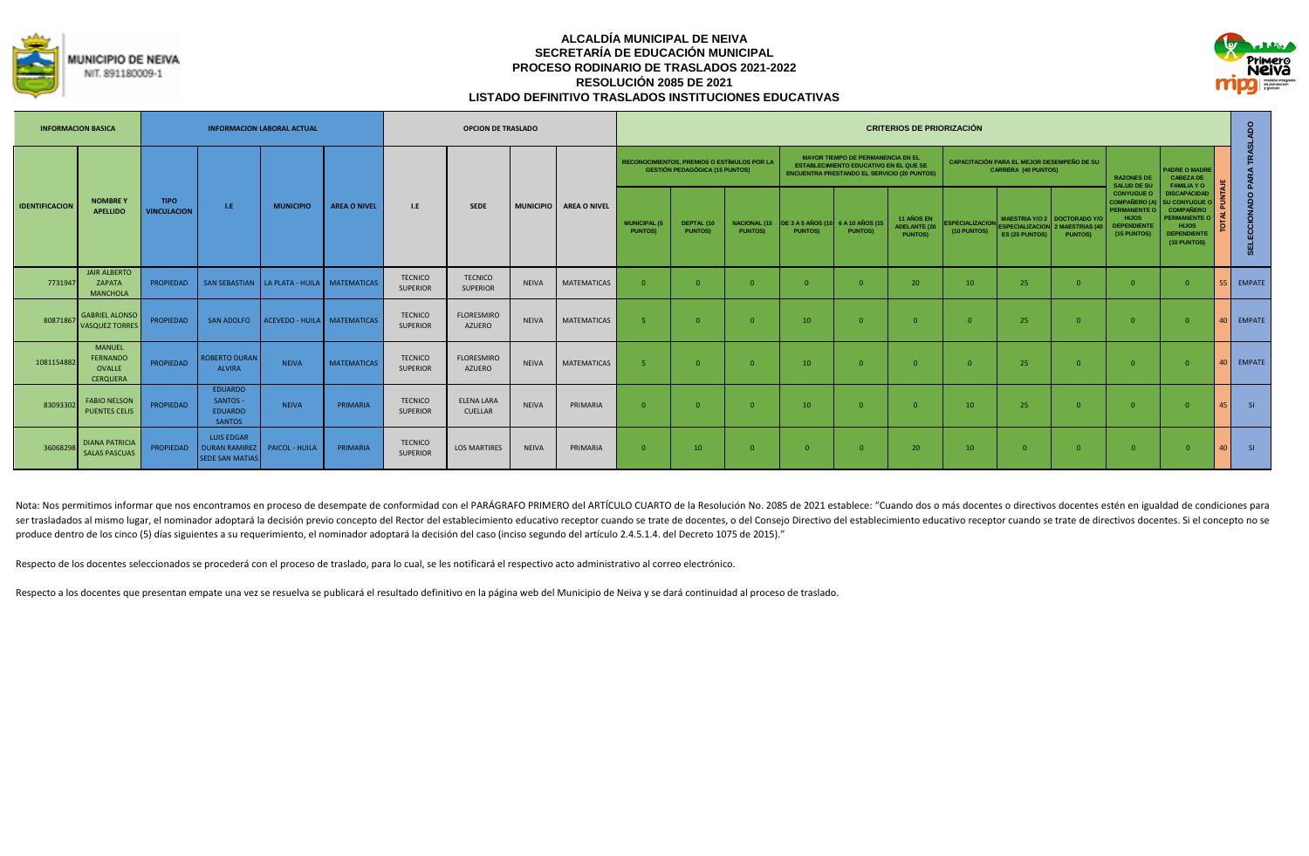



| <b>INFORMACION BASICA</b> |                                                               |                                   |                                                               | <b>INFORMACION LABORAL ACTUAL</b>              |                     |                                   | <b>OPCION DE TRASLADO</b>           |              |                        |                                       |                                                                                      |                |                                                  |                                                                                                                                                 | <b>CRITERIOS DE PRIORIZACIÓN</b>                    |                                       |                                                                          |                                                                                                   |                                                                                                                       |                                                                                                                                             |      |               |
|---------------------------|---------------------------------------------------------------|-----------------------------------|---------------------------------------------------------------|------------------------------------------------|---------------------|-----------------------------------|-------------------------------------|--------------|------------------------|---------------------------------------|--------------------------------------------------------------------------------------|----------------|--------------------------------------------------|-------------------------------------------------------------------------------------------------------------------------------------------------|-----------------------------------------------------|---------------------------------------|--------------------------------------------------------------------------|---------------------------------------------------------------------------------------------------|-----------------------------------------------------------------------------------------------------------------------|---------------------------------------------------------------------------------------------------------------------------------------------|------|---------------|
|                           |                                                               |                                   |                                                               |                                                |                     |                                   |                                     |              |                        |                                       | RECONOCIMIENTOS, PREMIOS O ESTÍMULOS POR LA<br><b>GESTIÓN PEDAGÓGICA (15 PUNTOS)</b> |                |                                                  | <b>MAYOR TIEMPO DE PERMANENCIA EN EL</b><br><b>ESTABLECIMIENTO EDUCATIVO EN EL QUE SE</b><br><b>ENCUENTRA PRESTANDO EL SERVICIO (20 PUNTOS)</b> |                                                     |                                       | CAPACITACIÓN PARA EL MEJOR DESEMPEÑO DE SU<br><b>CARRERA (40 PUNTOS)</b> |                                                                                                   | <b>RAZONES DE</b><br><b>SALUD DE SU</b>                                                                               | <b>PADRE O MADRE</b><br><b>CABEZA DE</b><br><b>FAMILIA YO</b>                                                                               |      |               |
| <b>IDENTIFICACION</b>     | <b>NOMBREY</b><br><b>APELLIDO</b>                             | <b>TIPO</b><br><b>VINCULACION</b> | LE.                                                           | <b>MUNICIPIO</b>                               | <b>AREA O NIVEL</b> | I.E                               | <b>SEDE</b>                         |              | MUNICIPIO AREA O NIVEL | <b>MUNICIPAL (5</b><br><b>PUNTOS)</b> | DEPTAL (10<br><b>PUNTOS)</b>                                                         | <b>PUNTOS)</b> | NACIONAL (15 DE 3 A 5 AÑOS (10<br><b>PUNTOS)</b> | 6 A 10 AÑOS (15<br><b>PUNTOSI</b>                                                                                                               | 11 AÑOS EN<br><b>ADELANTE (20</b><br><b>PUNTOS)</b> | <b>ESPECIALIZACION</b><br>(10 PUNTOS) | ES (25 PUNTOS)                                                           | <b>MAESTRIA Y/O 2   DOCTORADO Y/O</b><br><b>ESPECIALIZACION</b> 2 MAESTRIAS (40<br><b>PUNTOS)</b> | <b>CONYUGUE O</b><br><b>COMPAÑERO (A)</b><br><b>PERMANENTE O</b><br><b>HIJOS</b><br><b>DEPENDIENTE</b><br>(15 PUNTOS) | <b>DISCAPACIDAD</b><br><b>SU CONYUGUE C</b><br><b>COMPAÑERO</b><br><b>PERMANENTE O</b><br><b>HIJOS</b><br><b>DEPENDIENTE</b><br>(10 PUNTOS) |      | 중<br>$\circ$  |
| 7731947                   | <b>JAIR ALBERTO</b><br>ZAPATA<br><b>MANCHOLA</b>              | <b>PROPIEDAD</b>                  |                                                               | SAN SEBASTIAN   LA PLATA - HUILA   MATEMATICAS |                     | <b>TECNICO</b><br><b>SUPERIOR</b> | <b>TECNICO</b><br><b>SUPERIOR</b>   | <b>NEIVA</b> | <b>MATEMATICAS</b>     | $\Omega$                              | - 0                                                                                  |                | $\Omega$                                         | $\Omega$                                                                                                                                        | 20                                                  | 10                                    | 25                                                                       |                                                                                                   | $\Omega$                                                                                                              |                                                                                                                                             |      | <b>EMPATE</b> |
| 80871867                  | <b>GABRIEL ALONSO</b><br><b>VASQUEZ TORRES</b>                | <b>PROPIEDAD</b>                  | SAN ADOLFO                                                    | ACEVEDO - HUILA MATEMATICAS                    |                     | <b>TECNICO</b><br><b>SUPERIOR</b> | <b>FLORESMIRO</b><br>AZUERO         | <b>NEIVA</b> | MATEMATICAS            | $\overline{\phantom{a}}$              | $\sqrt{ }$                                                                           | $\Omega$       | 10                                               | $\Omega$                                                                                                                                        | $\sqrt{ }$                                          |                                       | 25                                                                       |                                                                                                   | $\Omega$                                                                                                              | $\cap$                                                                                                                                      | 40 I | <b>EMPATE</b> |
| 1081154882                | <b>MANUFL</b><br><b>FERNANDO</b><br>OVALLE<br><b>CERQUERA</b> | <b>PROPIFDAD</b>                  | <b>ROBERTO DURAN</b><br><b>ALVIRA</b>                         | <b>NEIVA</b>                                   | <b>MATEMATICAS</b>  | <b>TECNICO</b><br><b>SUPERIOR</b> | <b>FLORESMIRO</b><br>AZUERO         | <b>NEIVA</b> | MATEMATICAS            | $\overline{\phantom{a}}$              | $\sqrt{ }$                                                                           | $\Omega$       | 10 <sup>°</sup>                                  | $\Omega$                                                                                                                                        | <u>ി</u>                                            |                                       | 25                                                                       |                                                                                                   | $\Omega$                                                                                                              | $\Omega$                                                                                                                                    | 40 I | <b>EMPATE</b> |
| 83093302                  | <b>FABIO NELSON</b><br><b>PUENTES CELIS</b>                   | <b>PROPIEDAD</b>                  | <b>EDUARDO</b><br>SANTOS -<br><b>EDUARDO</b><br><b>SANTOS</b> | <b>NEIVA</b>                                   | PRIMARIA            | <b>TECNICO</b><br><b>SUPERIOR</b> | <b>ELENA LARA</b><br><b>CUELLAR</b> | <b>NEIVA</b> | PRIMARIA               | $\Omega$                              | $\Omega$                                                                             | $\Omega$       | 10                                               | $\Omega$                                                                                                                                        | <u>ി</u>                                            | 10                                    | 25                                                                       | $\cap$                                                                                            | $\Omega$                                                                                                              | $\cap$                                                                                                                                      | 45 I | SI.           |
| 36068298                  | <b>DIANA PATRICIA</b><br><b>SALAS PASCUAS</b>                 | PROPIEDAD                         | LUIS EDGAR<br><b>DURAN RAMIREZ</b><br><b>SEDE SAN MATIAS</b>  | PAICOL - HUILA                                 | PRIMARIA            | <b>TECNICO</b><br><b>SUPERIOR</b> | <b>LOS MARTIRES</b>                 | <b>NEIVA</b> | PRIMARIA               | $\Omega$                              | 10                                                                                   | $\Omega$       | $\Omega$                                         | $\Omega$                                                                                                                                        | 20                                                  | 10                                    | $\Omega$                                                                 |                                                                                                   | 0                                                                                                                     |                                                                                                                                             | 40 I | S1            |

Nota: Nos permitimos informar que nos encontramos en proceso de desempate de conformidad con el PARÁGRAFO PRIMERO del ARTÍCULO CUARTO de la Resolución No. 2085 de 2021 establece: "Cuando dos o más docentes o directivos doc ser trasladados al mismo lugar, el nominador adoptará la decisión previo concepto del Rector del establecimiento educativo receptor cuando se trate de docentes, o del Consejo Directivo del establecimiento educativo recepto produce dentro de los cinco (5) días siguientes a su requerimiento, el nominador adoptará la decisión del caso (inciso segundo del artículo 2.4.5.1.4. del Decreto 1075 de 2015)."

Respecto de los docentes seleccionados se procederá con el proceso de traslado, para lo cual, se les notificará el respectivo acto administrativo al correo electrónico.

Respecto a los docentes que presentan empate una vez se resuelva se publicará el resultado definitivo en la página web del Municipio de Neiva y se dará continuidad al proceso de traslado.